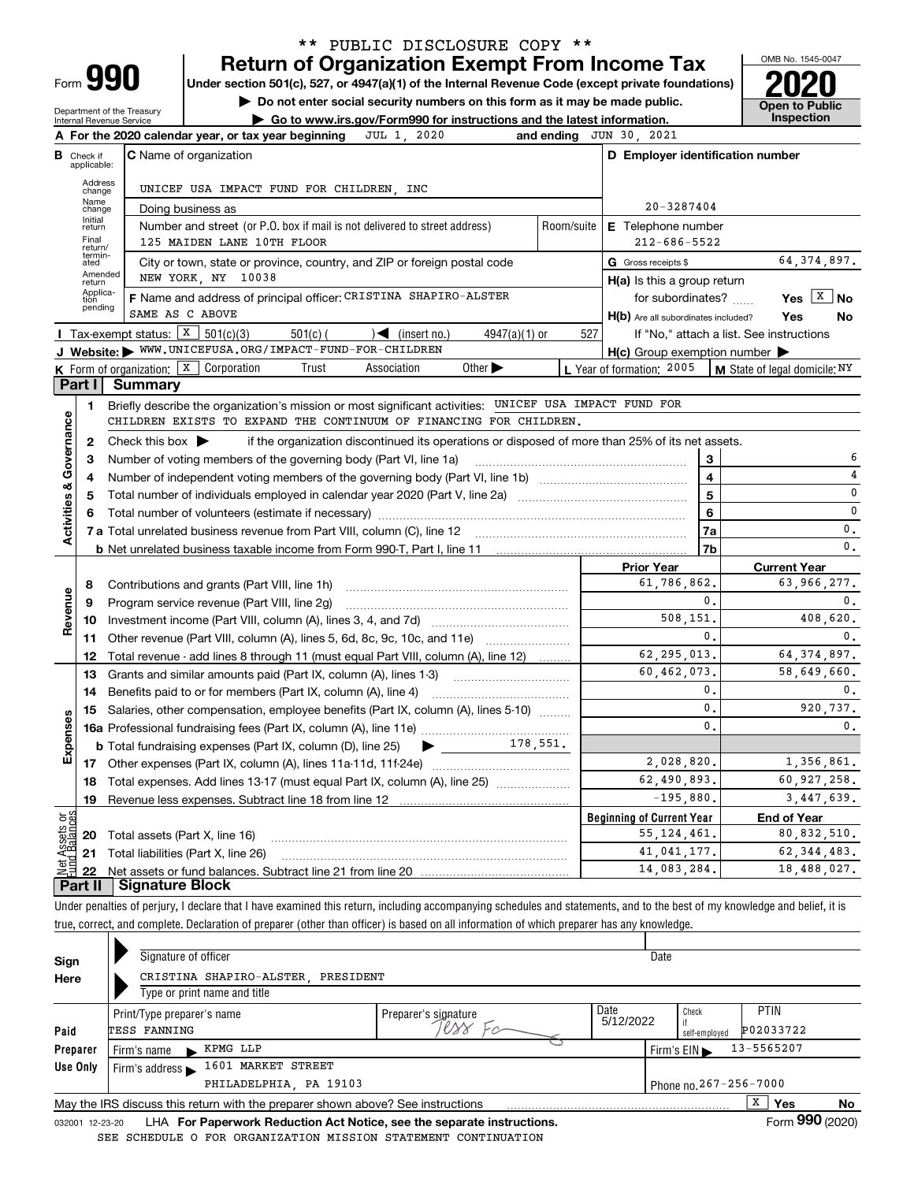| -orm |  |
|------|--|

## **Return of Organization Exempt From Income Tax** \*\* PUBLIC DISCLOSURE COPY \*\*

**Under section 501(c), 527, or 4947(a)(1) of the Internal Revenue Code (except private foundations) 2020**

**| Do not enter social security numbers on this form as it may be made public.**

Department of the Treasury Internal Revenue Service

**| Go to www.irs.gov/Form990 for instructions and the latest information. Inspection**



|                         |                             | JUL 1, 2020<br>A For the 2020 calendar year, or tax year beginning                                                                                 |                                               | and ending JUN 30, 2021                             |                                                           |  |  |  |
|-------------------------|-----------------------------|----------------------------------------------------------------------------------------------------------------------------------------------------|-----------------------------------------------|-----------------------------------------------------|-----------------------------------------------------------|--|--|--|
| в                       | Check if<br>applicable:     | C Name of organization                                                                                                                             |                                               | D Employer identification number                    |                                                           |  |  |  |
|                         | Address<br>change           | UNICEF USA IMPACT FUND FOR CHILDREN, INC                                                                                                           |                                               |                                                     |                                                           |  |  |  |
|                         | Name<br>change              | Doing business as                                                                                                                                  | $20 - 3287404$                                |                                                     |                                                           |  |  |  |
|                         | Initial<br>return           | E Telephone number                                                                                                                                 |                                               |                                                     |                                                           |  |  |  |
|                         | Final<br>return/            | $212 - 686 - 5522$                                                                                                                                 |                                               |                                                     |                                                           |  |  |  |
|                         | termin-<br>ated             | City or town, state or province, country, and ZIP or foreign postal code                                                                           |                                               | G Gross receipts \$                                 | 64, 374, 897.                                             |  |  |  |
|                         | Amended<br>return           | NEW YORK, NY 10038                                                                                                                                 |                                               | $H(a)$ is this a group return                       |                                                           |  |  |  |
|                         | Applica-<br>tion<br>pending | F Name and address of principal officer: CRISTINA SHAPIRO-ALSTER                                                                                   |                                               | for subordinates?                                   | Yes $X \mid N$                                            |  |  |  |
|                         |                             | SAME AS C ABOVE                                                                                                                                    |                                               | H(b) Are all subordinates included?                 | Yes<br>No                                                 |  |  |  |
|                         |                             | Tax-exempt status: $X$ 501(c)(3)<br>$501(c)$ (<br>$\sqrt{\phantom{a}}$ (insert no.)<br>$4947(a)(1)$ or                                             | 527                                           |                                                     | If "No," attach a list. See instructions                  |  |  |  |
|                         |                             | J Website: WWW.UNICEFUSA.ORG/IMPACT-FUND-FOR-CHILDREN                                                                                              |                                               | $H(c)$ Group exemption number $\blacktriangleright$ |                                                           |  |  |  |
|                         |                             | <b>K</b> Form of organization: $\boxed{\textbf{X}}$ Corporation<br>Trust<br>Association<br>Other $\blacktriangleright$                             |                                               |                                                     | L Year of formation: 2005   M State of legal domicile: NY |  |  |  |
|                         | Part I                      | Summary                                                                                                                                            |                                               |                                                     |                                                           |  |  |  |
|                         | 1                           | Briefly describe the organization's mission or most significant activities: UNICEF USA IMPACT FUND FOR                                             |                                               |                                                     |                                                           |  |  |  |
|                         |                             | CHILDREN EXISTS TO EXPAND THE CONTINUUM OF FINANCING FOR CHILDREN.                                                                                 |                                               |                                                     |                                                           |  |  |  |
| Governance              | $\mathbf{2}$                | Check this box $\blacktriangleright$<br>if the organization discontinued its operations or disposed of more than 25% of its net assets.            |                                               |                                                     |                                                           |  |  |  |
|                         | з                           | Number of voting members of the governing body (Part VI, line 1a)                                                                                  |                                               | 3                                                   | 6                                                         |  |  |  |
|                         | 4                           |                                                                                                                                                    |                                               | $\overline{\mathbf{4}}$                             | 4                                                         |  |  |  |
|                         | 5                           |                                                                                                                                                    |                                               | $\overline{5}$                                      | 0                                                         |  |  |  |
| <b>Activities &amp;</b> | 6                           |                                                                                                                                                    | 6                                             | 0                                                   |                                                           |  |  |  |
|                         |                             |                                                                                                                                                    |                                               | 7a                                                  | 0.                                                        |  |  |  |
|                         |                             |                                                                                                                                                    |                                               | 7 <sub>b</sub>                                      | $\mathbf 0$ .                                             |  |  |  |
|                         |                             |                                                                                                                                                    |                                               | <b>Prior Year</b><br>61,786,862,                    | <b>Current Year</b><br>63.966.277.                        |  |  |  |
|                         | 8                           |                                                                                                                                                    | Contributions and grants (Part VIII, line 1h) |                                                     |                                                           |  |  |  |
| Revenue                 | 9                           | Program service revenue (Part VIII, line 2g)                                                                                                       |                                               | 0.<br>508,151,                                      | $\mathbf{0}$ .<br>408.620.                                |  |  |  |
|                         | 10                          |                                                                                                                                                    |                                               | 0.                                                  | 0.                                                        |  |  |  |
|                         | 11                          | Other revenue (Part VIII, column (A), lines 5, 6d, 8c, 9c, 10c, and 11e)                                                                           |                                               | 62, 295, 013.                                       | 64, 374, 897.                                             |  |  |  |
|                         | 12<br>13                    | Total revenue - add lines 8 through 11 (must equal Part VIII, column (A), line 12)                                                                 |                                               | 60,462,073.                                         | 58,649,660.                                               |  |  |  |
|                         | 14                          | Grants and similar amounts paid (Part IX, column (A), lines 1-3) <i>manoronominimining</i>                                                         |                                               | 0.                                                  | 0.                                                        |  |  |  |
|                         | 15                          | Benefits paid to or for members (Part IX, column (A), line 4)<br>Salaries, other compensation, employee benefits (Part IX, column (A), lines 5-10) |                                               | $\mathbf{0}$ .                                      | 920,737.                                                  |  |  |  |
| Expenses                |                             |                                                                                                                                                    |                                               | $\Omega$                                            | $\mathbf 0$ .                                             |  |  |  |
|                         |                             | $\blacktriangleright$ 178,551.<br><b>b</b> Total fundraising expenses (Part IX, column (D), line 25)                                               |                                               |                                                     |                                                           |  |  |  |
|                         |                             |                                                                                                                                                    |                                               | 2,028,820.                                          | 1,356,861.                                                |  |  |  |
|                         | 18                          | Total expenses. Add lines 13-17 (must equal Part IX, column (A), line 25) [11, 11, 11, 11, 11, 11, 11, 11, 11,                                     |                                               | 62,490,893.                                         | 60,927,258.                                               |  |  |  |
|                         | 19                          |                                                                                                                                                    | $-195,880.$                                   | 3,447,639.                                          |                                                           |  |  |  |
| កម្ព                    |                             |                                                                                                                                                    |                                               | <b>Beginning of Current Year</b>                    | <b>End of Year</b>                                        |  |  |  |
|                         |                             | 20 Total assets (Part X, line 16)                                                                                                                  |                                               | 55, 124, 461.                                       | 80,832,510.                                               |  |  |  |
| Assets<br>1 Balanc      |                             | 21 Total liabilities (Part X, line 26)                                                                                                             |                                               | 41,041,177.                                         | 62, 344, 483.                                             |  |  |  |
|                         |                             |                                                                                                                                                    |                                               | 14,083,284.                                         | 18,488,027.                                               |  |  |  |
|                         | <b>Part II</b>              | Signature Block                                                                                                                                    |                                               |                                                     |                                                           |  |  |  |

Under penalties of perjury, I declare that I have examined this return, including accompanying schedules and statements, and to the best of my knowledge and belief, it is true, correct, and complete. Declaration of preparer (other than officer) is based on all information of which preparer has any knowledge.

| Sign            | Signature of officer                                                                               |                      |                   |                                  |                             |    |  |  |  |
|-----------------|----------------------------------------------------------------------------------------------------|----------------------|-------------------|----------------------------------|-----------------------------|----|--|--|--|
| Here            | CRISTINA SHAPIRO-ALSTER PRESIDENT                                                                  |                      |                   |                                  |                             |    |  |  |  |
|                 | Type or print name and title                                                                       |                      |                   |                                  |                             |    |  |  |  |
|                 | Print/Type preparer's name                                                                         | Preparer's signature | Date<br>5/12/2022 | Check                            | <b>PTIN</b>                 |    |  |  |  |
| Paid            | TESS FANNING                                                                                       |                      |                   | self-employed                    | P02033722                   |    |  |  |  |
| Preparer        | KPMG LLP<br>Firm's name<br>$\ddot{\phantom{1}}$                                                    |                      |                   | Firm's $EIN \blacktriangleright$ | 13-5565207                  |    |  |  |  |
| Use Only        | 1601 MARKET STREET<br>Firm's address                                                               |                      |                   |                                  |                             |    |  |  |  |
|                 | Phone no. 267-256-7000<br>PHILADELPHIA, PA 19103                                                   |                      |                   |                                  |                             |    |  |  |  |
|                 | May the IRS discuss this return with the preparer shown above? See instructions                    |                      |                   |                                  | х<br>Yes                    | No |  |  |  |
| 032001 12-23-20 | $\mathsf{H}\mathsf{A}\mathsf{F}$ For Panerwork Reduction Act Notice, see the senarate instructions |                      |                   |                                  | $F_{\text{O}}$ m 990 (2020) |    |  |  |  |

032001 12-23-20 LHA **For Paperwork Reduction Act Notice, see the separate instructions.**<br>EDIILE O FOR ORGANIZATION MISSION STATEMENT CONTINUATION SEE SCHEDULE O FOR ORGANIZATION MISSION STATEMENT CONTINUATION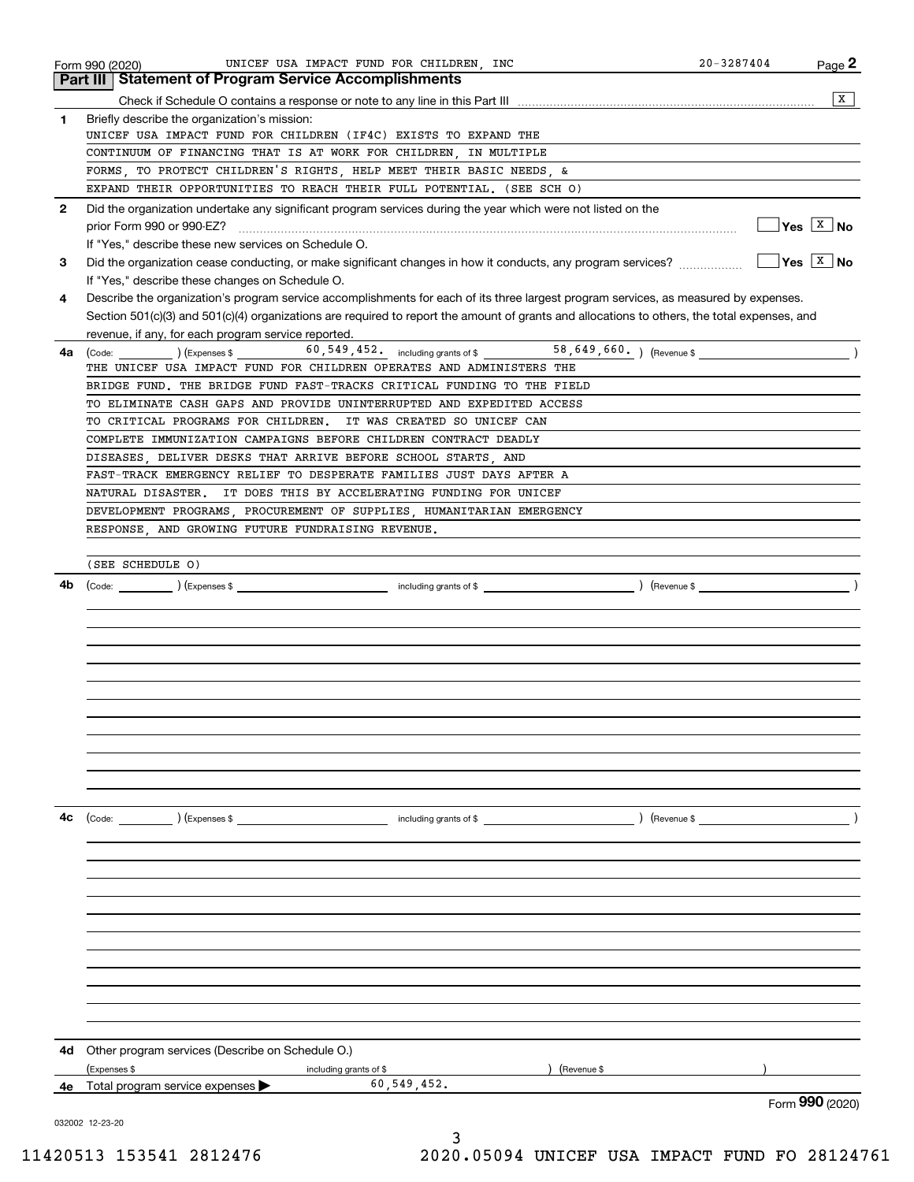|              | UNICEF USA IMPACT FUND FOR CHILDREN, INC<br>Form 990 (2020)                                                                                                                             | $20 - 3287404$ | Page 2                                                                        |
|--------------|-----------------------------------------------------------------------------------------------------------------------------------------------------------------------------------------|----------------|-------------------------------------------------------------------------------|
|              | <b>Part III   Statement of Program Service Accomplishments</b>                                                                                                                          |                |                                                                               |
|              |                                                                                                                                                                                         |                | x                                                                             |
| 1            | Briefly describe the organization's mission:                                                                                                                                            |                |                                                                               |
|              | UNICEF USA IMPACT FUND FOR CHILDREN (IF4C) EXISTS TO EXPAND THE                                                                                                                         |                |                                                                               |
|              | CONTINUUM OF FINANCING THAT IS AT WORK FOR CHILDREN, IN MULTIPLE                                                                                                                        |                |                                                                               |
|              | FORMS, TO PROTECT CHILDREN'S RIGHTS, HELP MEET THEIR BASIC NEEDS, &                                                                                                                     |                |                                                                               |
|              | EXPAND THEIR OPPORTUNITIES TO REACH THEIR FULL POTENTIAL. (SEE SCH O)                                                                                                                   |                |                                                                               |
| $\mathbf{2}$ | Did the organization undertake any significant program services during the year which were not listed on the                                                                            |                | $\sqrt{\mathsf{Yes} \left[\begin{array}{c} \mathbb{X} \end{array}\right]}$ No |
|              | prior Form 990 or 990-EZ?                                                                                                                                                               |                |                                                                               |
|              | If "Yes," describe these new services on Schedule O.                                                                                                                                    |                | $Yes \ \boxed{X}$ No                                                          |
| 3            |                                                                                                                                                                                         |                |                                                                               |
|              | If "Yes," describe these changes on Schedule O.<br>Describe the organization's program service accomplishments for each of its three largest program services, as measured by expenses. |                |                                                                               |
| 4            | Section 501(c)(3) and 501(c)(4) organizations are required to report the amount of grants and allocations to others, the total expenses, and                                            |                |                                                                               |
|              | revenue, if any, for each program service reported.                                                                                                                                     |                |                                                                               |
| 4a           |                                                                                                                                                                                         |                |                                                                               |
|              | THE UNICEF USA IMPACT FUND FOR CHILDREN OPERATES AND ADMINISTERS THE                                                                                                                    |                |                                                                               |
|              | BRIDGE FUND. THE BRIDGE FUND FAST-TRACKS CRITICAL FUNDING TO THE FIELD                                                                                                                  |                |                                                                               |
|              | TO ELIMINATE CASH GAPS AND PROVIDE UNINTERRUPTED AND EXPEDITED ACCESS                                                                                                                   |                |                                                                               |
|              | TO CRITICAL PROGRAMS FOR CHILDREN. IT WAS CREATED SO UNICEF CAN                                                                                                                         |                |                                                                               |
|              | COMPLETE IMMUNIZATION CAMPAIGNS BEFORE CHILDREN CONTRACT DEADLY                                                                                                                         |                |                                                                               |
|              | DISEASES, DELIVER DESKS THAT ARRIVE BEFORE SCHOOL STARTS, AND                                                                                                                           |                |                                                                               |
|              | FAST-TRACK EMERGENCY RELIEF TO DESPERATE FAMILIES JUST DAYS AFTER A                                                                                                                     |                |                                                                               |
|              | NATURAL DISASTER. IT DOES THIS BY ACCELERATING FUNDING FOR UNICEF                                                                                                                       |                |                                                                               |
|              | DEVELOPMENT PROGRAMS, PROCUREMENT OF SUPPLIES, HUMANITARIAN EMERGENCY                                                                                                                   |                |                                                                               |
|              | RESPONSE, AND GROWING FUTURE FUNDRAISING REVENUE.                                                                                                                                       |                |                                                                               |
|              |                                                                                                                                                                                         |                |                                                                               |
|              | (SEE SCHEDULE O)                                                                                                                                                                        |                |                                                                               |
| 4b           |                                                                                                                                                                                         |                |                                                                               |
|              |                                                                                                                                                                                         |                |                                                                               |
|              |                                                                                                                                                                                         |                |                                                                               |
|              |                                                                                                                                                                                         |                |                                                                               |
|              |                                                                                                                                                                                         |                |                                                                               |
|              |                                                                                                                                                                                         |                |                                                                               |
|              |                                                                                                                                                                                         |                |                                                                               |
|              |                                                                                                                                                                                         |                |                                                                               |
|              |                                                                                                                                                                                         |                |                                                                               |
|              |                                                                                                                                                                                         |                |                                                                               |
|              |                                                                                                                                                                                         |                |                                                                               |
|              |                                                                                                                                                                                         |                |                                                                               |
| 4с           | $\text{(Code:}$ $\qquad \qquad$ $\text{(Expenses $}$<br>including grants of \$                                                                                                          | $($ Revenue \$ |                                                                               |
|              |                                                                                                                                                                                         |                |                                                                               |
|              |                                                                                                                                                                                         |                |                                                                               |
|              |                                                                                                                                                                                         |                |                                                                               |
|              |                                                                                                                                                                                         |                |                                                                               |
|              |                                                                                                                                                                                         |                |                                                                               |
|              |                                                                                                                                                                                         |                |                                                                               |
|              |                                                                                                                                                                                         |                |                                                                               |
|              |                                                                                                                                                                                         |                |                                                                               |
|              |                                                                                                                                                                                         |                |                                                                               |
|              |                                                                                                                                                                                         |                |                                                                               |
|              |                                                                                                                                                                                         |                |                                                                               |
|              |                                                                                                                                                                                         |                |                                                                               |
| 4d           | Other program services (Describe on Schedule O.)                                                                                                                                        |                |                                                                               |
|              | (Expenses \$<br>(Revenue \$<br>including grants of \$                                                                                                                                   |                |                                                                               |
| 4е           | 60, 549, 452.<br>Total program service expenses                                                                                                                                         |                |                                                                               |
|              |                                                                                                                                                                                         |                | Form 990 (2020)                                                               |
|              | 032002 12-23-20                                                                                                                                                                         |                |                                                                               |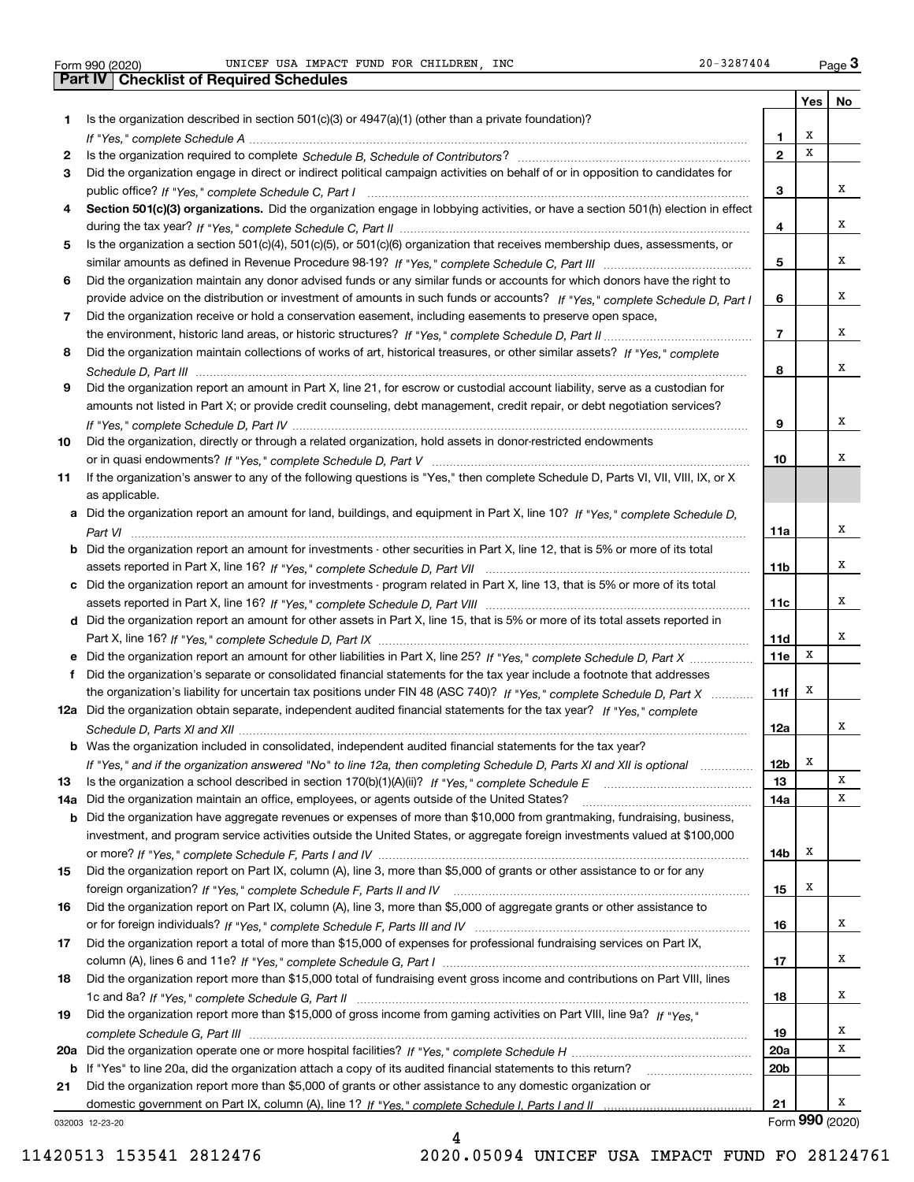| Form 990 (2020) |  |  |
|-----------------|--|--|
|                 |  |  |

Form 990 (2020) Page UNICEF USA IMPACT FUND FOR CHILDREN, INC 20-3287404 Form 990 (2020) UNICEF USA IMPACT FUND FOR CHILDREN, INC 20-3287404 Page 3<br>**Part IV | Checklist of Required Schedules** 

|    | <b>Theoretic of Troquired Soried</b>                                                                                                                                                                                                              |                 |     |                 |
|----|---------------------------------------------------------------------------------------------------------------------------------------------------------------------------------------------------------------------------------------------------|-----------------|-----|-----------------|
| 1  | Is the organization described in section 501(c)(3) or 4947(a)(1) (other than a private foundation)?                                                                                                                                               |                 | Yes | No              |
|    |                                                                                                                                                                                                                                                   | 1.              | х   |                 |
| 2  |                                                                                                                                                                                                                                                   | $\overline{2}$  | x   |                 |
| З  | Did the organization engage in direct or indirect political campaign activities on behalf of or in opposition to candidates for                                                                                                                   |                 |     |                 |
|    |                                                                                                                                                                                                                                                   | 3               |     | х               |
| 4  | Section 501(c)(3) organizations. Did the organization engage in lobbying activities, or have a section 501(h) election in effect                                                                                                                  |                 |     |                 |
|    |                                                                                                                                                                                                                                                   | 4               |     | x               |
| 5  | Is the organization a section 501(c)(4), 501(c)(5), or 501(c)(6) organization that receives membership dues, assessments, or                                                                                                                      |                 |     |                 |
|    |                                                                                                                                                                                                                                                   | 5               |     | х               |
| 6  | Did the organization maintain any donor advised funds or any similar funds or accounts for which donors have the right to                                                                                                                         |                 |     |                 |
|    | provide advice on the distribution or investment of amounts in such funds or accounts? If "Yes," complete Schedule D, Part I                                                                                                                      | 6               |     | х               |
| 7  | Did the organization receive or hold a conservation easement, including easements to preserve open space,                                                                                                                                         |                 |     |                 |
|    |                                                                                                                                                                                                                                                   | 7               |     | х               |
| 8  | Did the organization maintain collections of works of art, historical treasures, or other similar assets? If "Yes," complete                                                                                                                      |                 |     |                 |
|    |                                                                                                                                                                                                                                                   | 8               |     | х               |
| 9  | Did the organization report an amount in Part X, line 21, for escrow or custodial account liability, serve as a custodian for                                                                                                                     |                 |     |                 |
|    | amounts not listed in Part X; or provide credit counseling, debt management, credit repair, or debt negotiation services?                                                                                                                         |                 |     |                 |
|    |                                                                                                                                                                                                                                                   | 9               |     | х               |
| 10 | Did the organization, directly or through a related organization, hold assets in donor-restricted endowments                                                                                                                                      |                 |     |                 |
|    |                                                                                                                                                                                                                                                   | 10              |     | х               |
| 11 | If the organization's answer to any of the following questions is "Yes," then complete Schedule D, Parts VI, VII, VIII, IX, or X                                                                                                                  |                 |     |                 |
|    | as applicable.                                                                                                                                                                                                                                    |                 |     |                 |
|    | a Did the organization report an amount for land, buildings, and equipment in Part X, line 10? If "Yes," complete Schedule D,                                                                                                                     |                 |     |                 |
|    |                                                                                                                                                                                                                                                   | 11a             |     | х               |
|    | <b>b</b> Did the organization report an amount for investments - other securities in Part X, line 12, that is 5% or more of its total                                                                                                             |                 |     |                 |
|    |                                                                                                                                                                                                                                                   | 11 <sub>b</sub> |     | х               |
|    | c Did the organization report an amount for investments - program related in Part X, line 13, that is 5% or more of its total                                                                                                                     |                 |     |                 |
|    |                                                                                                                                                                                                                                                   | 11c             |     | Χ               |
|    | d Did the organization report an amount for other assets in Part X, line 15, that is 5% or more of its total assets reported in                                                                                                                   |                 |     |                 |
|    |                                                                                                                                                                                                                                                   | <b>11d</b>      | X   | х               |
|    | e Did the organization report an amount for other liabilities in Part X, line 25? If "Yes," complete Schedule D, Part X                                                                                                                           | 11e             |     |                 |
|    | f Did the organization's separate or consolidated financial statements for the tax year include a footnote that addresses                                                                                                                         |                 | х   |                 |
|    | the organization's liability for uncertain tax positions under FIN 48 (ASC 740)? If "Yes," complete Schedule D, Part X<br>12a Did the organization obtain separate, independent audited financial statements for the tax year? If "Yes," complete | 11f             |     |                 |
|    |                                                                                                                                                                                                                                                   | 12a             |     | х               |
|    | <b>b</b> Was the organization included in consolidated, independent audited financial statements for the tax year?                                                                                                                                |                 |     |                 |
|    |                                                                                                                                                                                                                                                   | 12 <sub>b</sub> | Х   |                 |
| 13 | If "Yes," and if the organization answered "No" to line 12a, then completing Schedule D, Parts XI and XII is optional manum                                                                                                                       | 13              |     | X               |
|    | 14a Did the organization maintain an office, employees, or agents outside of the United States?                                                                                                                                                   | 14a             |     | х               |
| b  | Did the organization have aggregate revenues or expenses of more than \$10,000 from grantmaking, fundraising, business,                                                                                                                           |                 |     |                 |
|    | investment, and program service activities outside the United States, or aggregate foreign investments valued at \$100,000                                                                                                                        |                 |     |                 |
|    |                                                                                                                                                                                                                                                   | 14b             | Х   |                 |
| 15 | Did the organization report on Part IX, column (A), line 3, more than \$5,000 of grants or other assistance to or for any                                                                                                                         |                 |     |                 |
|    |                                                                                                                                                                                                                                                   | 15              | х   |                 |
| 16 | Did the organization report on Part IX, column (A), line 3, more than \$5,000 of aggregate grants or other assistance to                                                                                                                          |                 |     |                 |
|    |                                                                                                                                                                                                                                                   | 16              |     | х               |
| 17 | Did the organization report a total of more than \$15,000 of expenses for professional fundraising services on Part IX,                                                                                                                           |                 |     |                 |
|    |                                                                                                                                                                                                                                                   | 17              |     | Χ               |
| 18 | Did the organization report more than \$15,000 total of fundraising event gross income and contributions on Part VIII, lines                                                                                                                      |                 |     |                 |
|    |                                                                                                                                                                                                                                                   | 18              |     | х               |
| 19 | Did the organization report more than \$15,000 of gross income from gaming activities on Part VIII, line 9a? If "Yes."                                                                                                                            |                 |     |                 |
|    |                                                                                                                                                                                                                                                   | 19              |     | х               |
|    |                                                                                                                                                                                                                                                   | 20a             |     | X               |
|    | <b>b</b> If "Yes" to line 20a, did the organization attach a copy of its audited financial statements to this return?                                                                                                                             | 20 <sub>b</sub> |     |                 |
| 21 | Did the organization report more than \$5,000 of grants or other assistance to any domestic organization or                                                                                                                                       |                 |     |                 |
|    |                                                                                                                                                                                                                                                   | 21              |     | х               |
|    | 032003 12-23-20                                                                                                                                                                                                                                   |                 |     | Form 990 (2020) |

032003 12-23-20

4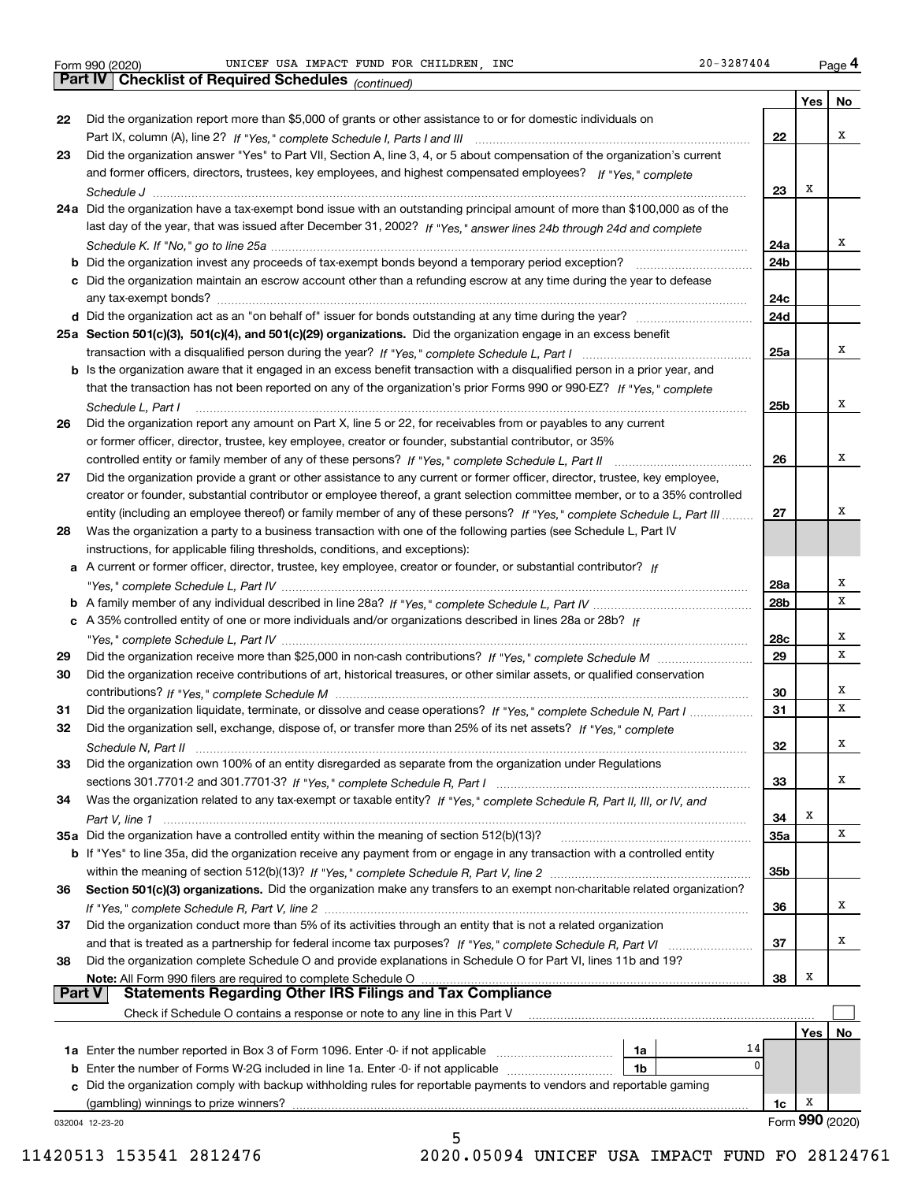|    | Parl IV  <br>Criecklist of Required Scriedules $_{(continued)}$                                                                                                                                                                        |          |     |                 |
|----|----------------------------------------------------------------------------------------------------------------------------------------------------------------------------------------------------------------------------------------|----------|-----|-----------------|
|    |                                                                                                                                                                                                                                        |          | Yes | No              |
| 22 | Did the organization report more than \$5,000 of grants or other assistance to or for domestic individuals on                                                                                                                          |          |     |                 |
|    |                                                                                                                                                                                                                                        | 22       |     | х               |
| 23 | Did the organization answer "Yes" to Part VII, Section A, line 3, 4, or 5 about compensation of the organization's current                                                                                                             |          |     |                 |
|    | and former officers, directors, trustees, key employees, and highest compensated employees? If "Yes," complete                                                                                                                         |          |     |                 |
|    |                                                                                                                                                                                                                                        | 23       | х   |                 |
|    | 24a Did the organization have a tax-exempt bond issue with an outstanding principal amount of more than \$100,000 as of the                                                                                                            |          |     |                 |
|    | last day of the year, that was issued after December 31, 2002? If "Yes," answer lines 24b through 24d and complete                                                                                                                     |          |     |                 |
|    |                                                                                                                                                                                                                                        | 24a      |     | x               |
|    | <b>b</b> Did the organization invest any proceeds of tax-exempt bonds beyond a temporary period exception?                                                                                                                             | 24b      |     |                 |
|    | c Did the organization maintain an escrow account other than a refunding escrow at any time during the year to defease                                                                                                                 |          |     |                 |
|    |                                                                                                                                                                                                                                        | 24с      |     |                 |
|    |                                                                                                                                                                                                                                        | 24d      |     |                 |
|    | 25a Section 501(c)(3), 501(c)(4), and 501(c)(29) organizations. Did the organization engage in an excess benefit                                                                                                                       |          |     |                 |
|    |                                                                                                                                                                                                                                        | 25a      |     | x               |
|    | b Is the organization aware that it engaged in an excess benefit transaction with a disqualified person in a prior year, and                                                                                                           |          |     |                 |
|    | that the transaction has not been reported on any of the organization's prior Forms 990 or 990-EZ? If "Yes," complete                                                                                                                  |          |     |                 |
|    | Schedule L, Part I                                                                                                                                                                                                                     | 25b      |     | х               |
| 26 | Did the organization report any amount on Part X, line 5 or 22, for receivables from or payables to any current                                                                                                                        |          |     |                 |
|    | or former officer, director, trustee, key employee, creator or founder, substantial contributor, or 35%                                                                                                                                |          |     |                 |
|    |                                                                                                                                                                                                                                        | 26       |     | х               |
| 27 | Did the organization provide a grant or other assistance to any current or former officer, director, trustee, key employee,                                                                                                            |          |     |                 |
|    | creator or founder, substantial contributor or employee thereof, a grant selection committee member, or to a 35% controlled                                                                                                            |          |     | x               |
|    | entity (including an employee thereof) or family member of any of these persons? If "Yes," complete Schedule L, Part III                                                                                                               | 27       |     |                 |
| 28 | Was the organization a party to a business transaction with one of the following parties (see Schedule L, Part IV                                                                                                                      |          |     |                 |
|    | instructions, for applicable filing thresholds, conditions, and exceptions):                                                                                                                                                           |          |     |                 |
|    | a A current or former officer, director, trustee, key employee, creator or founder, or substantial contributor? If                                                                                                                     |          |     | х               |
|    |                                                                                                                                                                                                                                        | 28a      |     | x               |
|    |                                                                                                                                                                                                                                        | 28b      |     |                 |
|    | c A 35% controlled entity of one or more individuals and/or organizations described in lines 28a or 28b? If                                                                                                                            |          |     | х               |
|    |                                                                                                                                                                                                                                        | 28c      |     | х               |
| 29 |                                                                                                                                                                                                                                        | 29       |     |                 |
| 30 | Did the organization receive contributions of art, historical treasures, or other similar assets, or qualified conservation                                                                                                            |          |     | х               |
| 31 |                                                                                                                                                                                                                                        | 30<br>31 |     | х               |
| 32 | Did the organization liquidate, terminate, or dissolve and cease operations? If "Yes," complete Schedule N, Part I<br>Did the organization sell, exchange, dispose of, or transfer more than 25% of its net assets? If "Yes," complete |          |     |                 |
|    |                                                                                                                                                                                                                                        | 32       |     | х               |
| 33 | Schedule N, Part II<br>Did the organization own 100% of an entity disregarded as separate from the organization under Regulations                                                                                                      |          |     |                 |
|    |                                                                                                                                                                                                                                        | 33       |     | x               |
| 34 | Was the organization related to any tax-exempt or taxable entity? If "Yes," complete Schedule R, Part II, III, or IV, and                                                                                                              |          |     |                 |
|    |                                                                                                                                                                                                                                        | 34       | X   |                 |
|    | 35a Did the organization have a controlled entity within the meaning of section 512(b)(13)?                                                                                                                                            | 35a      |     | Χ               |
|    | <b>b</b> If "Yes" to line 35a, did the organization receive any payment from or engage in any transaction with a controlled entity                                                                                                     |          |     |                 |
|    |                                                                                                                                                                                                                                        | 35b      |     |                 |
| 36 | Section 501(c)(3) organizations. Did the organization make any transfers to an exempt non-charitable related organization?                                                                                                             |          |     |                 |
|    |                                                                                                                                                                                                                                        | 36       |     | х               |
| 37 | Did the organization conduct more than 5% of its activities through an entity that is not a related organization                                                                                                                       |          |     |                 |
|    |                                                                                                                                                                                                                                        | 37       |     | х               |
| 38 | Did the organization complete Schedule O and provide explanations in Schedule O for Part VI, lines 11b and 19?                                                                                                                         |          |     |                 |
|    | Note: All Form 990 filers are required to complete Schedule O                                                                                                                                                                          | 38       | X   |                 |
|    | <b>Statements Regarding Other IRS Filings and Tax Compliance</b><br><b>Part V</b>                                                                                                                                                      |          |     |                 |
|    | Check if Schedule O contains a response or note to any line in this Part V                                                                                                                                                             |          |     |                 |
|    |                                                                                                                                                                                                                                        |          | Yes | No              |
|    | 14<br>1a                                                                                                                                                                                                                               |          |     |                 |
|    | 0<br><b>b</b> Enter the number of Forms W-2G included in line 1a. Enter -0- if not applicable<br>1b                                                                                                                                    |          |     |                 |
|    | c Did the organization comply with backup withholding rules for reportable payments to vendors and reportable gaming                                                                                                                   |          |     |                 |
|    | (gambling) winnings to prize winners?                                                                                                                                                                                                  | 1c       | х   |                 |
|    | 032004 12-23-20                                                                                                                                                                                                                        |          |     | Form 990 (2020) |
|    | 5                                                                                                                                                                                                                                      |          |     |                 |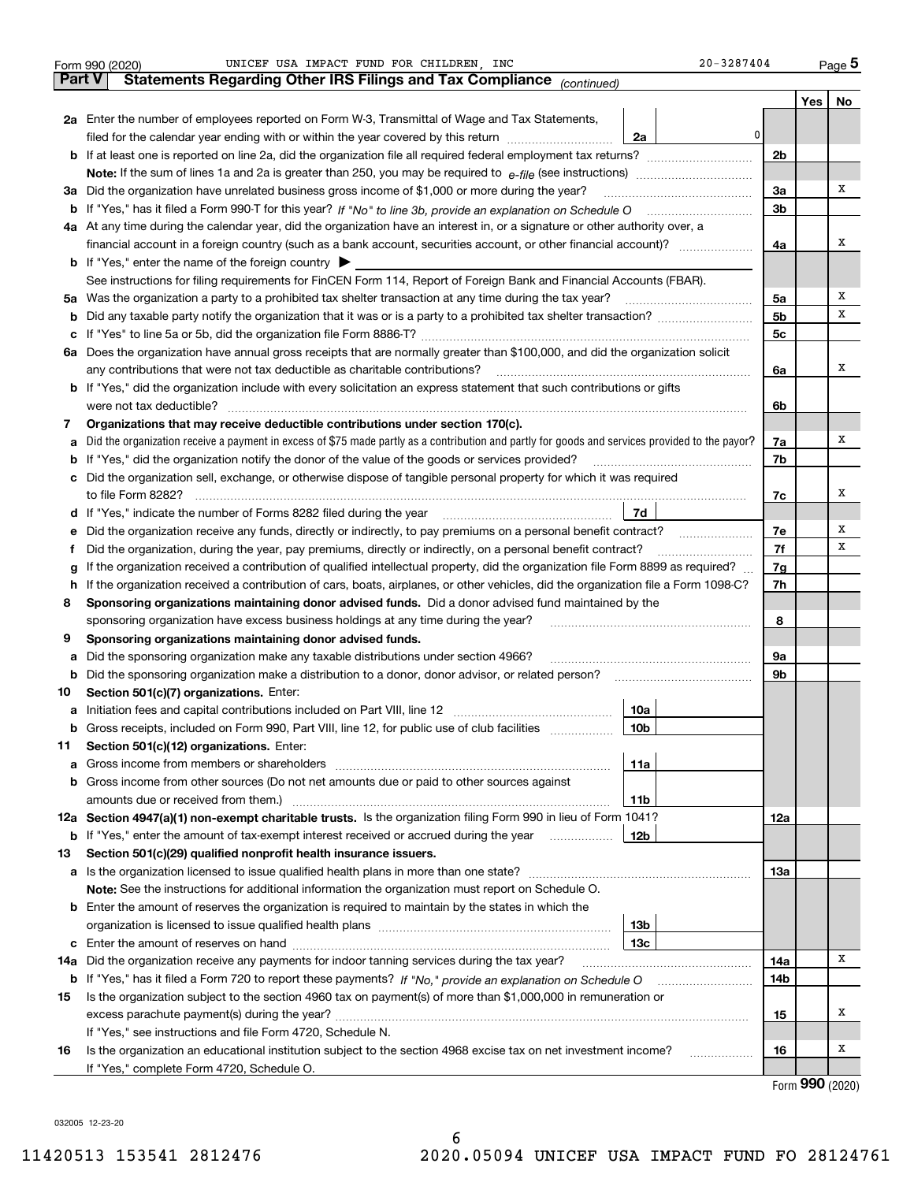|         | UNICEF USA IMPACT FUND FOR CHILDREN, INC<br>Form 990 (2020)                                                                                                                                                                                                            | 20-3287404      |          |                   | Page 5 |
|---------|------------------------------------------------------------------------------------------------------------------------------------------------------------------------------------------------------------------------------------------------------------------------|-----------------|----------|-------------------|--------|
|         | Statements Regarding Other IRS Filings and Tax Compliance (continued)<br><b>Part V</b>                                                                                                                                                                                 |                 |          |                   |        |
|         |                                                                                                                                                                                                                                                                        |                 |          | Yes               | No     |
|         | 2a Enter the number of employees reported on Form W-3, Transmittal of Wage and Tax Statements,                                                                                                                                                                         |                 |          |                   |        |
|         | filed for the calendar year ending with or within the year covered by this return                                                                                                                                                                                      | 0<br>2a         |          |                   |        |
|         |                                                                                                                                                                                                                                                                        |                 | 2b       |                   |        |
|         |                                                                                                                                                                                                                                                                        |                 |          |                   |        |
|         | 3a Did the organization have unrelated business gross income of \$1,000 or more during the year?                                                                                                                                                                       |                 | 3a       |                   | x      |
|         |                                                                                                                                                                                                                                                                        |                 | 3b       |                   |        |
|         | 4a At any time during the calendar year, did the organization have an interest in, or a signature or other authority over, a                                                                                                                                           |                 |          |                   |        |
|         | financial account in a foreign country (such as a bank account, securities account, or other financial account)?                                                                                                                                                       |                 | 4a       |                   | х      |
|         | <b>b</b> If "Yes," enter the name of the foreign country $\triangleright$                                                                                                                                                                                              |                 |          |                   |        |
|         | See instructions for filing requirements for FinCEN Form 114, Report of Foreign Bank and Financial Accounts (FBAR).                                                                                                                                                    |                 |          |                   |        |
|         | 5a Was the organization a party to a prohibited tax shelter transaction at any time during the tax year?                                                                                                                                                               |                 | 5a       |                   | х      |
| b       |                                                                                                                                                                                                                                                                        |                 | 5b       |                   | х      |
| c       |                                                                                                                                                                                                                                                                        |                 | 5с       |                   |        |
|         | 6a Does the organization have annual gross receipts that are normally greater than \$100,000, and did the organization solicit                                                                                                                                         |                 |          |                   |        |
|         | any contributions that were not tax deductible as charitable contributions?                                                                                                                                                                                            |                 | 6a       |                   | х      |
|         | b If "Yes," did the organization include with every solicitation an express statement that such contributions or gifts                                                                                                                                                 |                 |          |                   |        |
|         | were not tax deductible?                                                                                                                                                                                                                                               |                 | 6b       |                   |        |
| 7       | Organizations that may receive deductible contributions under section 170(c).                                                                                                                                                                                          |                 |          |                   |        |
| a       | Did the organization receive a payment in excess of \$75 made partly as a contribution and partly for goods and services provided to the payor?                                                                                                                        |                 | 7a       |                   | х      |
|         | <b>b</b> If "Yes," did the organization notify the donor of the value of the goods or services provided?                                                                                                                                                               |                 | 7b       |                   |        |
|         | c Did the organization sell, exchange, or otherwise dispose of tangible personal property for which it was required                                                                                                                                                    |                 |          |                   |        |
|         | to file Form 8282?                                                                                                                                                                                                                                                     |                 | 7c       |                   | х      |
|         |                                                                                                                                                                                                                                                                        | 7d              |          |                   | х      |
| е       | Did the organization receive any funds, directly or indirectly, to pay premiums on a personal benefit contract?                                                                                                                                                        |                 | 7e       |                   | х      |
| f       | Did the organization, during the year, pay premiums, directly or indirectly, on a personal benefit contract?                                                                                                                                                           |                 | 7f       |                   |        |
| g       | If the organization received a contribution of qualified intellectual property, did the organization file Form 8899 as required?<br>If the organization received a contribution of cars, boats, airplanes, or other vehicles, did the organization file a Form 1098-C? |                 | 7g<br>7h |                   |        |
| h.<br>8 | Sponsoring organizations maintaining donor advised funds. Did a donor advised fund maintained by the                                                                                                                                                                   |                 |          |                   |        |
|         | sponsoring organization have excess business holdings at any time during the year?                                                                                                                                                                                     |                 | 8        |                   |        |
| 9       | Sponsoring organizations maintaining donor advised funds.                                                                                                                                                                                                              |                 |          |                   |        |
| a       | Did the sponsoring organization make any taxable distributions under section 4966?                                                                                                                                                                                     |                 | 9a       |                   |        |
| b       | Did the sponsoring organization make a distribution to a donor, donor advisor, or related person?                                                                                                                                                                      |                 | 9b       |                   |        |
| 10      | Section 501(c)(7) organizations. Enter:                                                                                                                                                                                                                                |                 |          |                   |        |
|         |                                                                                                                                                                                                                                                                        | 10a             |          |                   |        |
|         | Gross receipts, included on Form 990, Part VIII, line 12, for public use of club facilities                                                                                                                                                                            | 10 <sub>b</sub> |          |                   |        |
| 11      | Section 501(c)(12) organizations. Enter:                                                                                                                                                                                                                               |                 |          |                   |        |
| a       | Gross income from members or shareholders                                                                                                                                                                                                                              | 11a             |          |                   |        |
| b       | Gross income from other sources (Do not net amounts due or paid to other sources against                                                                                                                                                                               |                 |          |                   |        |
|         | amounts due or received from them.)                                                                                                                                                                                                                                    | 11b             |          |                   |        |
|         | 12a Section 4947(a)(1) non-exempt charitable trusts. Is the organization filing Form 990 in lieu of Form 1041?                                                                                                                                                         |                 | 12a      |                   |        |
|         | <b>b</b> If "Yes," enter the amount of tax-exempt interest received or accrued during the year                                                                                                                                                                         | 12b             |          |                   |        |
| 13      | Section 501(c)(29) qualified nonprofit health insurance issuers.                                                                                                                                                                                                       |                 |          |                   |        |
| a       | Is the organization licensed to issue qualified health plans in more than one state?                                                                                                                                                                                   |                 | 13а      |                   |        |
|         | Note: See the instructions for additional information the organization must report on Schedule O.                                                                                                                                                                      |                 |          |                   |        |
|         | <b>b</b> Enter the amount of reserves the organization is required to maintain by the states in which the                                                                                                                                                              |                 |          |                   |        |
|         |                                                                                                                                                                                                                                                                        | 13b             |          |                   |        |
|         |                                                                                                                                                                                                                                                                        | 13c             |          |                   |        |
| 14a     | Did the organization receive any payments for indoor tanning services during the tax year?                                                                                                                                                                             |                 | 14a      |                   | x      |
|         | <b>b</b> If "Yes," has it filed a Form 720 to report these payments? If "No," provide an explanation on Schedule O                                                                                                                                                     |                 | 14b      |                   |        |
| 15      | Is the organization subject to the section 4960 tax on payment(s) of more than \$1,000,000 in remuneration or                                                                                                                                                          |                 |          |                   |        |
|         |                                                                                                                                                                                                                                                                        |                 | 15       |                   | x      |
|         | If "Yes," see instructions and file Form 4720, Schedule N.                                                                                                                                                                                                             |                 |          |                   |        |
| 16      | Is the organization an educational institution subject to the section 4968 excise tax on net investment income?                                                                                                                                                        |                 | 16       |                   | х      |
|         | If "Yes," complete Form 4720, Schedule O.                                                                                                                                                                                                                              |                 |          |                   |        |
|         |                                                                                                                                                                                                                                                                        |                 |          | $Earm$ 990 (2020) |        |

Form (2020) **990**

032005 12-23-20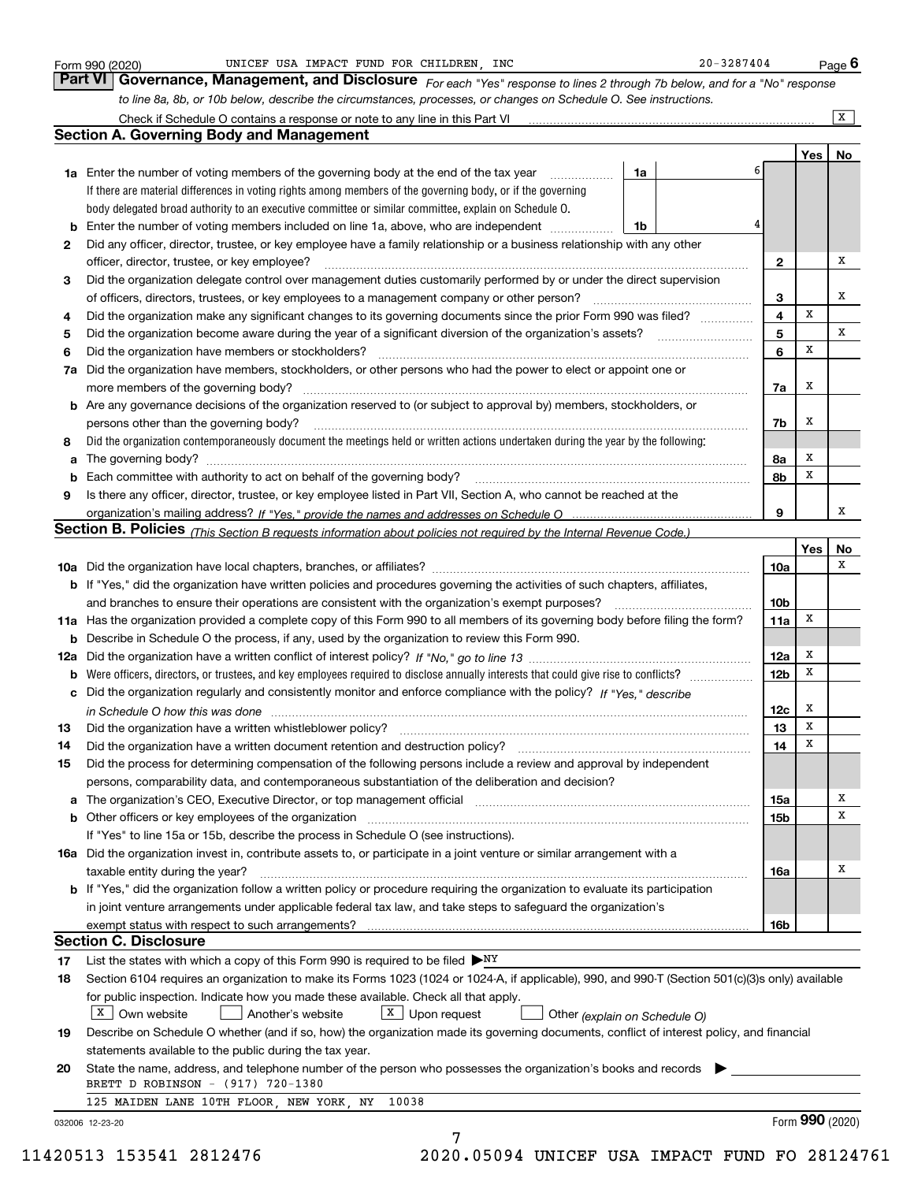|    | Check if Schedule O contains a response or note to any line in this Part VI<br><b>Section A. Governing Body and Management</b>                                                                                                 |                 |     | $\overline{\mathbf{x}}$ |
|----|--------------------------------------------------------------------------------------------------------------------------------------------------------------------------------------------------------------------------------|-----------------|-----|-------------------------|
|    |                                                                                                                                                                                                                                |                 | Yes | No                      |
|    | 6<br><b>1a</b> Enter the number of voting members of the governing body at the end of the tax year<br>1a<br>.                                                                                                                  |                 |     |                         |
|    | If there are material differences in voting rights among members of the governing body, or if the governing                                                                                                                    |                 |     |                         |
|    | body delegated broad authority to an executive committee or similar committee, explain on Schedule O.                                                                                                                          |                 |     |                         |
| b  | 4<br>Enter the number of voting members included on line 1a, above, who are independent<br>1b                                                                                                                                  |                 |     |                         |
| 2  | Did any officer, director, trustee, or key employee have a family relationship or a business relationship with any other                                                                                                       |                 |     |                         |
|    | officer, director, trustee, or key employee?<br>.                                                                                                                                                                              | 2               |     | х                       |
| 3  | Did the organization delegate control over management duties customarily performed by or under the direct supervision                                                                                                          |                 |     |                         |
|    | of officers, directors, trustees, or key employees to a management company or other person?                                                                                                                                    | 3               |     | x                       |
| 4  | Did the organization make any significant changes to its governing documents since the prior Form 990 was filed?                                                                                                               | 4               | X   |                         |
| 5  |                                                                                                                                                                                                                                | 5               |     | x                       |
| 6  | Did the organization have members or stockholders?                                                                                                                                                                             | 6               | X   |                         |
| 7a | Did the organization have members, stockholders, or other persons who had the power to elect or appoint one or                                                                                                                 |                 |     |                         |
|    |                                                                                                                                                                                                                                | 7a              | x   |                         |
| b  | Are any governance decisions of the organization reserved to (or subject to approval by) members, stockholders, or                                                                                                             |                 |     |                         |
|    | persons other than the governing body?                                                                                                                                                                                         | 7b              | x   |                         |
| 8  | Did the organization contemporaneously document the meetings held or written actions undertaken during the vear by the following:                                                                                              |                 |     |                         |
| a  |                                                                                                                                                                                                                                | 8a              | X   |                         |
| b  |                                                                                                                                                                                                                                | 8b              | X   |                         |
| 9  | Is there any officer, director, trustee, or key employee listed in Part VII, Section A, who cannot be reached at the                                                                                                           |                 |     |                         |
|    |                                                                                                                                                                                                                                | 9               |     | х                       |
|    | Section B. Policies (This Section B requests information about policies not required by the Internal Revenue Code.)                                                                                                            |                 |     |                         |
|    |                                                                                                                                                                                                                                |                 | Yes | No                      |
|    |                                                                                                                                                                                                                                | 10a             |     | х                       |
|    | b If "Yes," did the organization have written policies and procedures governing the activities of such chapters, affiliates,                                                                                                   |                 |     |                         |
|    | and branches to ensure their operations are consistent with the organization's exempt purposes?                                                                                                                                | 10 <sub>b</sub> |     |                         |
|    | 11a Has the organization provided a complete copy of this Form 990 to all members of its governing body before filing the form?                                                                                                | 11a             | x   |                         |
| b  | Describe in Schedule O the process, if any, used by the organization to review this Form 990.                                                                                                                                  |                 |     |                         |
|    |                                                                                                                                                                                                                                | 12a             | x   |                         |
| b  |                                                                                                                                                                                                                                | 12b             | х   |                         |
| с  | Did the organization regularly and consistently monitor and enforce compliance with the policy? If "Yes," describe                                                                                                             |                 |     |                         |
|    | in Schedule O how this was done measured and contain an according to the state of the state of the state of th                                                                                                                 | 12c             | x   |                         |
|    |                                                                                                                                                                                                                                | 13              | X   |                         |
| 14 | Did the organization have a written document retention and destruction policy? manufactured and the organization have a written document retention and destruction policy?                                                     | 14              | х   |                         |
| 15 | Did the process for determining compensation of the following persons include a review and approval by independent                                                                                                             |                 |     |                         |
|    | persons, comparability data, and contemporaneous substantiation of the deliberation and decision?                                                                                                                              |                 |     |                         |
|    | a The organization's CEO, Executive Director, or top management official [11] [11] The organization's CEO, Executive Director, or top management official [11] [11] [11] The organization of the state of the state of the sta | 15a             |     | Х                       |
| b  | Other officers or key employees of the organization                                                                                                                                                                            | 15b             |     | х                       |
|    | If "Yes" to line 15a or 15b, describe the process in Schedule O (see instructions).                                                                                                                                            |                 |     |                         |
|    | 16a Did the organization invest in, contribute assets to, or participate in a joint venture or similar arrangement with a                                                                                                      |                 |     |                         |
|    | taxable entity during the year?                                                                                                                                                                                                | 16a             |     | Х                       |
|    | b If "Yes," did the organization follow a written policy or procedure requiring the organization to evaluate its participation                                                                                                 |                 |     |                         |
|    | in joint venture arrangements under applicable federal tax law, and take steps to safeguard the organization's                                                                                                                 |                 |     |                         |
|    |                                                                                                                                                                                                                                | 16b             |     |                         |
|    | <b>Section C. Disclosure</b>                                                                                                                                                                                                   |                 |     |                         |
| 17 | List the states with which a copy of this Form 990 is required to be filed $\triangleright_{\text{NY}}$                                                                                                                        |                 |     |                         |
| 18 | Section 6104 requires an organization to make its Forms 1023 (1024 or 1024-A, if applicable), 990, and 990-T (Section 501(c)(3)s only) available                                                                               |                 |     |                         |
|    | for public inspection. Indicate how you made these available. Check all that apply.                                                                                                                                            |                 |     |                         |
|    | $\boxed{\text{X}}$ Upon request<br>  X   Own website<br>Another's website<br>Other (explain on Schedule O)                                                                                                                     |                 |     |                         |
| 19 | Describe on Schedule O whether (and if so, how) the organization made its governing documents, conflict of interest policy, and financial                                                                                      |                 |     |                         |
|    | statements available to the public during the tax year.                                                                                                                                                                        |                 |     |                         |
| 20 | State the name, address, and telephone number of the person who possesses the organization's books and records                                                                                                                 |                 |     |                         |
|    | BRETT D ROBINSON - (917) 720-1380                                                                                                                                                                                              |                 |     |                         |
|    |                                                                                                                                                                                                                                |                 |     |                         |
|    | 125 MAIDEN LANE 10TH FLOOR, NEW YORK, NY 10038                                                                                                                                                                                 |                 |     |                         |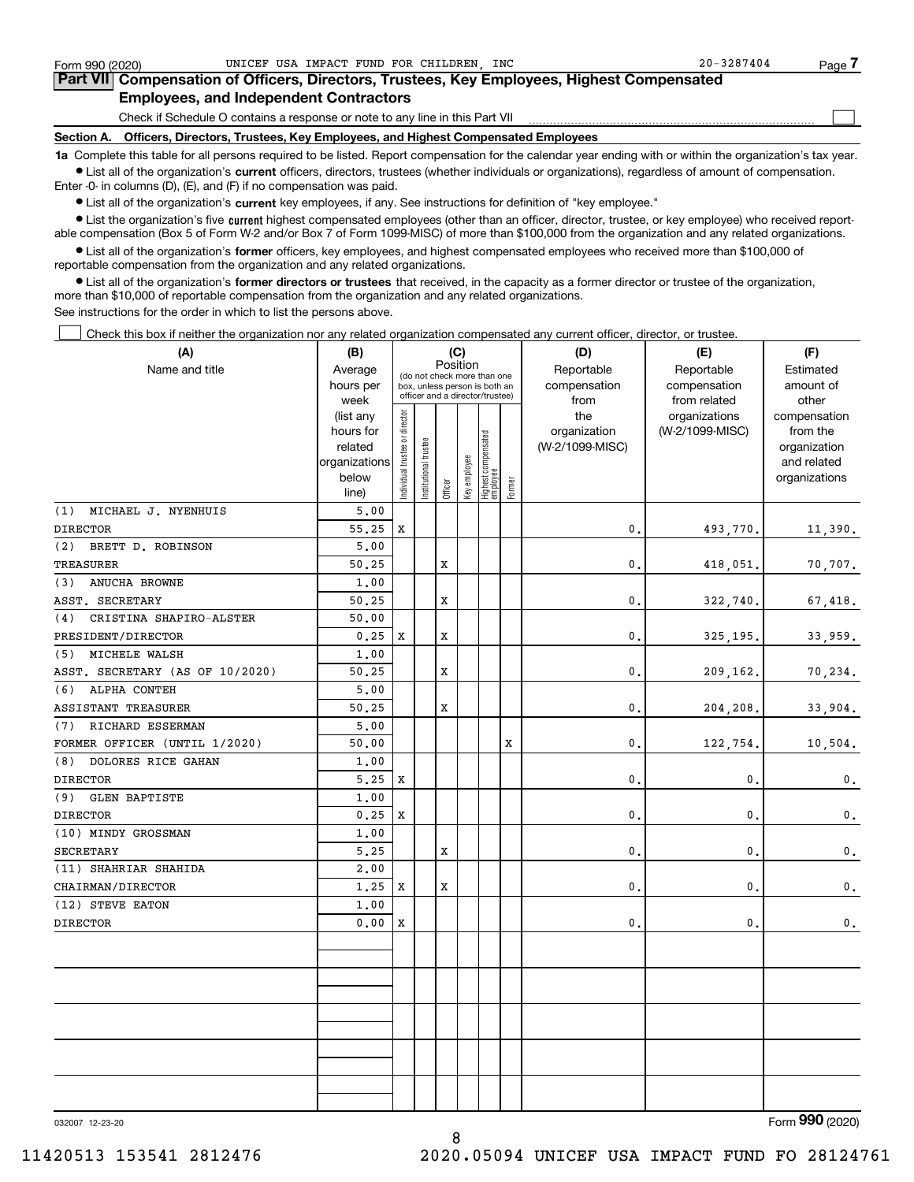$\mathcal{L}^{\text{max}}$ 

| Form 990 (2020) |                                               | UNICEF USA IMPACT FUND FOR CHILDREN INC |  |  | $20 - 3287404$                                                                             | Page ' |
|-----------------|-----------------------------------------------|-----------------------------------------|--|--|--------------------------------------------------------------------------------------------|--------|
|                 |                                               |                                         |  |  | Part VII Compensation of Officers, Directors, Trustees, Key Employees, Highest Compensated |        |
|                 | <b>Employees, and Independent Contractors</b> |                                         |  |  |                                                                                            |        |

Check if Schedule O contains a response or note to any line in this Part VII

**Section A. Officers, Directors, Trustees, Key Employees, and Highest Compensated Employees**

**1a**  Complete this table for all persons required to be listed. Report compensation for the calendar year ending with or within the organization's tax year. **•** List all of the organization's current officers, directors, trustees (whether individuals or organizations), regardless of amount of compensation.

Enter -0- in columns (D), (E), and (F) if no compensation was paid.

 $\bullet$  List all of the organization's  $\,$ current key employees, if any. See instructions for definition of "key employee."

**•** List the organization's five current highest compensated employees (other than an officer, director, trustee, or key employee) who received reportable compensation (Box 5 of Form W-2 and/or Box 7 of Form 1099-MISC) of more than \$100,000 from the organization and any related organizations.

**•** List all of the organization's former officers, key employees, and highest compensated employees who received more than \$100,000 of reportable compensation from the organization and any related organizations.

**former directors or trustees**  ¥ List all of the organization's that received, in the capacity as a former director or trustee of the organization, more than \$10,000 of reportable compensation from the organization and any related organizations.

See instructions for the order in which to list the persons above.

**(A)**

Check this box if neither the organization nor any related organization compensated any current officer, director, or trustee.  $\mathcal{L}^{\text{max}}$ 

| (A)                             | (B)                  | (C)                                     |                      |         |              |                                                                  |        | (D)             | (E)             | (F)                         |
|---------------------------------|----------------------|-----------------------------------------|----------------------|---------|--------------|------------------------------------------------------------------|--------|-----------------|-----------------|-----------------------------|
| Name and title                  | Average              | Position<br>(do not check more than one |                      |         |              |                                                                  |        | Reportable      | Reportable      | Estimated                   |
|                                 | hours per            |                                         |                      |         |              | box, unless person is both an<br>officer and a director/trustee) |        | compensation    | compensation    | amount of                   |
|                                 | week                 |                                         |                      |         |              |                                                                  |        | from            | from related    | other                       |
|                                 | (list any            |                                         |                      |         |              |                                                                  |        | the             | organizations   | compensation                |
|                                 | hours for<br>related |                                         |                      |         |              |                                                                  |        | organization    | (W-2/1099-MISC) | from the                    |
|                                 | organizations        |                                         |                      |         |              |                                                                  |        | (W-2/1099-MISC) |                 | organization<br>and related |
|                                 | below                |                                         |                      |         |              |                                                                  |        |                 |                 | organizations               |
|                                 | line)                | ndividual trustee or director           | nstitutional trustee | Officer | Key employee | Highest compensated<br>employee                                  | Former |                 |                 |                             |
| MICHAEL J. NYENHUIS<br>(1)      | 5,00                 |                                         |                      |         |              |                                                                  |        |                 |                 |                             |
| <b>DIRECTOR</b>                 | 55.25                | х                                       |                      |         |              |                                                                  |        | 0.              | 493,770.        | 11,390.                     |
| (2)<br>BRETT D. ROBINSON        | 5,00                 |                                         |                      |         |              |                                                                  |        |                 |                 |                             |
| <b>TREASURER</b>                | 50.25                |                                         |                      | X       |              |                                                                  |        | 0.              | 418,051.        | 70,707.                     |
| ANUCHA BROWNE<br>(3)            | 1.00                 |                                         |                      |         |              |                                                                  |        |                 |                 |                             |
| ASST. SECRETARY                 | 50.25                |                                         |                      | X       |              |                                                                  |        | 0.              | 322,740.        | 67,418.                     |
| CRISTINA SHAPIRO-ALSTER<br>(4)  | 50.00                |                                         |                      |         |              |                                                                  |        |                 |                 |                             |
| PRESIDENT/DIRECTOR              | 0.25                 | X                                       |                      | X       |              |                                                                  |        | 0.              | 325,195.        | 33,959.                     |
| MICHELE WALSH<br>(5)            | 1.00                 |                                         |                      |         |              |                                                                  |        |                 |                 |                             |
| ASST. SECRETARY (AS OF 10/2020) | 50.25                |                                         |                      | X       |              |                                                                  |        | 0.              | 209,162.        | 70,234.                     |
| ALPHA CONTEH<br>(6)             | 5.00                 |                                         |                      |         |              |                                                                  |        |                 |                 |                             |
| ASSISTANT TREASURER             | 50.25                |                                         |                      | X       |              |                                                                  |        | $\mathbf 0$ .   | 204,208.        | 33,904.                     |
| RICHARD ESSERMAN<br>(7)         | 5,00                 |                                         |                      |         |              |                                                                  |        |                 |                 |                             |
| FORMER OFFICER (UNTIL 1/2020)   | 50.00                |                                         |                      |         |              |                                                                  | X      | $\mathbf{0}$ .  | 122,754.        | 10,504.                     |
| (8)<br>DOLORES RICE GAHAN       | 1,00                 |                                         |                      |         |              |                                                                  |        |                 |                 |                             |
| <b>DIRECTOR</b>                 | 5.25                 | х                                       |                      |         |              |                                                                  |        | $\mathbf{0}$ .  | 0.              | $0$ .                       |
| (9)<br><b>GLEN BAPTISTE</b>     | 1.00                 |                                         |                      |         |              |                                                                  |        |                 |                 |                             |
| <b>DIRECTOR</b>                 | 0.25                 | х                                       |                      |         |              |                                                                  |        | 0.              | 0.              | 0.                          |
| (10) MINDY GROSSMAN             | 1,00                 |                                         |                      |         |              |                                                                  |        |                 |                 |                             |
| <b>SECRETARY</b>                | 5.25                 |                                         |                      | X       |              |                                                                  |        | $\mathbf{0}$ .  | 0.              | $\mathbf{0}$ .              |
| (11) SHAHRIAR SHAHIDA           | 2,00                 |                                         |                      |         |              |                                                                  |        |                 |                 |                             |
| CHAIRMAN/DIRECTOR               | 1.25                 | X                                       |                      | X       |              |                                                                  |        | $\mathbf{0}$ .  | 0.              | $\mathbf{0}$ .              |
| (12) STEVE EATON                | 1.00                 |                                         |                      |         |              |                                                                  |        |                 |                 |                             |
| <b>DIRECTOR</b>                 | 0.00                 | X                                       |                      |         |              |                                                                  |        | $\mathbf{0}$ .  | 0.              | $\mathbf 0$ .               |
|                                 |                      |                                         |                      |         |              |                                                                  |        |                 |                 |                             |
|                                 |                      |                                         |                      |         |              |                                                                  |        |                 |                 |                             |
|                                 |                      |                                         |                      |         |              |                                                                  |        |                 |                 |                             |
|                                 |                      |                                         |                      |         |              |                                                                  |        |                 |                 |                             |
|                                 |                      |                                         |                      |         |              |                                                                  |        |                 |                 |                             |
|                                 |                      |                                         |                      |         |              |                                                                  |        |                 |                 |                             |
|                                 |                      |                                         |                      |         |              |                                                                  |        |                 |                 |                             |
|                                 |                      |                                         |                      |         |              |                                                                  |        |                 |                 |                             |
|                                 |                      |                                         |                      |         |              |                                                                  |        |                 |                 |                             |
|                                 |                      |                                         |                      |         |              |                                                                  |        |                 |                 |                             |

8

032007 12-23-20

Form (2020) **990**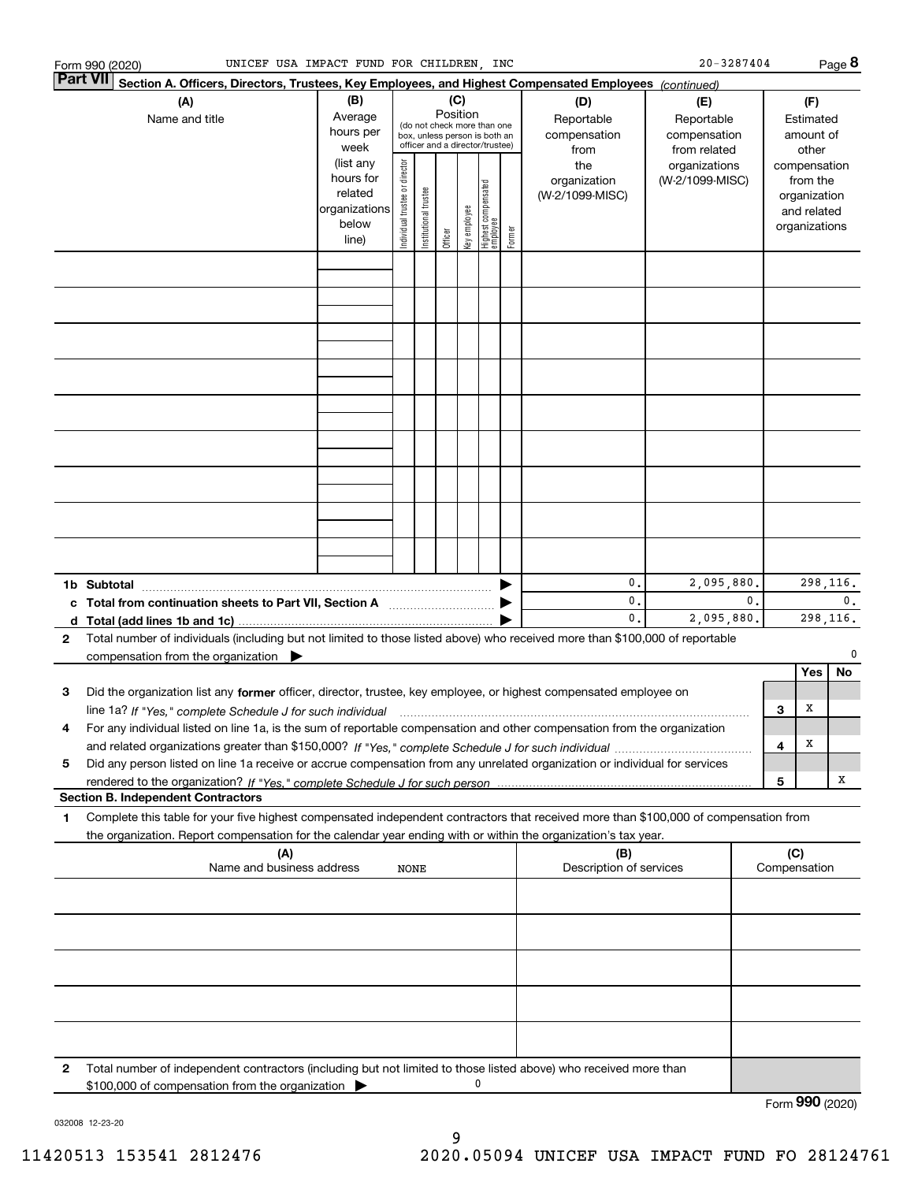|   | UNICEF USA IMPACT FUND FOR CHILDREN, INC<br>Form 990 (2020)                                                                                     |                        |                                |                       |          |              |                                                              |        |                                  |                 | $20 - 3287404$ |                     |               | Page 8 |
|---|-------------------------------------------------------------------------------------------------------------------------------------------------|------------------------|--------------------------------|-----------------------|----------|--------------|--------------------------------------------------------------|--------|----------------------------------|-----------------|----------------|---------------------|---------------|--------|
|   | <b>Part VII</b><br>Section A. Officers, Directors, Trustees, Key Employees, and Highest Compensated Employees (continued)                       |                        |                                |                       |          |              |                                                              |        |                                  |                 |                |                     |               |        |
|   | (A)                                                                                                                                             | (B)                    |                                |                       | (C)      |              |                                                              |        | (D)                              | (E)             |                |                     | (F)           |        |
|   | Name and title                                                                                                                                  | Average                |                                |                       | Position |              |                                                              |        | Reportable                       | Reportable      |                |                     | Estimated     |        |
|   |                                                                                                                                                 | hours per              |                                |                       |          |              | (do not check more than one<br>box, unless person is both an |        | compensation                     | compensation    |                |                     | amount of     |        |
|   |                                                                                                                                                 | week                   |                                |                       |          |              | officer and a director/trustee)                              |        | from                             | from related    |                |                     | other         |        |
|   |                                                                                                                                                 | (list any              |                                |                       |          |              |                                                              |        | the                              | organizations   |                |                     | compensation  |        |
|   |                                                                                                                                                 | hours for              |                                |                       |          |              |                                                              |        | organization                     | (W-2/1099-MISC) |                |                     | from the      |        |
|   |                                                                                                                                                 | related                |                                |                       |          |              |                                                              |        | (W-2/1099-MISC)                  |                 |                |                     | organization  |        |
|   |                                                                                                                                                 | organizations<br>below |                                |                       |          |              |                                                              |        |                                  |                 |                |                     | and related   |        |
|   |                                                                                                                                                 | line)                  | Individual trustee or director | Institutional trustee | Officer  | Key employee | Highest compensated<br>employee                              | Former |                                  |                 |                |                     | organizations |        |
|   |                                                                                                                                                 |                        |                                |                       |          |              |                                                              |        |                                  |                 |                |                     |               |        |
|   |                                                                                                                                                 |                        |                                |                       |          |              |                                                              |        |                                  |                 |                |                     |               |        |
|   |                                                                                                                                                 |                        |                                |                       |          |              |                                                              |        |                                  |                 |                |                     |               |        |
|   |                                                                                                                                                 |                        |                                |                       |          |              |                                                              |        |                                  |                 |                |                     |               |        |
|   |                                                                                                                                                 |                        |                                |                       |          |              |                                                              |        |                                  |                 |                |                     |               |        |
|   |                                                                                                                                                 |                        |                                |                       |          |              |                                                              |        |                                  |                 |                |                     |               |        |
|   |                                                                                                                                                 |                        |                                |                       |          |              |                                                              |        |                                  |                 |                |                     |               |        |
|   |                                                                                                                                                 |                        |                                |                       |          |              |                                                              |        |                                  |                 |                |                     |               |        |
|   |                                                                                                                                                 |                        |                                |                       |          |              |                                                              |        |                                  |                 |                |                     |               |        |
|   |                                                                                                                                                 |                        |                                |                       |          |              |                                                              |        |                                  |                 |                |                     |               |        |
|   |                                                                                                                                                 |                        |                                |                       |          |              |                                                              |        |                                  |                 |                |                     |               |        |
|   |                                                                                                                                                 |                        |                                |                       |          |              |                                                              |        |                                  |                 |                |                     |               |        |
|   |                                                                                                                                                 |                        |                                |                       |          |              |                                                              |        |                                  |                 |                |                     |               |        |
|   |                                                                                                                                                 |                        |                                |                       |          |              |                                                              |        |                                  |                 |                |                     |               |        |
|   |                                                                                                                                                 |                        |                                |                       |          |              |                                                              |        |                                  |                 |                |                     |               |        |
|   |                                                                                                                                                 |                        |                                |                       |          |              |                                                              |        |                                  |                 |                |                     |               |        |
|   |                                                                                                                                                 |                        |                                |                       |          |              |                                                              |        |                                  |                 |                |                     |               |        |
|   |                                                                                                                                                 |                        |                                |                       |          |              |                                                              |        |                                  |                 |                |                     |               |        |
|   |                                                                                                                                                 |                        |                                |                       |          |              |                                                              |        |                                  |                 |                |                     |               |        |
|   |                                                                                                                                                 |                        |                                |                       |          |              |                                                              |        | $\mathbf{0}$ .<br>$\mathbf{0}$ . | 2,095,880.      | 0.             |                     | 298,116.      | 0.     |
|   | c Total from continuation sheets to Part VII, Section A manufactured by                                                                         |                        |                                |                       |          |              |                                                              |        | 0.                               |                 |                |                     |               |        |
|   |                                                                                                                                                 |                        |                                |                       |          |              |                                                              |        |                                  | 2,095,880.      |                |                     | 298,116.      |        |
| 2 | Total number of individuals (including but not limited to those listed above) who received more than \$100,000 of reportable                    |                        |                                |                       |          |              |                                                              |        |                                  |                 |                |                     |               | 0      |
|   | compensation from the organization $\blacktriangleright$                                                                                        |                        |                                |                       |          |              |                                                              |        |                                  |                 |                |                     | Yes           | No     |
|   |                                                                                                                                                 |                        |                                |                       |          |              |                                                              |        |                                  |                 |                |                     |               |        |
| 3 | Did the organization list any former officer, director, trustee, key employee, or highest compensated employee on                               |                        |                                |                       |          |              |                                                              |        |                                  |                 |                |                     | х             |        |
|   | line 1a? If "Yes," complete Schedule J for such individual manufactured contained and the 1a? If "Yes," complete Schedule J for such individual |                        |                                |                       |          |              |                                                              |        |                                  |                 |                | 3                   |               |        |
|   | For any individual listed on line 1a, is the sum of reportable compensation and other compensation from the organization                        |                        |                                |                       |          |              |                                                              |        |                                  |                 |                |                     | х             |        |
|   |                                                                                                                                                 |                        |                                |                       |          |              |                                                              |        |                                  |                 |                | 4                   |               |        |
| 5 | Did any person listed on line 1a receive or accrue compensation from any unrelated organization or individual for services                      |                        |                                |                       |          |              |                                                              |        |                                  |                 |                |                     |               | х      |
|   |                                                                                                                                                 |                        |                                |                       |          |              |                                                              |        |                                  |                 |                | 5                   |               |        |
|   | <b>Section B. Independent Contractors</b>                                                                                                       |                        |                                |                       |          |              |                                                              |        |                                  |                 |                |                     |               |        |
| 1 | Complete this table for your five highest compensated independent contractors that received more than \$100,000 of compensation from            |                        |                                |                       |          |              |                                                              |        |                                  |                 |                |                     |               |        |
|   | the organization. Report compensation for the calendar year ending with or within the organization's tax year.                                  |                        |                                |                       |          |              |                                                              |        |                                  |                 |                |                     |               |        |
|   | (A)<br>Name and business address                                                                                                                |                        | NONE                           |                       |          |              |                                                              |        | (B)<br>Description of services   |                 |                | (C)<br>Compensation |               |        |
|   |                                                                                                                                                 |                        |                                |                       |          |              |                                                              |        |                                  |                 |                |                     |               |        |
|   |                                                                                                                                                 |                        |                                |                       |          |              |                                                              |        |                                  |                 |                |                     |               |        |
|   |                                                                                                                                                 |                        |                                |                       |          |              |                                                              |        |                                  |                 |                |                     |               |        |
|   |                                                                                                                                                 |                        |                                |                       |          |              |                                                              |        |                                  |                 |                |                     |               |        |
|   |                                                                                                                                                 |                        |                                |                       |          |              |                                                              |        |                                  |                 |                |                     |               |        |
|   |                                                                                                                                                 |                        |                                |                       |          |              |                                                              |        |                                  |                 |                |                     |               |        |
|   |                                                                                                                                                 |                        |                                |                       |          |              |                                                              |        |                                  |                 |                |                     |               |        |
|   |                                                                                                                                                 |                        |                                |                       |          |              |                                                              |        |                                  |                 |                |                     |               |        |
|   |                                                                                                                                                 |                        |                                |                       |          |              |                                                              |        |                                  |                 |                |                     |               |        |
|   |                                                                                                                                                 |                        |                                |                       |          |              |                                                              |        |                                  |                 |                |                     |               |        |
|   |                                                                                                                                                 |                        |                                |                       |          |              |                                                              |        |                                  |                 |                |                     |               |        |
| 2 | Total number of independent contractors (including but not limited to those listed above) who received more than                                |                        |                                |                       |          |              | 0                                                            |        |                                  |                 |                |                     |               |        |
|   | \$100,000 of compensation from the organization                                                                                                 |                        |                                |                       |          |              |                                                              |        |                                  |                 |                |                     |               |        |
|   |                                                                                                                                                 |                        |                                |                       |          |              |                                                              |        |                                  |                 |                | Form 990 (2020)     |               |        |

032008 12-23-20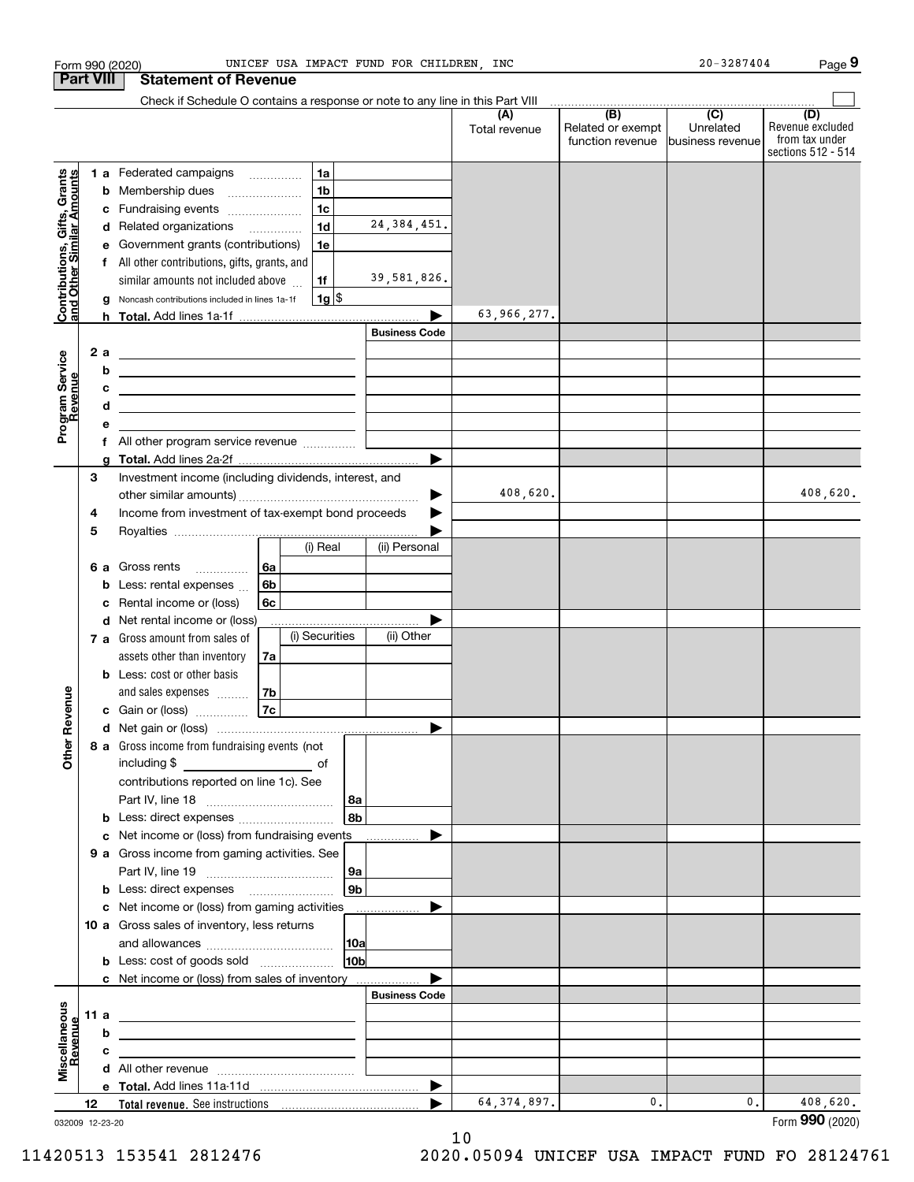|                                                           |                  |   | Form 990 (2020)                                                                                                        |    |                |                 | UNICEF USA IMPACT FUND FOR CHILDREN, INC |                      |                                              | $20 - 3287404$                                    | Page 9                                                          |
|-----------------------------------------------------------|------------------|---|------------------------------------------------------------------------------------------------------------------------|----|----------------|-----------------|------------------------------------------|----------------------|----------------------------------------------|---------------------------------------------------|-----------------------------------------------------------------|
|                                                           | <b>Part VIII</b> |   | <b>Statement of Revenue</b>                                                                                            |    |                |                 |                                          |                      |                                              |                                                   |                                                                 |
|                                                           |                  |   | Check if Schedule O contains a response or note to any line in this Part VIII                                          |    |                |                 |                                          |                      |                                              |                                                   |                                                                 |
|                                                           |                  |   |                                                                                                                        |    |                |                 |                                          | (A)<br>Total revenue | (B)<br>Related or exempt<br>function revenue | $\overline{(C)}$<br>Unrelated<br>business revenue | (D)<br>Revenue excluded<br>from tax under<br>sections 512 - 514 |
|                                                           |                  |   |                                                                                                                        |    |                |                 |                                          |                      |                                              |                                                   |                                                                 |
| Contributions, Gifts, Grants<br>and Other Similar Amounts |                  |   | 1 a Federated campaigns                                                                                                |    | 1a             |                 |                                          |                      |                                              |                                                   |                                                                 |
|                                                           |                  | b | Membership dues                                                                                                        |    | 1 <sub>b</sub> |                 |                                          |                      |                                              |                                                   |                                                                 |
|                                                           |                  | c | Fundraising events                                                                                                     |    | 1 <sub>c</sub> |                 |                                          |                      |                                              |                                                   |                                                                 |
|                                                           |                  | d | Related organizations                                                                                                  |    | 1 <sub>d</sub> |                 | 24, 384, 451.                            |                      |                                              |                                                   |                                                                 |
|                                                           |                  | е | Government grants (contributions)                                                                                      |    | 1e             |                 |                                          |                      |                                              |                                                   |                                                                 |
|                                                           |                  |   | f All other contributions, gifts, grants, and                                                                          |    |                |                 |                                          |                      |                                              |                                                   |                                                                 |
|                                                           |                  |   | similar amounts not included above                                                                                     |    | 1f             |                 | 39,581,826.                              |                      |                                              |                                                   |                                                                 |
|                                                           |                  | g | Noncash contributions included in lines 1a-1f                                                                          |    | $1g$ \$        |                 |                                          |                      |                                              |                                                   |                                                                 |
|                                                           |                  |   |                                                                                                                        |    |                |                 |                                          | 63,966,277.          |                                              |                                                   |                                                                 |
|                                                           |                  |   |                                                                                                                        |    |                |                 | <b>Business Code</b>                     |                      |                                              |                                                   |                                                                 |
| Program Service<br>Revenue                                | 2a               |   |                                                                                                                        |    |                |                 |                                          |                      |                                              |                                                   |                                                                 |
|                                                           |                  | b | <u> 1989 - Johann Barbara, martin amerikan basar dan berasal dalam basa dalam basar dalam basar dalam basar dala</u>   |    |                |                 |                                          |                      |                                              |                                                   |                                                                 |
|                                                           |                  | c | <u> 1989 - Johann Barn, mars ann an t-Amhain ann an t-Amhain an t-Amhain an t-Amhain an t-Amhain an t-Amhain an t-</u> |    |                |                 |                                          |                      |                                              |                                                   |                                                                 |
|                                                           |                  | d | <u> 1980 - Johann Barbara, martin amerikan basar dan berasal dalam basar dalam basar dalam basar dalam basar dala</u>  |    |                |                 |                                          |                      |                                              |                                                   |                                                                 |
|                                                           |                  | е |                                                                                                                        |    |                |                 |                                          |                      |                                              |                                                   |                                                                 |
|                                                           |                  |   |                                                                                                                        |    |                |                 |                                          |                      |                                              |                                                   |                                                                 |
|                                                           |                  | g |                                                                                                                        |    |                |                 |                                          |                      |                                              |                                                   |                                                                 |
|                                                           | 3                |   | Investment income (including dividends, interest, and                                                                  |    |                |                 |                                          |                      |                                              |                                                   |                                                                 |
|                                                           |                  |   |                                                                                                                        |    |                |                 |                                          | 408,620.             |                                              |                                                   | 408,620.                                                        |
|                                                           | 4                |   | Income from investment of tax-exempt bond proceeds                                                                     |    |                |                 |                                          |                      |                                              |                                                   |                                                                 |
|                                                           | 5                |   |                                                                                                                        |    |                |                 |                                          |                      |                                              |                                                   |                                                                 |
|                                                           |                  |   |                                                                                                                        |    | (i) Real       |                 | (ii) Personal                            |                      |                                              |                                                   |                                                                 |
|                                                           |                  |   | 6 a Gross rents                                                                                                        | 6a |                |                 |                                          |                      |                                              |                                                   |                                                                 |
|                                                           |                  | b | Less: rental expenses                                                                                                  | 6b |                |                 |                                          |                      |                                              |                                                   |                                                                 |
|                                                           |                  | c | Rental income or (loss)                                                                                                | 6c |                |                 |                                          |                      |                                              |                                                   |                                                                 |
|                                                           |                  | d | Net rental income or (loss)                                                                                            |    |                |                 |                                          |                      |                                              |                                                   |                                                                 |
|                                                           |                  |   | 7 a Gross amount from sales of                                                                                         |    | (i) Securities |                 | (ii) Other                               |                      |                                              |                                                   |                                                                 |
|                                                           |                  |   | assets other than inventory                                                                                            | 7a |                |                 |                                          |                      |                                              |                                                   |                                                                 |
|                                                           |                  |   | <b>b</b> Less: cost or other basis                                                                                     |    |                |                 |                                          |                      |                                              |                                                   |                                                                 |
| anueve                                                    |                  |   | and sales expenses                                                                                                     | 7b |                |                 |                                          |                      |                                              |                                                   |                                                                 |
|                                                           |                  |   | c Gain or (loss)                                                                                                       | 7c |                |                 |                                          |                      |                                              |                                                   |                                                                 |
|                                                           |                  |   |                                                                                                                        |    |                |                 |                                          |                      |                                              |                                                   |                                                                 |
| Other R                                                   |                  |   | 8 a Gross income from fundraising events (not                                                                          |    |                |                 |                                          |                      |                                              |                                                   |                                                                 |
|                                                           |                  |   | including \$<br><u> 1989 - Andrea State Barnett, amerikansk politik (</u>                                              |    | of             |                 |                                          |                      |                                              |                                                   |                                                                 |
|                                                           |                  |   | contributions reported on line 1c). See                                                                                |    |                |                 |                                          |                      |                                              |                                                   |                                                                 |
|                                                           |                  |   |                                                                                                                        |    |                | 8a              |                                          |                      |                                              |                                                   |                                                                 |
|                                                           |                  | b |                                                                                                                        |    |                | l 8b            |                                          |                      |                                              |                                                   |                                                                 |
|                                                           |                  | c | Net income or (loss) from fundraising events                                                                           |    |                |                 | .                                        |                      |                                              |                                                   |                                                                 |
|                                                           |                  |   | 9 a Gross income from gaming activities. See                                                                           |    |                |                 |                                          |                      |                                              |                                                   |                                                                 |
|                                                           |                  |   |                                                                                                                        |    |                | 9a              |                                          |                      |                                              |                                                   |                                                                 |
|                                                           |                  | b |                                                                                                                        |    |                | 9b              |                                          |                      |                                              |                                                   |                                                                 |
|                                                           |                  |   | c Net income or (loss) from gaming activities                                                                          |    |                |                 |                                          |                      |                                              |                                                   |                                                                 |
|                                                           |                  |   | 10 a Gross sales of inventory, less returns                                                                            |    |                |                 |                                          |                      |                                              |                                                   |                                                                 |
|                                                           |                  |   |                                                                                                                        |    |                |                 |                                          |                      |                                              |                                                   |                                                                 |
|                                                           |                  |   |                                                                                                                        |    |                | 10 <sub>b</sub> |                                          |                      |                                              |                                                   |                                                                 |
|                                                           |                  |   | c Net income or (loss) from sales of inventory                                                                         |    |                |                 |                                          |                      |                                              |                                                   |                                                                 |
|                                                           |                  |   |                                                                                                                        |    |                |                 | <b>Business Code</b>                     |                      |                                              |                                                   |                                                                 |
|                                                           | 11 a             |   |                                                                                                                        |    |                |                 |                                          |                      |                                              |                                                   |                                                                 |
|                                                           |                  | b |                                                                                                                        |    |                |                 |                                          |                      |                                              |                                                   |                                                                 |
| Miscellaneous<br>Revenue                                  |                  | c |                                                                                                                        |    |                |                 |                                          |                      |                                              |                                                   |                                                                 |
|                                                           |                  | d |                                                                                                                        |    |                |                 |                                          |                      |                                              |                                                   |                                                                 |
|                                                           |                  |   |                                                                                                                        |    |                |                 | $\blacktriangleright$                    |                      |                                              |                                                   |                                                                 |
|                                                           | 12               |   |                                                                                                                        |    |                |                 |                                          | 64, 374, 897.        | 0.                                           | 0.                                                | 408,620.                                                        |

032009 12-23-20

Form (2020) **990**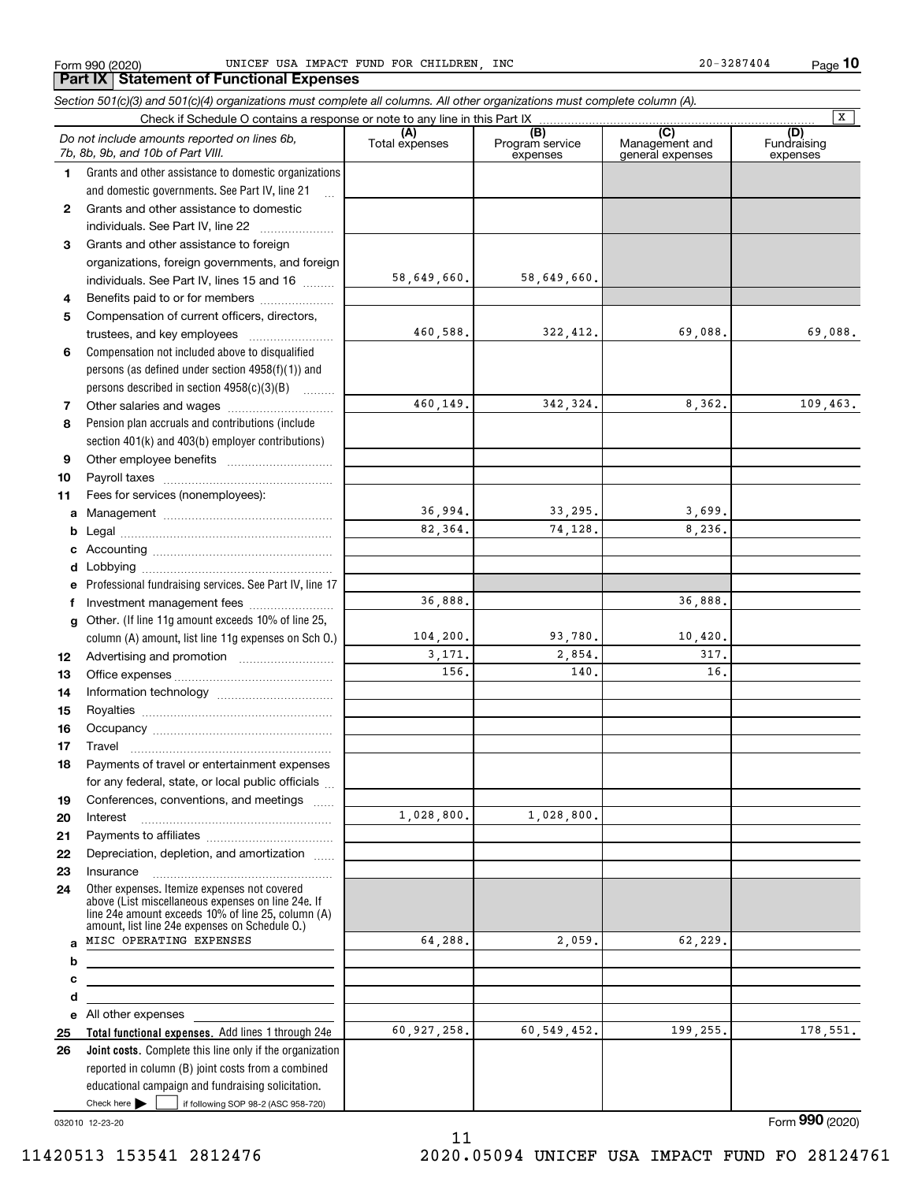**Part IX Statement of Functional Expenses**

Form 990 (2020) UNICEF USA IMPACT FUND FOR CHILDREN, INC 20-3287404 Page

**10**

|              | Section 501(c)(3) and 501(c)(4) organizations must complete all columns. All other organizations must complete column (A).                                                                                 |                       |                                    |                                                        |                                |
|--------------|------------------------------------------------------------------------------------------------------------------------------------------------------------------------------------------------------------|-----------------------|------------------------------------|--------------------------------------------------------|--------------------------------|
|              | Check if Schedule O contains a response or note to any line in this Part IX                                                                                                                                |                       |                                    |                                                        | $\overline{\mathbf{x}}$        |
|              | Do not include amounts reported on lines 6b,<br>7b, 8b, 9b, and 10b of Part VIII.                                                                                                                          | (A)<br>Total expenses | (B)<br>Program service<br>expenses | $\overline{(C)}$<br>Management and<br>general expenses | (D)<br>Fundraising<br>expenses |
| 1.           | Grants and other assistance to domestic organizations                                                                                                                                                      |                       |                                    |                                                        |                                |
|              | and domestic governments. See Part IV, line 21                                                                                                                                                             |                       |                                    |                                                        |                                |
| $\mathbf{2}$ | Grants and other assistance to domestic                                                                                                                                                                    |                       |                                    |                                                        |                                |
|              | individuals. See Part IV, line 22                                                                                                                                                                          |                       |                                    |                                                        |                                |
| 3            | Grants and other assistance to foreign                                                                                                                                                                     |                       |                                    |                                                        |                                |
|              | organizations, foreign governments, and foreign                                                                                                                                                            |                       |                                    |                                                        |                                |
|              | individuals. See Part IV, lines 15 and 16                                                                                                                                                                  | 58,649,660.           | 58,649,660.                        |                                                        |                                |
| 4            | Benefits paid to or for members                                                                                                                                                                            |                       |                                    |                                                        |                                |
| 5            | Compensation of current officers, directors,                                                                                                                                                               |                       |                                    |                                                        |                                |
|              | trustees, and key employees                                                                                                                                                                                | 460,588.              | 322,412.                           | 69,088.                                                | 69,088.                        |
| 6            | Compensation not included above to disqualified                                                                                                                                                            |                       |                                    |                                                        |                                |
|              | persons (as defined under section 4958(f)(1)) and                                                                                                                                                          |                       |                                    |                                                        |                                |
|              | persons described in section 4958(c)(3)(B)                                                                                                                                                                 |                       |                                    |                                                        |                                |
| 7            |                                                                                                                                                                                                            | 460,149.              | 342,324.                           | 8,362.                                                 | 109,463.                       |
| 8            | Pension plan accruals and contributions (include                                                                                                                                                           |                       |                                    |                                                        |                                |
|              | section 401(k) and 403(b) employer contributions)                                                                                                                                                          |                       |                                    |                                                        |                                |
| 9            |                                                                                                                                                                                                            |                       |                                    |                                                        |                                |
| 10           |                                                                                                                                                                                                            |                       |                                    |                                                        |                                |
| 11           | Fees for services (nonemployees):                                                                                                                                                                          |                       |                                    |                                                        |                                |
| а            |                                                                                                                                                                                                            | 36,994.               | 33,295.                            | 3,699.                                                 |                                |
| b            |                                                                                                                                                                                                            | 82,364.               | 74,128.                            | 8,236.                                                 |                                |
| c            |                                                                                                                                                                                                            |                       |                                    |                                                        |                                |
| d            |                                                                                                                                                                                                            |                       |                                    |                                                        |                                |
| е            | Professional fundraising services. See Part IV, line 17                                                                                                                                                    |                       |                                    |                                                        |                                |
| f            | Investment management fees                                                                                                                                                                                 | 36,888.               |                                    | 36,888.                                                |                                |
| g            | Other. (If line 11g amount exceeds 10% of line 25,                                                                                                                                                         |                       |                                    |                                                        |                                |
|              | column (A) amount, list line 11g expenses on Sch 0.)                                                                                                                                                       | 104, 200.             | 93,780.                            | 10,420.                                                |                                |
| 12           |                                                                                                                                                                                                            | 3,171.                | 2,854.                             | 317.                                                   |                                |
| 13           |                                                                                                                                                                                                            | 156.                  | 140.                               | 16.                                                    |                                |
| 14           |                                                                                                                                                                                                            |                       |                                    |                                                        |                                |
| 15           |                                                                                                                                                                                                            |                       |                                    |                                                        |                                |
| 16           |                                                                                                                                                                                                            |                       |                                    |                                                        |                                |
| 17           |                                                                                                                                                                                                            |                       |                                    |                                                        |                                |
| 18           | Payments of travel or entertainment expenses                                                                                                                                                               |                       |                                    |                                                        |                                |
|              | for any federal, state, or local public officials                                                                                                                                                          |                       |                                    |                                                        |                                |
| 19           | Conferences, conventions, and meetings                                                                                                                                                                     |                       |                                    |                                                        |                                |
| 20           | Interest                                                                                                                                                                                                   | 1,028,800.            | 1,028,800.                         |                                                        |                                |
| 21           |                                                                                                                                                                                                            |                       |                                    |                                                        |                                |
| 22           | Depreciation, depletion, and amortization                                                                                                                                                                  |                       |                                    |                                                        |                                |
| 23           | Insurance                                                                                                                                                                                                  |                       |                                    |                                                        |                                |
| 24           | Other expenses. Itemize expenses not covered<br>above (List miscellaneous expenses on line 24e. If<br>line 24e amount exceeds 10% of line 25, column (A)<br>amount, list line 24e expenses on Schedule O.) |                       |                                    |                                                        |                                |
| a            | MISC OPERATING EXPENSES                                                                                                                                                                                    | 64,288.               | 2,059.                             | 62,229.                                                |                                |
| b            |                                                                                                                                                                                                            |                       |                                    |                                                        |                                |
| с            |                                                                                                                                                                                                            |                       |                                    |                                                        |                                |
| d            |                                                                                                                                                                                                            |                       |                                    |                                                        |                                |
|              | e All other expenses                                                                                                                                                                                       |                       |                                    |                                                        |                                |
| 25           | Total functional expenses. Add lines 1 through 24e                                                                                                                                                         | 60,927,258.           | 60, 549, 452.                      | 199,255.                                               | 178,551.                       |
| 26           | Joint costs. Complete this line only if the organization                                                                                                                                                   |                       |                                    |                                                        |                                |
|              | reported in column (B) joint costs from a combined                                                                                                                                                         |                       |                                    |                                                        |                                |
|              | educational campaign and fundraising solicitation.                                                                                                                                                         |                       |                                    |                                                        |                                |
|              | Check here $\blacktriangleright$<br>if following SOP 98-2 (ASC 958-720)                                                                                                                                    |                       |                                    |                                                        |                                |

032010 12-23-20

11 11420513 153541 2812476 2020.05094 UNICEF USA IMPACT FUND FO 28124761

Form (2020) **990**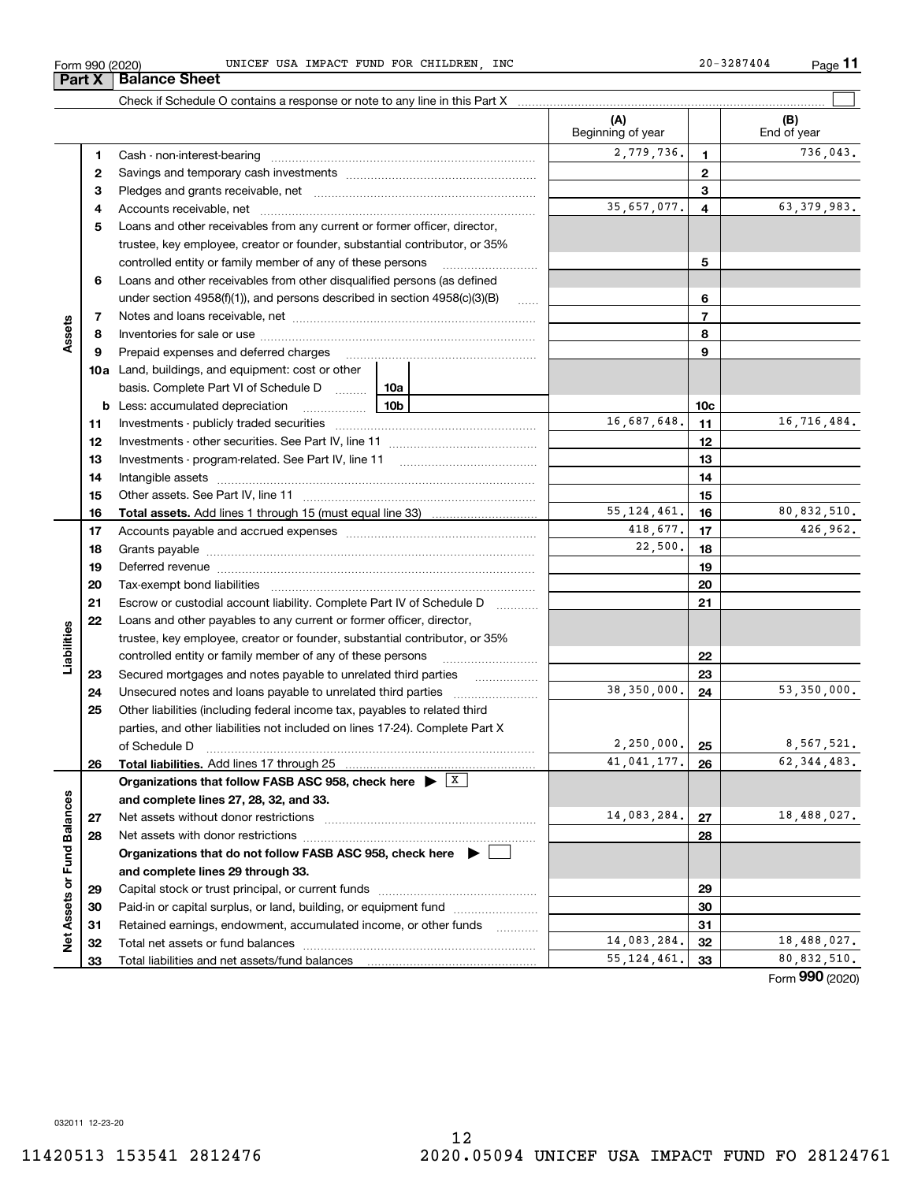**33**

**Net Assets or Fund Balances**

Net Assets or Fund Balances

## **29303132 33**55,124,461. 80,832,510.  $\blacktriangleright$ Total liabilities and net assets/fund balances Form (2020) **990**  $\mathcal{L}^{\text{max}}$  $\frac{18,488,027.}{80,832,510.}$

Form 990 (2020) UNICEF USA IMPACT FUND FOR CHILDREN, INC 20-3287404 Page

|    |                                                                                                                                                                                                                                |                 |                      | (A)<br>Beginning of year |                 | (B)<br>End of year |
|----|--------------------------------------------------------------------------------------------------------------------------------------------------------------------------------------------------------------------------------|-----------------|----------------------|--------------------------|-----------------|--------------------|
| 1  |                                                                                                                                                                                                                                |                 |                      | 2,779,736.               | 1               | 736,043.           |
| 2  |                                                                                                                                                                                                                                |                 |                      |                          | $\mathbf{2}$    |                    |
| з  |                                                                                                                                                                                                                                |                 |                      |                          | 3               |                    |
| 4  |                                                                                                                                                                                                                                |                 |                      | 35,657,077.              | 4               | 63, 379, 983.      |
| 5  | Loans and other receivables from any current or former officer, director,                                                                                                                                                      |                 |                      |                          |                 |                    |
|    | trustee, key employee, creator or founder, substantial contributor, or 35%                                                                                                                                                     |                 |                      |                          |                 |                    |
|    | controlled entity or family member of any of these persons                                                                                                                                                                     |                 |                      |                          | 5               |                    |
| 6  | Loans and other receivables from other disqualified persons (as defined                                                                                                                                                        |                 |                      |                          |                 |                    |
|    | under section 4958(f)(1)), and persons described in section 4958(c)(3)(B)                                                                                                                                                      |                 | $\ldots$             |                          | 6               |                    |
| 7  |                                                                                                                                                                                                                                |                 |                      |                          | $\overline{7}$  |                    |
| 8  |                                                                                                                                                                                                                                |                 | 8                    |                          |                 |                    |
| 9  | Prepaid expenses and deferred charges                                                                                                                                                                                          |                 |                      |                          | 9               |                    |
|    | <b>10a</b> Land, buildings, and equipment: cost or other                                                                                                                                                                       |                 |                      |                          |                 |                    |
|    | basis. Complete Part VI of Schedule D                                                                                                                                                                                          | 10a             |                      |                          |                 |                    |
|    | <b>b</b> Less: accumulated depreciation<br>the contract of the contract of                                                                                                                                                     | 10 <sub>b</sub> |                      |                          | 10 <sub>c</sub> |                    |
| 11 |                                                                                                                                                                                                                                |                 |                      | 16,687,648.              | 11              | 16,716,484.        |
| 12 |                                                                                                                                                                                                                                |                 |                      |                          | 12              |                    |
| 13 | Investments - program-related. See Part IV, line 11                                                                                                                                                                            |                 |                      |                          | 13              |                    |
| 14 |                                                                                                                                                                                                                                |                 |                      |                          | 14              |                    |
| 15 |                                                                                                                                                                                                                                |                 |                      |                          | 15              |                    |
| 16 |                                                                                                                                                                                                                                |                 |                      | 55, 124, 461.            | 16              | 80,832,510.        |
| 17 |                                                                                                                                                                                                                                |                 |                      | 418,677.                 | 17              | 426,962.           |
| 18 |                                                                                                                                                                                                                                |                 |                      | 22,500.                  | 18              |                    |
| 19 | Deferred revenue manual contracts and contracts are all the manual contracts and contracts are contracted and contracts are contracted and contract are contracted and contract are contracted and contract are contracted and |                 |                      |                          | 19              |                    |
| 20 |                                                                                                                                                                                                                                |                 |                      |                          | 20              |                    |
| 21 | Escrow or custodial account liability. Complete Part IV of Schedule D                                                                                                                                                          |                 | 1.1.1.1.1.1.1.1.1.1  |                          | 21              |                    |
| 22 | Loans and other payables to any current or former officer, director,                                                                                                                                                           |                 |                      |                          |                 |                    |
|    | trustee, key employee, creator or founder, substantial contributor, or 35%                                                                                                                                                     |                 |                      |                          |                 |                    |
|    | controlled entity or family member of any of these persons                                                                                                                                                                     |                 |                      |                          | 22              |                    |
| 23 | Secured mortgages and notes payable to unrelated third parties                                                                                                                                                                 |                 |                      |                          | 23              |                    |
| 24 |                                                                                                                                                                                                                                |                 |                      | 38,350,000.              | 24              | 53,350,000.        |
| 25 | Other liabilities (including federal income tax, payables to related third                                                                                                                                                     |                 |                      |                          |                 |                    |
|    | parties, and other liabilities not included on lines 17-24). Complete Part X                                                                                                                                                   |                 |                      |                          |                 |                    |
|    | of Schedule D                                                                                                                                                                                                                  |                 |                      | $2,250,000.$ 25          |                 | 8,567,521.         |
| 26 |                                                                                                                                                                                                                                |                 |                      | 41,041,177.              | 26              | 62, 344, 483.      |
|    | Organizations that follow FASB ASC 958, check here $\blacktriangleright$                                                                                                                                                       |                 | $\boxed{\mathbf{X}}$ |                          |                 |                    |
|    | and complete lines 27, 28, 32, and 33.                                                                                                                                                                                         |                 |                      |                          |                 |                    |
| 27 | Net assets without donor restrictions                                                                                                                                                                                          |                 |                      | 14,083,284.              | 27              | 18,488,027.        |
| 28 |                                                                                                                                                                                                                                |                 | 28                   |                          |                 |                    |
|    | Organizations that do not follow FASB ASC 958, check here $\blacktriangleright$                                                                                                                                                |                 |                      |                          |                 |                    |
|    | and complete lines 29 through 33.                                                                                                                                                                                              |                 |                      |                          |                 |                    |
| 29 |                                                                                                                                                                                                                                |                 |                      |                          | 29              |                    |
| 30 | Paid-in or capital surplus, or land, building, or equipment fund                                                                                                                                                               |                 |                      |                          | 30              |                    |
| 31 | Retained earnings, endowment, accumulated income, or other funds                                                                                                                                                               |                 |                      |                          | 31              |                    |
| 32 | Total net assets or fund balances                                                                                                                                                                                              |                 |                      | 14,083,284.              | 32              | 18,488,027.        |

12

 $\mathcal{L}^{\text{max}}$ 

## Check if Schedule O contains a response or note to any line in this Part X **Part X** | Balance Sheet

**Assets**

**Liabilities**

Liabilities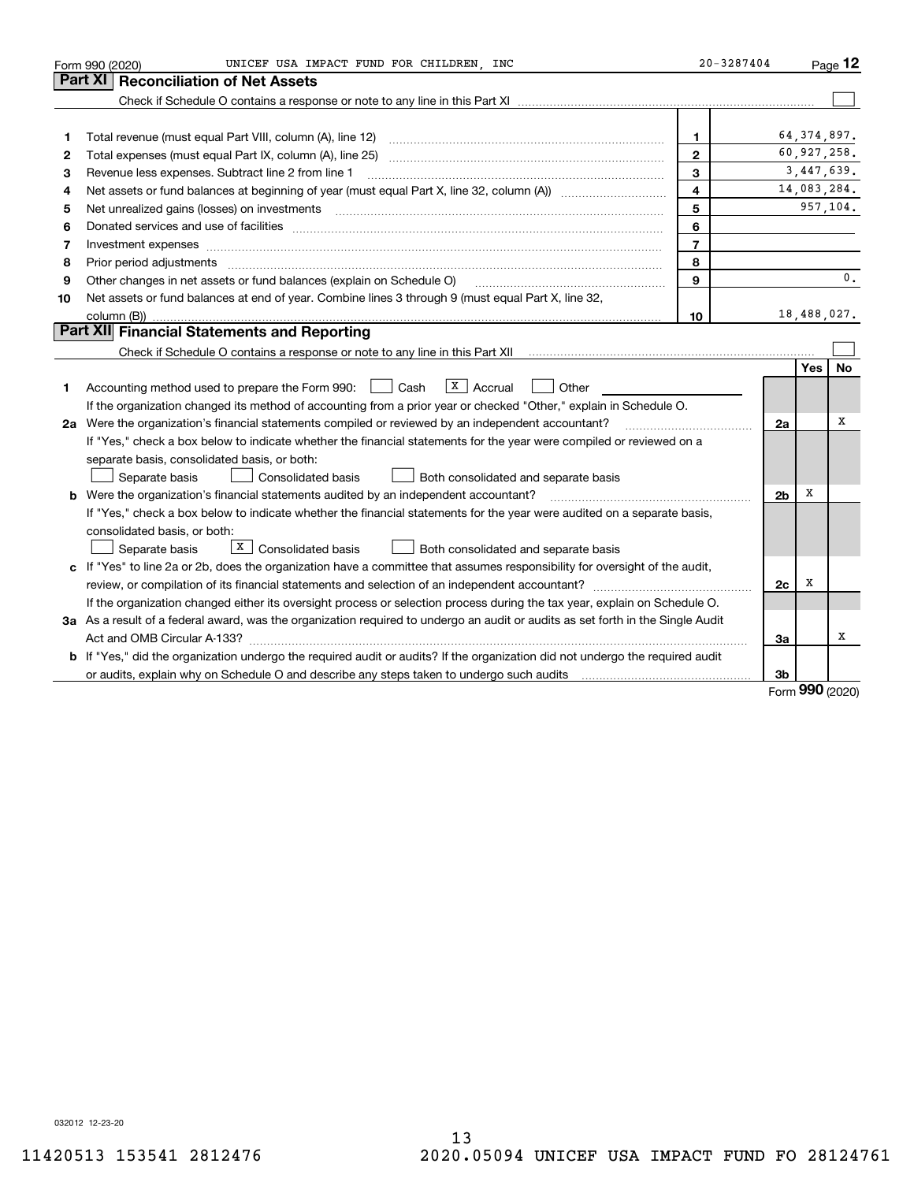|    | UNICEF USA IMPACT FUND FOR CHILDREN INC<br>Form 990 (2020)                                                                                                                                                                     | $20 - 3287404$           |                |     | Page 12       |
|----|--------------------------------------------------------------------------------------------------------------------------------------------------------------------------------------------------------------------------------|--------------------------|----------------|-----|---------------|
|    | <b>Reconciliation of Net Assets</b><br>Part XI                                                                                                                                                                                 |                          |                |     |               |
|    |                                                                                                                                                                                                                                |                          |                |     |               |
|    |                                                                                                                                                                                                                                |                          |                |     |               |
| 1  | Total revenue (must equal Part VIII, column (A), line 12)                                                                                                                                                                      | 1                        |                |     | 64, 374, 897. |
| 2  |                                                                                                                                                                                                                                | $\mathbf{2}$             |                |     | 60,927,258.   |
| з  | Revenue less expenses. Subtract line 2 from line 1                                                                                                                                                                             | 3                        |                |     | 3,447,639.    |
| 4  |                                                                                                                                                                                                                                | 4                        |                |     | 14,083,284.   |
| 5  |                                                                                                                                                                                                                                | 5                        |                |     | 957,104.      |
| 6  | Donated services and use of facilities [111] Donated and the service of facilities [11] Donated services and use of facilities [11] Donated and the service of the service of the service of the service of the service of the | 6                        |                |     |               |
| 7  | Investment expenses www.communication.communication.com/www.communication.com/www.communication.com                                                                                                                            | $\overline{\phantom{a}}$ |                |     |               |
| 8  | Prior period adjustments www.communication.communication.communication.com/                                                                                                                                                    | 8                        |                |     |               |
| 9  | Other changes in net assets or fund balances (explain on Schedule O)                                                                                                                                                           | 9                        |                |     | 0.            |
| 10 | Net assets or fund balances at end of year. Combine lines 3 through 9 (must equal Part X, line 32,                                                                                                                             |                          |                |     |               |
|    |                                                                                                                                                                                                                                | 10                       |                |     | 18,488,027.   |
|    | Part XII Financial Statements and Reporting                                                                                                                                                                                    |                          |                |     |               |
|    |                                                                                                                                                                                                                                |                          |                |     |               |
|    |                                                                                                                                                                                                                                |                          |                | Yes | No            |
| 1  | $\sqrt{\frac{x}{x}}$ Accrual<br>Accounting method used to prepare the Form 990: <u>June</u> Cash<br>Other                                                                                                                      |                          |                |     |               |
|    | If the organization changed its method of accounting from a prior year or checked "Other," explain in Schedule O.                                                                                                              |                          |                |     |               |
|    | 2a Were the organization's financial statements compiled or reviewed by an independent accountant?                                                                                                                             |                          | 2a             |     | x             |
|    | If "Yes," check a box below to indicate whether the financial statements for the year were compiled or reviewed on a                                                                                                           |                          |                |     |               |
|    | separate basis, consolidated basis, or both:                                                                                                                                                                                   |                          |                |     |               |
|    | Separate basis<br>Both consolidated and separate basis<br>Consolidated basis                                                                                                                                                   |                          |                |     |               |
|    | <b>b</b> Were the organization's financial statements audited by an independent accountant?                                                                                                                                    |                          | 2 <sub>b</sub> | х   |               |
|    | If "Yes," check a box below to indicate whether the financial statements for the year were audited on a separate basis,                                                                                                        |                          |                |     |               |
|    | consolidated basis, or both:                                                                                                                                                                                                   |                          |                |     |               |
|    | X  <br>Consolidated basis<br>Both consolidated and separate basis<br>Separate basis                                                                                                                                            |                          |                |     |               |
|    | c If "Yes" to line 2a or 2b, does the organization have a committee that assumes responsibility for oversight of the audit,                                                                                                    |                          |                |     |               |
|    |                                                                                                                                                                                                                                |                          | 2c             | х   |               |
|    | If the organization changed either its oversight process or selection process during the tax year, explain on Schedule O.                                                                                                      |                          |                |     |               |
|    | 3a As a result of a federal award, was the organization required to undergo an audit or audits as set forth in the Single Audit                                                                                                |                          |                |     |               |
|    |                                                                                                                                                                                                                                |                          | За             |     | х             |
|    | b If "Yes," did the organization undergo the required audit or audits? If the organization did not undergo the required audit                                                                                                  |                          |                |     |               |
|    |                                                                                                                                                                                                                                |                          | 3b             |     |               |

Form (2020) **990**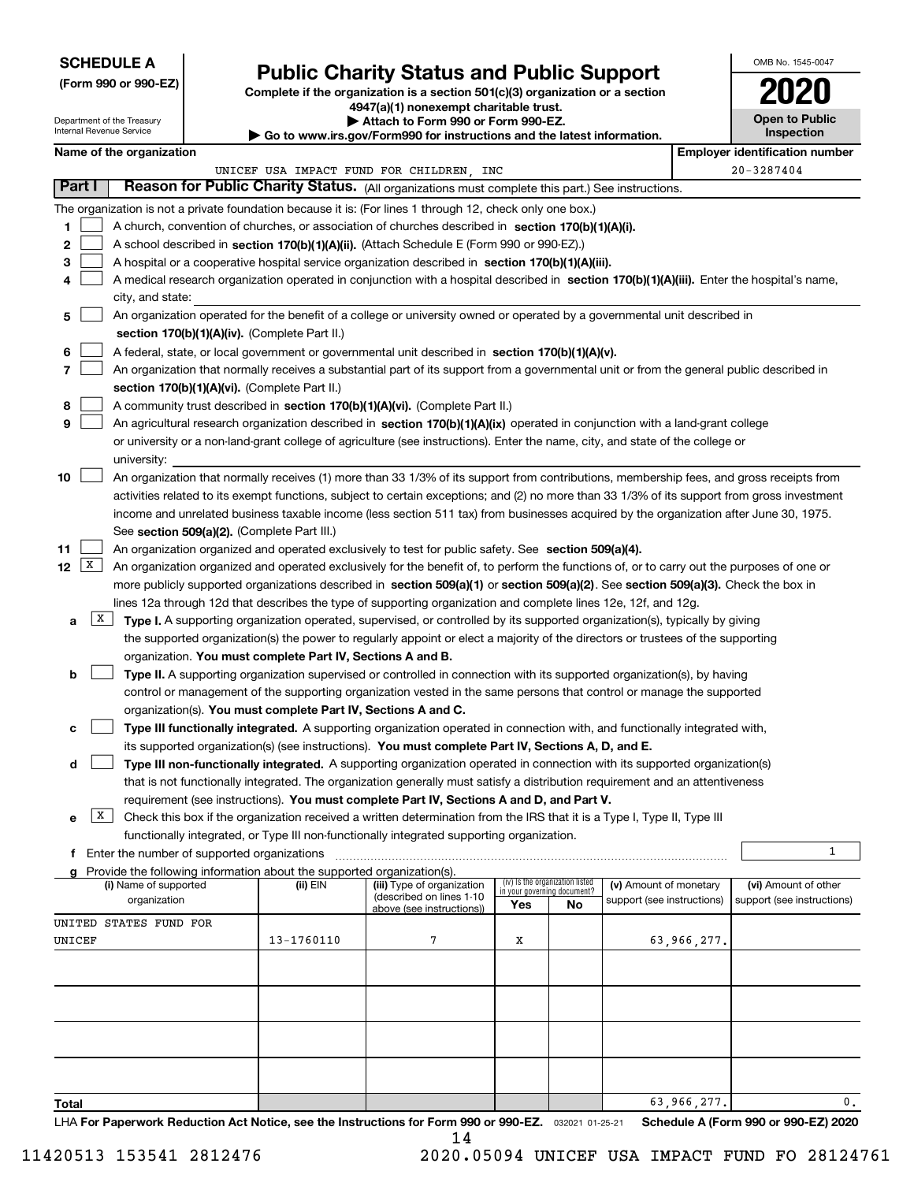## **SCHEDULE A**

Department of the Treasury

**(Form 990 or 990-EZ)**

## **Public Charity Status and Public Support**

OMB No. 1545-0047

**Open to Public**

**2020**

**Complete if the organization is a section 501(c)(3) organization or a section 4947(a)(1) nonexempt charitable trust.**

**| Attach to Form 990 or Form 990-EZ.** 

| Internal Revenue Service    |                                                                                                                                                                                                               |                                               |                                                                        | $\blacktriangleright$ Go to www.irs.gov/Form990 for instructions and the latest information.                                                                                                                             |                             |                                 |                            |             | <b>Inspection</b>                     |  |  |  |  |
|-----------------------------|---------------------------------------------------------------------------------------------------------------------------------------------------------------------------------------------------------------|-----------------------------------------------|------------------------------------------------------------------------|--------------------------------------------------------------------------------------------------------------------------------------------------------------------------------------------------------------------------|-----------------------------|---------------------------------|----------------------------|-------------|---------------------------------------|--|--|--|--|
|                             | Name of the organization                                                                                                                                                                                      |                                               |                                                                        |                                                                                                                                                                                                                          |                             |                                 |                            |             | <b>Employer identification number</b> |  |  |  |  |
| Part I                      |                                                                                                                                                                                                               |                                               |                                                                        | UNICEF USA IMPACT FUND FOR CHILDREN, INC                                                                                                                                                                                 |                             |                                 |                            |             | $20 - 3287404$                        |  |  |  |  |
|                             |                                                                                                                                                                                                               |                                               |                                                                        | Reason for Public Charity Status. (All organizations must complete this part.) See instructions.                                                                                                                         |                             |                                 |                            |             |                                       |  |  |  |  |
|                             |                                                                                                                                                                                                               |                                               |                                                                        | The organization is not a private foundation because it is: (For lines 1 through 12, check only one box.)                                                                                                                |                             |                                 |                            |             |                                       |  |  |  |  |
| 1.                          |                                                                                                                                                                                                               |                                               |                                                                        | A church, convention of churches, or association of churches described in section 170(b)(1)(A)(i).                                                                                                                       |                             |                                 |                            |             |                                       |  |  |  |  |
| 2                           |                                                                                                                                                                                                               |                                               |                                                                        | A school described in section 170(b)(1)(A)(ii). (Attach Schedule E (Form 990 or 990-EZ).)                                                                                                                                |                             |                                 |                            |             |                                       |  |  |  |  |
| 3                           |                                                                                                                                                                                                               |                                               |                                                                        | A hospital or a cooperative hospital service organization described in section 170(b)(1)(A)(iii).                                                                                                                        |                             |                                 |                            |             |                                       |  |  |  |  |
| 4                           | city, and state:                                                                                                                                                                                              |                                               |                                                                        | A medical research organization operated in conjunction with a hospital described in section 170(b)(1)(A)(iii). Enter the hospital's name,                                                                               |                             |                                 |                            |             |                                       |  |  |  |  |
| 5                           |                                                                                                                                                                                                               |                                               |                                                                        | An organization operated for the benefit of a college or university owned or operated by a governmental unit described in                                                                                                |                             |                                 |                            |             |                                       |  |  |  |  |
|                             |                                                                                                                                                                                                               |                                               | section 170(b)(1)(A)(iv). (Complete Part II.)                          |                                                                                                                                                                                                                          |                             |                                 |                            |             |                                       |  |  |  |  |
| 6                           |                                                                                                                                                                                                               |                                               |                                                                        | A federal, state, or local government or governmental unit described in section 170(b)(1)(A)(v).                                                                                                                         |                             |                                 |                            |             |                                       |  |  |  |  |
| $\overline{7}$              |                                                                                                                                                                                                               |                                               |                                                                        | An organization that normally receives a substantial part of its support from a governmental unit or from the general public described in                                                                                |                             |                                 |                            |             |                                       |  |  |  |  |
|                             |                                                                                                                                                                                                               |                                               | section 170(b)(1)(A)(vi). (Complete Part II.)                          |                                                                                                                                                                                                                          |                             |                                 |                            |             |                                       |  |  |  |  |
| 8                           | A community trust described in section 170(b)(1)(A)(vi). (Complete Part II.)<br>An agricultural research organization described in section 170(b)(1)(A)(ix) operated in conjunction with a land-grant college |                                               |                                                                        |                                                                                                                                                                                                                          |                             |                                 |                            |             |                                       |  |  |  |  |
| 9                           |                                                                                                                                                                                                               |                                               |                                                                        |                                                                                                                                                                                                                          |                             |                                 |                            |             |                                       |  |  |  |  |
|                             |                                                                                                                                                                                                               |                                               |                                                                        | or university or a non-land-grant college of agriculture (see instructions). Enter the name, city, and state of the college or                                                                                           |                             |                                 |                            |             |                                       |  |  |  |  |
|                             | university:                                                                                                                                                                                                   |                                               |                                                                        |                                                                                                                                                                                                                          |                             |                                 |                            |             |                                       |  |  |  |  |
| 10                          |                                                                                                                                                                                                               |                                               |                                                                        | An organization that normally receives (1) more than 33 1/3% of its support from contributions, membership fees, and gross receipts from                                                                                 |                             |                                 |                            |             |                                       |  |  |  |  |
|                             |                                                                                                                                                                                                               |                                               |                                                                        | activities related to its exempt functions, subject to certain exceptions; and (2) no more than 33 1/3% of its support from gross investment                                                                             |                             |                                 |                            |             |                                       |  |  |  |  |
|                             |                                                                                                                                                                                                               |                                               |                                                                        | income and unrelated business taxable income (less section 511 tax) from businesses acquired by the organization after June 30, 1975.                                                                                    |                             |                                 |                            |             |                                       |  |  |  |  |
|                             |                                                                                                                                                                                                               |                                               | See section 509(a)(2). (Complete Part III.)                            |                                                                                                                                                                                                                          |                             |                                 |                            |             |                                       |  |  |  |  |
| 11<br>12 $\lfloor x \rceil$ |                                                                                                                                                                                                               |                                               |                                                                        | An organization organized and operated exclusively to test for public safety. See section 509(a)(4).                                                                                                                     |                             |                                 |                            |             |                                       |  |  |  |  |
|                             |                                                                                                                                                                                                               |                                               |                                                                        | An organization organized and operated exclusively for the benefit of, to perform the functions of, or to carry out the purposes of one or                                                                               |                             |                                 |                            |             |                                       |  |  |  |  |
|                             |                                                                                                                                                                                                               |                                               |                                                                        | more publicly supported organizations described in section 509(a)(1) or section 509(a)(2). See section 509(a)(3). Check the box in                                                                                       |                             |                                 |                            |             |                                       |  |  |  |  |
| X                           |                                                                                                                                                                                                               |                                               |                                                                        | lines 12a through 12d that describes the type of supporting organization and complete lines 12e, 12f, and 12g.                                                                                                           |                             |                                 |                            |             |                                       |  |  |  |  |
| a                           |                                                                                                                                                                                                               |                                               |                                                                        | Type I. A supporting organization operated, supervised, or controlled by its supported organization(s), typically by giving                                                                                              |                             |                                 |                            |             |                                       |  |  |  |  |
|                             |                                                                                                                                                                                                               |                                               |                                                                        | the supported organization(s) the power to regularly appoint or elect a majority of the directors or trustees of the supporting                                                                                          |                             |                                 |                            |             |                                       |  |  |  |  |
|                             |                                                                                                                                                                                                               |                                               | organization. You must complete Part IV, Sections A and B.             |                                                                                                                                                                                                                          |                             |                                 |                            |             |                                       |  |  |  |  |
| b                           |                                                                                                                                                                                                               |                                               |                                                                        | Type II. A supporting organization supervised or controlled in connection with its supported organization(s), by having                                                                                                  |                             |                                 |                            |             |                                       |  |  |  |  |
|                             |                                                                                                                                                                                                               |                                               |                                                                        | control or management of the supporting organization vested in the same persons that control or manage the supported                                                                                                     |                             |                                 |                            |             |                                       |  |  |  |  |
|                             |                                                                                                                                                                                                               |                                               | organization(s). You must complete Part IV, Sections A and C.          |                                                                                                                                                                                                                          |                             |                                 |                            |             |                                       |  |  |  |  |
| с                           |                                                                                                                                                                                                               |                                               |                                                                        | Type III functionally integrated. A supporting organization operated in connection with, and functionally integrated with,                                                                                               |                             |                                 |                            |             |                                       |  |  |  |  |
|                             |                                                                                                                                                                                                               |                                               |                                                                        | its supported organization(s) (see instructions). You must complete Part IV, Sections A, D, and E.                                                                                                                       |                             |                                 |                            |             |                                       |  |  |  |  |
| d                           |                                                                                                                                                                                                               |                                               |                                                                        | Type III non-functionally integrated. A supporting organization operated in connection with its supported organization(s)                                                                                                |                             |                                 |                            |             |                                       |  |  |  |  |
|                             |                                                                                                                                                                                                               |                                               |                                                                        | that is not functionally integrated. The organization generally must satisfy a distribution requirement and an attentiveness<br>requirement (see instructions). You must complete Part IV, Sections A and D, and Part V. |                             |                                 |                            |             |                                       |  |  |  |  |
| X  <br>е                    |                                                                                                                                                                                                               |                                               |                                                                        | Check this box if the organization received a written determination from the IRS that it is a Type I, Type II, Type III                                                                                                  |                             |                                 |                            |             |                                       |  |  |  |  |
|                             |                                                                                                                                                                                                               |                                               |                                                                        | functionally integrated, or Type III non-functionally integrated supporting organization.                                                                                                                                |                             |                                 |                            |             |                                       |  |  |  |  |
|                             |                                                                                                                                                                                                               | f Enter the number of supported organizations |                                                                        |                                                                                                                                                                                                                          |                             |                                 |                            |             | $\mathbf{1}$                          |  |  |  |  |
|                             |                                                                                                                                                                                                               |                                               | Provide the following information about the supported organization(s). |                                                                                                                                                                                                                          |                             |                                 |                            |             |                                       |  |  |  |  |
|                             | (i) Name of supported                                                                                                                                                                                         |                                               | (ii) EIN                                                               | (iii) Type of organization                                                                                                                                                                                               | in your governing document? | (iv) Is the organization listed | (v) Amount of monetary     |             | (vi) Amount of other                  |  |  |  |  |
|                             | organization                                                                                                                                                                                                  |                                               |                                                                        | (described on lines 1-10<br>above (see instructions))                                                                                                                                                                    | Yes                         | No                              | support (see instructions) |             | support (see instructions)            |  |  |  |  |
|                             | UNITED STATES FUND FOR                                                                                                                                                                                        |                                               |                                                                        |                                                                                                                                                                                                                          |                             |                                 |                            |             |                                       |  |  |  |  |
| UNICEF                      |                                                                                                                                                                                                               |                                               | 13-1760110                                                             | 7                                                                                                                                                                                                                        | X                           |                                 |                            | 63,966,277. |                                       |  |  |  |  |
|                             |                                                                                                                                                                                                               |                                               |                                                                        |                                                                                                                                                                                                                          |                             |                                 |                            |             |                                       |  |  |  |  |
|                             |                                                                                                                                                                                                               |                                               |                                                                        |                                                                                                                                                                                                                          |                             |                                 |                            |             |                                       |  |  |  |  |
|                             |                                                                                                                                                                                                               |                                               |                                                                        |                                                                                                                                                                                                                          |                             |                                 |                            |             |                                       |  |  |  |  |
|                             |                                                                                                                                                                                                               |                                               |                                                                        |                                                                                                                                                                                                                          |                             |                                 |                            |             |                                       |  |  |  |  |
|                             |                                                                                                                                                                                                               |                                               |                                                                        |                                                                                                                                                                                                                          |                             |                                 |                            |             |                                       |  |  |  |  |
|                             |                                                                                                                                                                                                               |                                               |                                                                        |                                                                                                                                                                                                                          |                             |                                 |                            |             |                                       |  |  |  |  |
|                             |                                                                                                                                                                                                               |                                               |                                                                        |                                                                                                                                                                                                                          |                             |                                 |                            |             |                                       |  |  |  |  |
| Total                       |                                                                                                                                                                                                               |                                               |                                                                        |                                                                                                                                                                                                                          |                             |                                 |                            | 63,966,277. | $0$ .                                 |  |  |  |  |

LHA For Paperwork Reduction Act Notice, see the Instructions for Form 990 or 990-EZ. <sub>032021</sub> o1-25-21 Schedule A (Form 990 or 990-EZ) 2020

11420513 153541 2812476 2020.05094 UNICEF USA IMPACT FUND FO 28124761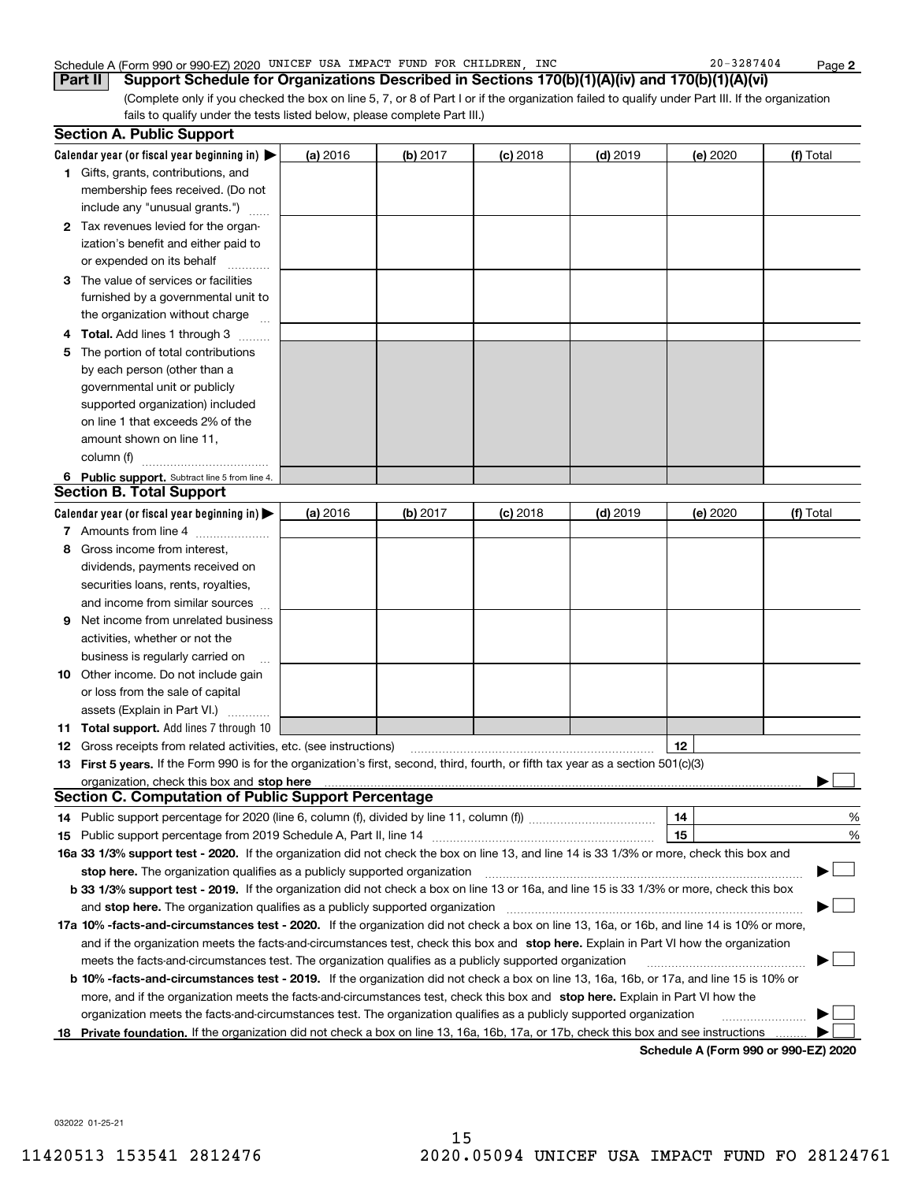### Schedule A (Form 990 or 990-EZ) 2020 UNICEF USA IMPACT FUND FOR CHILDREN, INC 20-3287404 Page

(Complete only if you checked the box on line 5, 7, or 8 of Part I or if the organization failed to qualify under Part III. If the organization fails to qualify under the tests listed below, please complete Part III.) **Part II Support Schedule for Organizations Described in Sections 170(b)(1)(A)(iv) and 170(b)(1)(A)(vi)**

| <b>Section A. Public Support</b>                                                                                                                                                                                                    |          |          |            |            |          |           |
|-------------------------------------------------------------------------------------------------------------------------------------------------------------------------------------------------------------------------------------|----------|----------|------------|------------|----------|-----------|
| Calendar year (or fiscal year beginning in) $\blacktriangleright$                                                                                                                                                                   | (a) 2016 | (b) 2017 | $(c)$ 2018 | $(d)$ 2019 | (e) 2020 | (f) Total |
| <b>1</b> Gifts, grants, contributions, and                                                                                                                                                                                          |          |          |            |            |          |           |
| membership fees received. (Do not                                                                                                                                                                                                   |          |          |            |            |          |           |
| include any "unusual grants.")                                                                                                                                                                                                      |          |          |            |            |          |           |
| 2 Tax revenues levied for the organ-                                                                                                                                                                                                |          |          |            |            |          |           |
| ization's benefit and either paid to                                                                                                                                                                                                |          |          |            |            |          |           |
| or expended on its behalf                                                                                                                                                                                                           |          |          |            |            |          |           |
| 3 The value of services or facilities                                                                                                                                                                                               |          |          |            |            |          |           |
| furnished by a governmental unit to                                                                                                                                                                                                 |          |          |            |            |          |           |
| the organization without charge                                                                                                                                                                                                     |          |          |            |            |          |           |
| <b>Total.</b> Add lines 1 through 3<br>4<br>$\sim$                                                                                                                                                                                  |          |          |            |            |          |           |
| The portion of total contributions<br>5                                                                                                                                                                                             |          |          |            |            |          |           |
| by each person (other than a                                                                                                                                                                                                        |          |          |            |            |          |           |
| governmental unit or publicly                                                                                                                                                                                                       |          |          |            |            |          |           |
| supported organization) included                                                                                                                                                                                                    |          |          |            |            |          |           |
| on line 1 that exceeds 2% of the                                                                                                                                                                                                    |          |          |            |            |          |           |
| amount shown on line 11,                                                                                                                                                                                                            |          |          |            |            |          |           |
| column (f)                                                                                                                                                                                                                          |          |          |            |            |          |           |
| 6 Public support. Subtract line 5 from line 4.                                                                                                                                                                                      |          |          |            |            |          |           |
| <b>Section B. Total Support</b>                                                                                                                                                                                                     |          |          |            |            |          |           |
| Calendar year (or fiscal year beginning in)                                                                                                                                                                                         | (a) 2016 | (b) 2017 | $(c)$ 2018 | $(d)$ 2019 | (e) 2020 | (f) Total |
| 7 Amounts from line 4                                                                                                                                                                                                               |          |          |            |            |          |           |
| Gross income from interest,<br>8                                                                                                                                                                                                    |          |          |            |            |          |           |
| dividends, payments received on                                                                                                                                                                                                     |          |          |            |            |          |           |
| securities loans, rents, royalties,                                                                                                                                                                                                 |          |          |            |            |          |           |
| and income from similar sources                                                                                                                                                                                                     |          |          |            |            |          |           |
| Net income from unrelated business<br>9                                                                                                                                                                                             |          |          |            |            |          |           |
| activities, whether or not the                                                                                                                                                                                                      |          |          |            |            |          |           |
| business is regularly carried on                                                                                                                                                                                                    |          |          |            |            |          |           |
| <b>10</b> Other income. Do not include gain                                                                                                                                                                                         |          |          |            |            |          |           |
| or loss from the sale of capital                                                                                                                                                                                                    |          |          |            |            |          |           |
| assets (Explain in Part VI.)                                                                                                                                                                                                        |          |          |            |            |          |           |
| <b>11 Total support.</b> Add lines 7 through 10                                                                                                                                                                                     |          |          |            |            |          |           |
| <b>12</b> Gross receipts from related activities, etc. (see instructions)                                                                                                                                                           |          |          |            |            | 12       |           |
| 13 First 5 years. If the Form 990 is for the organization's first, second, third, fourth, or fifth tax year as a section 501(c)(3)                                                                                                  |          |          |            |            |          |           |
| organization, check this box and <b>stop here</b> manual content content content to the content of the content of the content of the content of the content of the content of the content of the content of the content of the cont |          |          |            |            |          |           |
| <b>Section C. Computation of Public Support Percentage</b>                                                                                                                                                                          |          |          |            |            |          |           |
| 14 Public support percentage for 2020 (line 6, column (f), divided by line 11, column (f) <i>mummumumum</i>                                                                                                                         |          |          |            |            | 14       | %         |
|                                                                                                                                                                                                                                     |          |          |            |            | 15       | %         |
| 16a 33 1/3% support test - 2020. If the organization did not check the box on line 13, and line 14 is 33 1/3% or more, check this box and                                                                                           |          |          |            |            |          |           |
| stop here. The organization qualifies as a publicly supported organization                                                                                                                                                          |          |          |            |            |          |           |
| b 33 1/3% support test - 2019. If the organization did not check a box on line 13 or 16a, and line 15 is 33 1/3% or more, check this box                                                                                            |          |          |            |            |          |           |
| and stop here. The organization qualifies as a publicly supported organization                                                                                                                                                      |          |          |            |            |          |           |
| 17a 10% -facts-and-circumstances test - 2020. If the organization did not check a box on line 13, 16a, or 16b, and line 14 is 10% or more,                                                                                          |          |          |            |            |          |           |
| and if the organization meets the facts-and-circumstances test, check this box and stop here. Explain in Part VI how the organization                                                                                               |          |          |            |            |          |           |
| meets the facts-and-circumstances test. The organization qualifies as a publicly supported organization                                                                                                                             |          |          |            |            |          |           |
| <b>b 10% -facts-and-circumstances test - 2019.</b> If the organization did not check a box on line 13, 16a, 16b, or 17a, and line 15 is 10% or                                                                                      |          |          |            |            |          |           |
| more, and if the organization meets the facts-and-circumstances test, check this box and stop here. Explain in Part VI how the                                                                                                      |          |          |            |            |          |           |
| organization meets the facts-and-circumstances test. The organization qualifies as a publicly supported organization                                                                                                                |          |          |            |            |          |           |
| 18 Private foundation. If the organization did not check a box on line 13, 16a, 16b, 17a, or 17b, check this box and see instructions                                                                                               |          |          |            |            |          |           |

**Schedule A (Form 990 or 990-EZ) 2020**

032022 01-25-21

**2**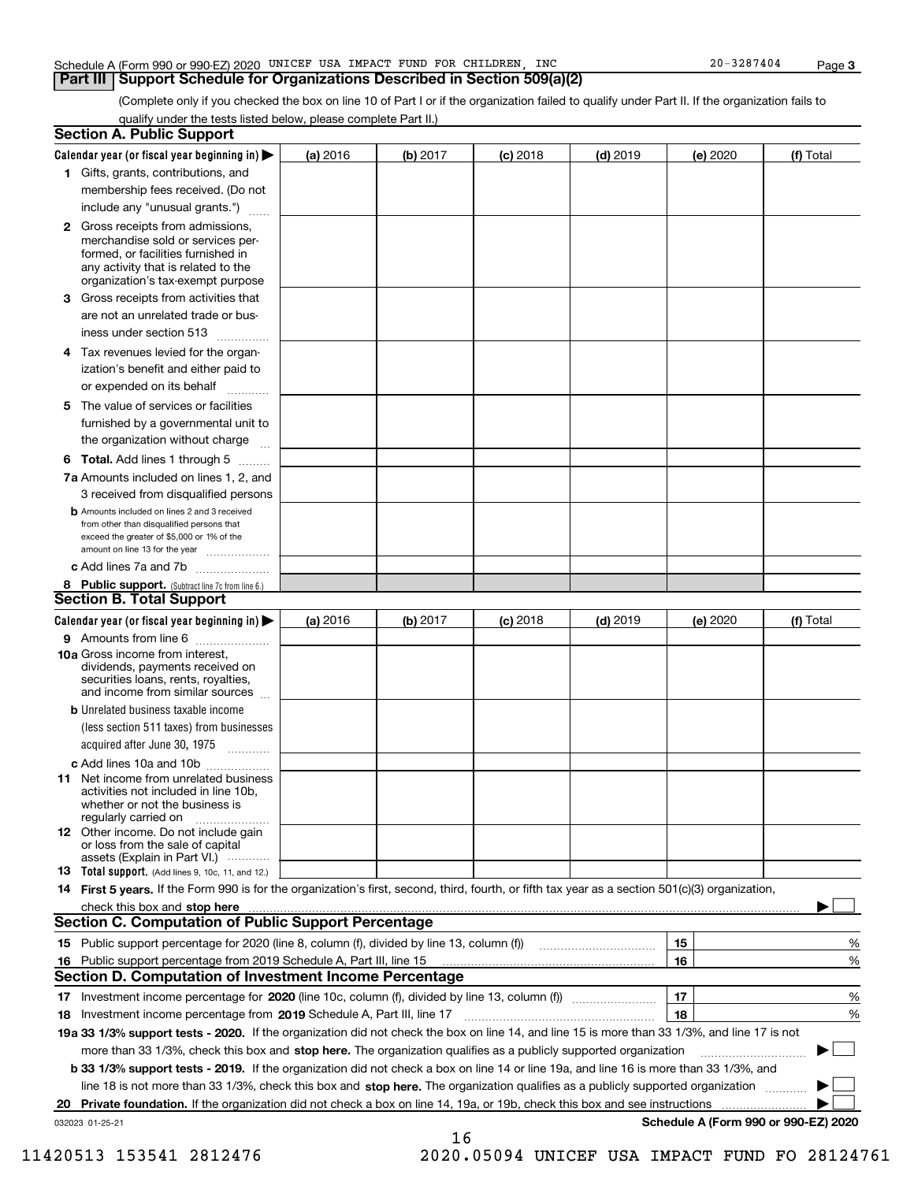|  | Schedule A (Form 990 or 990-EZ) 2020 | UNICEF | USA | IMPACT | <b>FUND</b> | <b>FOR</b> | CHILDREN | INC | 3287404<br>20 | Page |  |
|--|--------------------------------------|--------|-----|--------|-------------|------------|----------|-----|---------------|------|--|
|--|--------------------------------------|--------|-----|--------|-------------|------------|----------|-----|---------------|------|--|

## **Part III** | Support Schedule for Organizations Described in Section 509(a)(2)

(Complete only if you checked the box on line 10 of Part I or if the organization failed to qualify under Part II. If the organization fails to qualify under the tests listed below, please complete Part II.)

| <b>Section A. Public Support</b>                                                                                                                                                                                                                               |          |          |            |            |          |                                      |
|----------------------------------------------------------------------------------------------------------------------------------------------------------------------------------------------------------------------------------------------------------------|----------|----------|------------|------------|----------|--------------------------------------|
| Calendar year (or fiscal year beginning in) $\blacktriangleright$                                                                                                                                                                                              | (a) 2016 | (b) 2017 | $(c)$ 2018 | $(d)$ 2019 | (e) 2020 | (f) Total                            |
| 1 Gifts, grants, contributions, and                                                                                                                                                                                                                            |          |          |            |            |          |                                      |
| membership fees received. (Do not                                                                                                                                                                                                                              |          |          |            |            |          |                                      |
| include any "unusual grants.")                                                                                                                                                                                                                                 |          |          |            |            |          |                                      |
| 2 Gross receipts from admissions,<br>merchandise sold or services per-<br>formed, or facilities furnished in<br>any activity that is related to the<br>organization's tax-exempt purpose                                                                       |          |          |            |            |          |                                      |
| 3 Gross receipts from activities that<br>are not an unrelated trade or bus-                                                                                                                                                                                    |          |          |            |            |          |                                      |
| iness under section 513                                                                                                                                                                                                                                        |          |          |            |            |          |                                      |
| 4 Tax revenues levied for the organ-<br>ization's benefit and either paid to<br>or expended on its behalf<br>.                                                                                                                                                 |          |          |            |            |          |                                      |
| 5 The value of services or facilities<br>furnished by a governmental unit to<br>the organization without charge                                                                                                                                                |          |          |            |            |          |                                      |
| <b>6 Total.</b> Add lines 1 through 5                                                                                                                                                                                                                          |          |          |            |            |          |                                      |
| 7a Amounts included on lines 1, 2, and<br>3 received from disqualified persons                                                                                                                                                                                 |          |          |            |            |          |                                      |
| <b>b</b> Amounts included on lines 2 and 3 received<br>from other than disqualified persons that<br>exceed the greater of \$5,000 or 1% of the<br>amount on line 13 for the year                                                                               |          |          |            |            |          |                                      |
| c Add lines 7a and 7b                                                                                                                                                                                                                                          |          |          |            |            |          |                                      |
| 8 Public support. (Subtract line 7c from line 6.)<br><b>Section B. Total Support</b>                                                                                                                                                                           |          |          |            |            |          |                                      |
| Calendar year (or fiscal year beginning in) $\blacktriangleright$                                                                                                                                                                                              | (a) 2016 | (b) 2017 | $(c)$ 2018 | $(d)$ 2019 | (e) 2020 | (f) Total                            |
| 9 Amounts from line 6                                                                                                                                                                                                                                          |          |          |            |            |          |                                      |
| 10a Gross income from interest,<br>dividends, payments received on<br>securities loans, rents, royalties,<br>and income from similar sources                                                                                                                   |          |          |            |            |          |                                      |
| <b>b</b> Unrelated business taxable income<br>(less section 511 taxes) from businesses<br>acquired after June 30, 1975<br>1.1.1.1.1.1.1.1.1.1                                                                                                                  |          |          |            |            |          |                                      |
| c Add lines 10a and 10b                                                                                                                                                                                                                                        |          |          |            |            |          |                                      |
| <b>11</b> Net income from unrelated business<br>activities not included in line 10b.<br>whether or not the business is<br>regularly carried on                                                                                                                 |          |          |            |            |          |                                      |
| <b>12</b> Other income. Do not include gain<br>or loss from the sale of capital<br>assets (Explain in Part VI.)                                                                                                                                                |          |          |            |            |          |                                      |
| <b>13</b> Total support. (Add lines 9, 10c, 11, and 12.)                                                                                                                                                                                                       |          |          |            |            |          |                                      |
| 14 First 5 years. If the Form 990 is for the organization's first, second, third, fourth, or fifth tax year as a section 501(c)(3) organization,                                                                                                               |          |          |            |            |          |                                      |
| check this box and stop here <b>contractly contractly and structure and structure of the structure of the structure of the structure of the structure of the structure of the structure of the structure of the structure of the</b>                           |          |          |            |            |          |                                      |
| <b>Section C. Computation of Public Support Percentage</b>                                                                                                                                                                                                     |          |          |            |            |          |                                      |
|                                                                                                                                                                                                                                                                |          |          |            |            | 15       | %                                    |
| 16 Public support percentage from 2019 Schedule A, Part III, line 15                                                                                                                                                                                           |          |          |            |            | 16       | %                                    |
| <b>Section D. Computation of Investment Income Percentage</b>                                                                                                                                                                                                  |          |          |            |            |          |                                      |
| 17 Investment income percentage for 2020 (line 10c, column (f), divided by line 13, column (f))                                                                                                                                                                |          |          |            |            | 17       | %                                    |
| 18 Investment income percentage from 2019 Schedule A, Part III, line 17                                                                                                                                                                                        |          |          |            |            | 18       | %                                    |
| 19a 33 1/3% support tests - 2020. If the organization did not check the box on line 14, and line 15 is more than 33 1/3%, and line 17 is not                                                                                                                   |          |          |            |            |          |                                      |
| more than 33 1/3%, check this box and stop here. The organization qualifies as a publicly supported organization                                                                                                                                               |          |          |            |            |          |                                      |
| b 33 1/3% support tests - 2019. If the organization did not check a box on line 14 or line 19a, and line 16 is more than 33 1/3%, and                                                                                                                          |          |          |            |            |          |                                      |
| line 18 is not more than 33 1/3%, check this box and stop here. The organization qualifies as a publicly supported organization<br>20 Private foundation. If the organization did not check a box on line 14, 19a, or 19b, check this box and see instructions |          |          |            |            |          |                                      |
| 032023 01-25-21                                                                                                                                                                                                                                                |          |          |            |            |          | Schedule A (Form 990 or 990-EZ) 2020 |
|                                                                                                                                                                                                                                                                |          | 16       |            |            |          |                                      |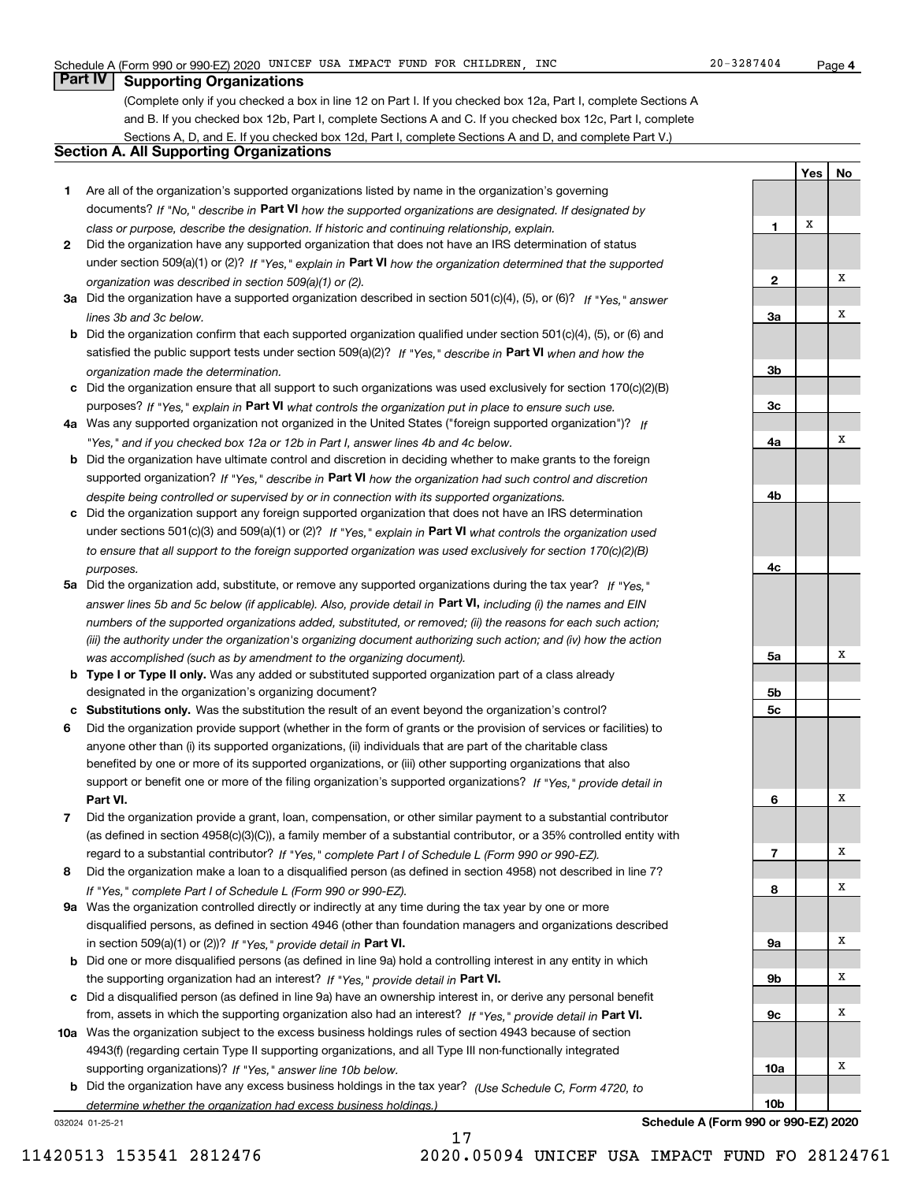### **4**

**YesNo**

## **Part IV Supporting Organizations**

(Complete only if you checked a box in line 12 on Part I. If you checked box 12a, Part I, complete Sections A and B. If you checked box 12b, Part I, complete Sections A and C. If you checked box 12c, Part I, complete Sections A, D, and E. If you checked box 12d, Part I, complete Sections A and D, and complete Part V.)

## **Section A. All Supporting Organizations**

- **1** Are all of the organization's supported organizations listed by name in the organization's governing documents? If "No," describe in **Part VI** how the supported organizations are designated. If designated by *class or purpose, describe the designation. If historic and continuing relationship, explain.*
- **2** Did the organization have any supported organization that does not have an IRS determination of status under section 509(a)(1) or (2)? If "Yes," explain in Part VI how the organization determined that the supported *organization was described in section 509(a)(1) or (2).*
- **3a** Did the organization have a supported organization described in section 501(c)(4), (5), or (6)? If "Yes," answer *lines 3b and 3c below.*
- **b** Did the organization confirm that each supported organization qualified under section 501(c)(4), (5), or (6) and satisfied the public support tests under section 509(a)(2)? If "Yes," describe in **Part VI** when and how the *organization made the determination.*
- **c**Did the organization ensure that all support to such organizations was used exclusively for section 170(c)(2)(B) purposes? If "Yes," explain in **Part VI** what controls the organization put in place to ensure such use.
- **4a***If* Was any supported organization not organized in the United States ("foreign supported organization")? *"Yes," and if you checked box 12a or 12b in Part I, answer lines 4b and 4c below.*
- **b** Did the organization have ultimate control and discretion in deciding whether to make grants to the foreign supported organization? If "Yes," describe in **Part VI** how the organization had such control and discretion *despite being controlled or supervised by or in connection with its supported organizations.*
- **c** Did the organization support any foreign supported organization that does not have an IRS determination under sections 501(c)(3) and 509(a)(1) or (2)? If "Yes," explain in **Part VI** what controls the organization used *to ensure that all support to the foreign supported organization was used exclusively for section 170(c)(2)(B) purposes.*
- **5a** Did the organization add, substitute, or remove any supported organizations during the tax year? If "Yes," answer lines 5b and 5c below (if applicable). Also, provide detail in **Part VI,** including (i) the names and EIN *numbers of the supported organizations added, substituted, or removed; (ii) the reasons for each such action; (iii) the authority under the organization's organizing document authorizing such action; and (iv) how the action was accomplished (such as by amendment to the organizing document).*
- **b** Type I or Type II only. Was any added or substituted supported organization part of a class already designated in the organization's organizing document?
- **cSubstitutions only.**  Was the substitution the result of an event beyond the organization's control?
- **6** Did the organization provide support (whether in the form of grants or the provision of services or facilities) to **Part VI.** *If "Yes," provide detail in* support or benefit one or more of the filing organization's supported organizations? anyone other than (i) its supported organizations, (ii) individuals that are part of the charitable class benefited by one or more of its supported organizations, or (iii) other supporting organizations that also
- **7**Did the organization provide a grant, loan, compensation, or other similar payment to a substantial contributor *If "Yes," complete Part I of Schedule L (Form 990 or 990-EZ).* regard to a substantial contributor? (as defined in section 4958(c)(3)(C)), a family member of a substantial contributor, or a 35% controlled entity with
- **8** Did the organization make a loan to a disqualified person (as defined in section 4958) not described in line 7? *If "Yes," complete Part I of Schedule L (Form 990 or 990-EZ).*
- **9a** Was the organization controlled directly or indirectly at any time during the tax year by one or more in section 509(a)(1) or (2))? If "Yes," *provide detail in* <code>Part VI.</code> disqualified persons, as defined in section 4946 (other than foundation managers and organizations described
- **b**the supporting organization had an interest? If "Yes," provide detail in P**art VI**. Did one or more disqualified persons (as defined in line 9a) hold a controlling interest in any entity in which
- **c**Did a disqualified person (as defined in line 9a) have an ownership interest in, or derive any personal benefit from, assets in which the supporting organization also had an interest? If "Yes," provide detail in P**art VI.**
- **10a** Was the organization subject to the excess business holdings rules of section 4943 because of section supporting organizations)? If "Yes," answer line 10b below. 4943(f) (regarding certain Type II supporting organizations, and all Type III non-functionally integrated
- **b** Did the organization have any excess business holdings in the tax year? (Use Schedule C, Form 4720, to *determine whether the organization had excess business holdings.)*

17

032024 01-25-21

**123a3b3c4a4b4c5a 5b5c6789a 9b9c10a10b**XXXXXXXXXXXX

**Schedule A (Form 990 or 990-EZ) 2020**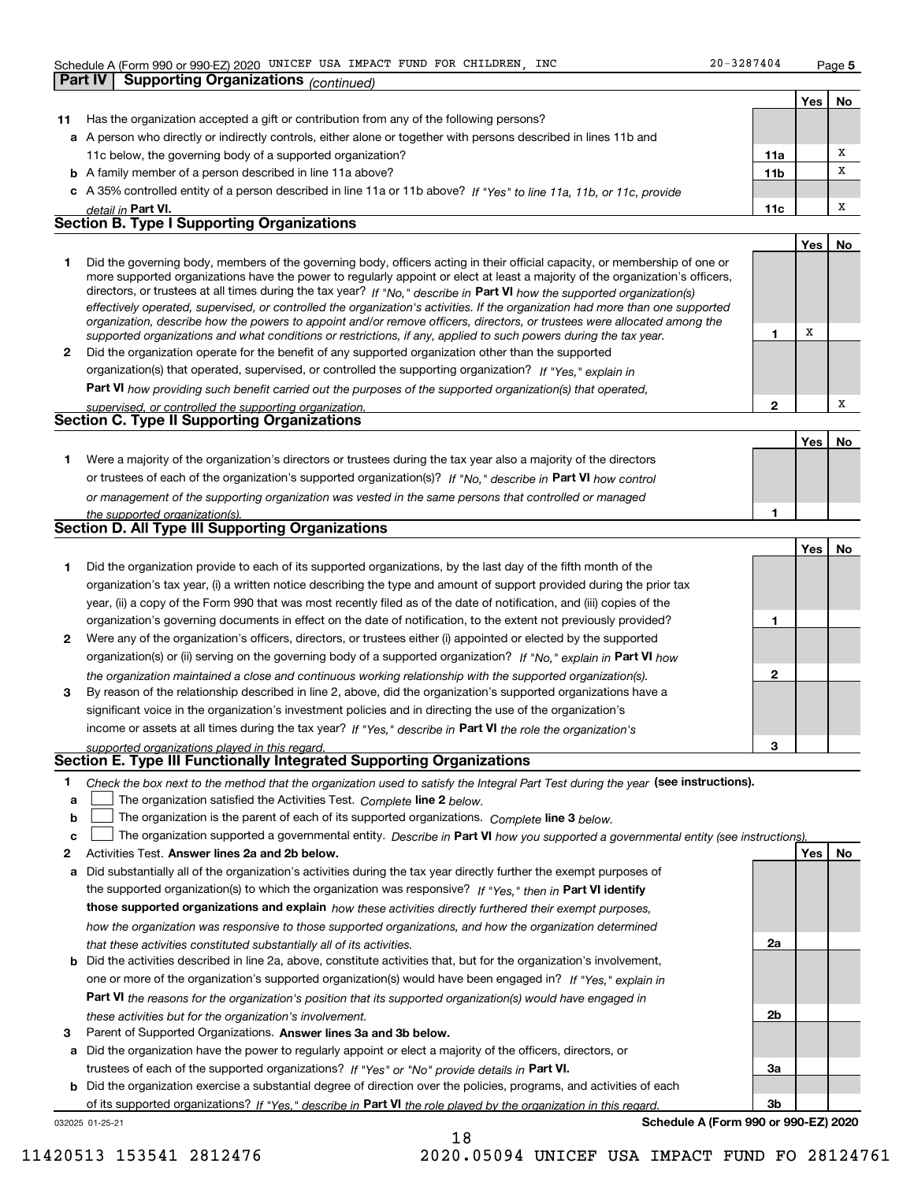**Part IV Supporting Organizations** *(continued)*

**Yes**

X

**1**

**2**

**No**

**No**

X

|    |                                                                                                                      |                 | Yes | No |
|----|----------------------------------------------------------------------------------------------------------------------|-----------------|-----|----|
| 11 | Has the organization accepted a gift or contribution from any of the following persons?                              |                 |     |    |
|    | a A person who directly or indirectly controls, either alone or together with persons described in lines 11b and     |                 |     |    |
|    | 11c below, the governing body of a supported organization?                                                           | 11a             |     |    |
|    | <b>b</b> A family member of a person described in line 11a above?                                                    | 11 <sub>b</sub> |     |    |
|    | c A 35% controlled entity of a person described in line 11a or 11b above? If "Yes" to line 11a, 11b, or 11c, provide |                 |     |    |
|    | detail in Part VI.                                                                                                   | 11c             |     |    |
|    | <b>Section B. Type I Supporting Organizations</b>                                                                    |                 |     |    |

|   | Did the governing body, members of the governing body, officers acting in their official capacity, or membership of one or<br>more supported organizations have the power to regularly appoint or elect at least a majority of the organization's officers,<br>directors, or trustees at all times during the tax year? If "No," describe in Part VI how the supported organization(s)<br>effectively operated, supervised, or controlled the organization's activities. If the organization had more than one supported<br>organization, describe how the powers to appoint and/or remove officers, directors, or trustees were allocated among the<br>supported organizations and what conditions or restrictions, if any, applied to such powers during the tax year. |
|---|--------------------------------------------------------------------------------------------------------------------------------------------------------------------------------------------------------------------------------------------------------------------------------------------------------------------------------------------------------------------------------------------------------------------------------------------------------------------------------------------------------------------------------------------------------------------------------------------------------------------------------------------------------------------------------------------------------------------------------------------------------------------------|
| 2 | Did the organization operate for the benefit of any supported organization other than the supported                                                                                                                                                                                                                                                                                                                                                                                                                                                                                                                                                                                                                                                                      |

*If "Yes," explain in* organization(s) that operated, supervised, or controlled the supporting organization?

**Part VI**  *how providing such benefit carried out the purposes of the supported organization(s) that operated,*

| supervised, or controlled the supporting organization. |  |
|--------------------------------------------------------|--|
| Section C. Type II Supporting Organizations            |  |

|                                                                                                                  | Yes i |  |
|------------------------------------------------------------------------------------------------------------------|-------|--|
| Were a majority of the organization's directors or trustees during the tax year also a majority of the directors |       |  |
| or trustees of each of the organization's supported organization(s)? If "No," describe in Part VI how control    |       |  |
| or management of the supporting organization was vested in the same persons that controlled or managed           |       |  |
| the supported organization(s).                                                                                   |       |  |

|  |  |  | <b>Section D. All Type III Supporting Organizations</b> |
|--|--|--|---------------------------------------------------------|
|--|--|--|---------------------------------------------------------|

|              |                                                                                                                                                                                                                                                                                                                                                                                                                                                              |   | Yes | No |
|--------------|--------------------------------------------------------------------------------------------------------------------------------------------------------------------------------------------------------------------------------------------------------------------------------------------------------------------------------------------------------------------------------------------------------------------------------------------------------------|---|-----|----|
|              | Did the organization provide to each of its supported organizations, by the last day of the fifth month of the<br>organization's tax year, (i) a written notice describing the type and amount of support provided during the prior tax<br>year, (ii) a copy of the Form 990 that was most recently filed as of the date of notification, and (iii) copies of the                                                                                            |   |     |    |
|              | organization's governing documents in effect on the date of notification, to the extent not previously provided?                                                                                                                                                                                                                                                                                                                                             |   |     |    |
| $\mathbf{2}$ | Were any of the organization's officers, directors, or trustees either (i) appointed or elected by the supported<br>organization(s) or (ii) serving on the governing body of a supported organization? If "No," explain in Part VI how                                                                                                                                                                                                                       |   |     |    |
| 3            | the organization maintained a close and continuous working relationship with the supported organization(s).<br>By reason of the relationship described in line 2, above, did the organization's supported organizations have a<br>significant voice in the organization's investment policies and in directing the use of the organization's<br>income or assets at all times during the tax year? If "Yes," describe in Part VI the role the organization's | 2 |     |    |
|              | supported organizations played in this regard                                                                                                                                                                                                                                                                                                                                                                                                                | з |     |    |

## *supported organizations played in this regard.* **Section E. Type III Functionally Integrated Supporting Organizations**

- **1**Check the box next to the method that the organization used to satisfy the Integral Part Test during the year (see instructions).
- **alinupy** The organization satisfied the Activities Test. Complete line 2 below.
- **b**The organization is the parent of each of its supported organizations. *Complete* line 3 *below.*  $\mathcal{L}^{\text{max}}$

|  |  | The organization supported a governmental entity. Describe in Part VI how you supported a governmental entity (see instructions). |  |
|--|--|-----------------------------------------------------------------------------------------------------------------------------------|--|
|--|--|-----------------------------------------------------------------------------------------------------------------------------------|--|

- **2Answer lines 2a and 2b below. Yes No** Activities Test.
- **a** Did substantially all of the organization's activities during the tax year directly further the exempt purposes of the supported organization(s) to which the organization was responsive? If "Yes," then in **Part VI identify those supported organizations and explain**  *how these activities directly furthered their exempt purposes, how the organization was responsive to those supported organizations, and how the organization determined that these activities constituted substantially all of its activities.*
- **b** Did the activities described in line 2a, above, constitute activities that, but for the organization's involvement, **Part VI**  *the reasons for the organization's position that its supported organization(s) would have engaged in* one or more of the organization's supported organization(s) would have been engaged in? If "Yes," e*xplain in these activities but for the organization's involvement.*
- **3** Parent of Supported Organizations. Answer lines 3a and 3b below.

**a** Did the organization have the power to regularly appoint or elect a majority of the officers, directors, or trustees of each of the supported organizations? If "Yes" or "No" provide details in **Part VI.** 

032025 01-25-21 **b** Did the organization exercise a substantial degree of direction over the policies, programs, and activities of each of its supported organizations? If "Yes," describe in Part VI the role played by the organization in this regard.

**Schedule A (Form 990 or 990-EZ) 2020**

**2a**

**2b**

**3a**

**3b**

11420513 153541 2812476 2020.05094 UNICEF USA IMPACT FUND FO 28124761

18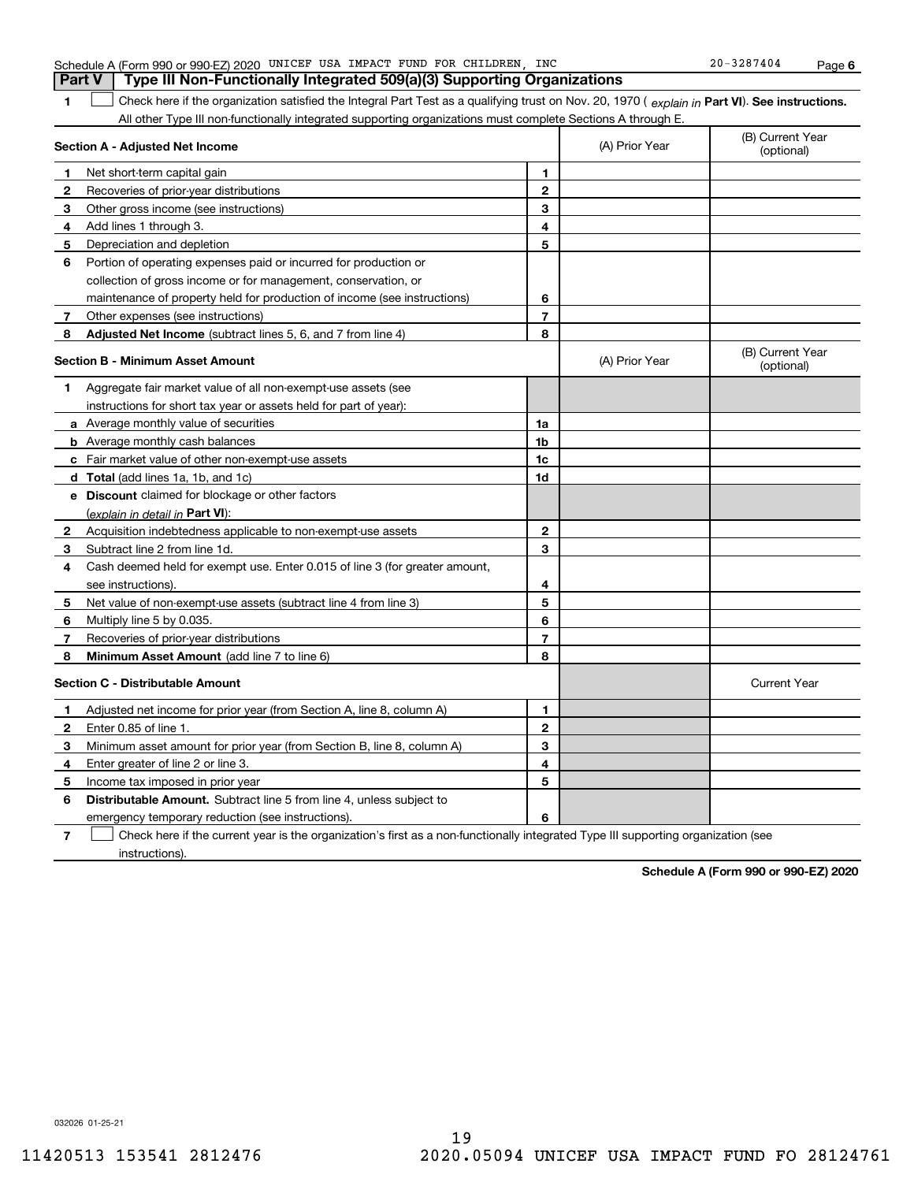|                  | Part V<br>Type III Non-Functionally Integrated 509(a)(3) Supporting Organizations                                                              |                |                |                                |  |  |
|------------------|------------------------------------------------------------------------------------------------------------------------------------------------|----------------|----------------|--------------------------------|--|--|
| 1                | Check here if the organization satisfied the Integral Part Test as a qualifying trust on Nov. 20, 1970 (explain in Part VI). See instructions. |                |                |                                |  |  |
|                  | All other Type III non-functionally integrated supporting organizations must complete Sections A through E.                                    |                |                |                                |  |  |
|                  | Section A - Adjusted Net Income                                                                                                                |                | (A) Prior Year | (B) Current Year<br>(optional) |  |  |
| $\mathbf{1}$     | Net short-term capital gain                                                                                                                    | 1              |                |                                |  |  |
| $\boldsymbol{2}$ | Recoveries of prior-year distributions                                                                                                         | 2              |                |                                |  |  |
| 3.               | Other gross income (see instructions)                                                                                                          | 3              |                |                                |  |  |
| 4                | Add lines 1 through 3.                                                                                                                         | 4              |                |                                |  |  |
| 5                | Depreciation and depletion                                                                                                                     | 5              |                |                                |  |  |
| 6                | Portion of operating expenses paid or incurred for production or                                                                               |                |                |                                |  |  |
|                  | collection of gross income or for management, conservation, or                                                                                 |                |                |                                |  |  |
|                  | maintenance of property held for production of income (see instructions)                                                                       | 6              |                |                                |  |  |
| 7                | Other expenses (see instructions)                                                                                                              | 7              |                |                                |  |  |
| 8                | <b>Adjusted Net Income</b> (subtract lines 5, 6, and 7 from line 4)                                                                            | 8              |                |                                |  |  |
|                  | Section B - Minimum Asset Amount                                                                                                               |                | (A) Prior Year | (B) Current Year<br>(optional) |  |  |
| 1                | Aggregate fair market value of all non-exempt-use assets (see                                                                                  |                |                |                                |  |  |
|                  | instructions for short tax year or assets held for part of year):                                                                              |                |                |                                |  |  |
|                  | <b>a</b> Average monthly value of securities                                                                                                   | 1a             |                |                                |  |  |
|                  | <b>b</b> Average monthly cash balances                                                                                                         | 1 <sub>b</sub> |                |                                |  |  |
|                  | <b>c</b> Fair market value of other non-exempt-use assets                                                                                      | 1c             |                |                                |  |  |
|                  | d Total (add lines 1a, 1b, and 1c)                                                                                                             | 1 <sub>d</sub> |                |                                |  |  |
|                  | e Discount claimed for blockage or other factors                                                                                               |                |                |                                |  |  |
|                  | (explain in detail in <b>Part VI</b> ):                                                                                                        |                |                |                                |  |  |
| $\mathbf{2}$     | Acquisition indebtedness applicable to non-exempt-use assets                                                                                   | $\mathbf{2}$   |                |                                |  |  |
| 3                | Subtract line 2 from line 1d.                                                                                                                  | 3              |                |                                |  |  |
| 4                | Cash deemed held for exempt use. Enter 0.015 of line 3 (for greater amount,                                                                    |                |                |                                |  |  |
|                  | see instructions).                                                                                                                             | 4              |                |                                |  |  |
| 5                | Net value of non-exempt-use assets (subtract line 4 from line 3)                                                                               | 5              |                |                                |  |  |
| 6                | Multiply line 5 by 0.035.                                                                                                                      | 6              |                |                                |  |  |
| 7                | Recoveries of prior-year distributions                                                                                                         | $\overline{7}$ |                |                                |  |  |
| 8                | Minimum Asset Amount (add line 7 to line 6)                                                                                                    | 8              |                |                                |  |  |
|                  | <b>Section C - Distributable Amount</b>                                                                                                        |                |                | <b>Current Year</b>            |  |  |
| $\mathbf 1$      | Adjusted net income for prior year (from Section A, line 8, column A)                                                                          | 1              |                |                                |  |  |
| $\mathbf{2}$     | Enter 0.85 of line 1.                                                                                                                          | $\mathbf{2}$   |                |                                |  |  |
| 3                | Minimum asset amount for prior year (from Section B, line 8, column A)                                                                         | 3              |                |                                |  |  |
| 4                | Enter greater of line 2 or line 3.                                                                                                             | 4              |                |                                |  |  |
| 5.               | Income tax imposed in prior year                                                                                                               | 5              |                |                                |  |  |
| 6                | <b>Distributable Amount.</b> Subtract line 5 from line 4, unless subject to                                                                    |                |                |                                |  |  |
|                  | emergency temporary reduction (see instructions).                                                                                              | 6              |                |                                |  |  |
| 7                | Check here if the current year is the organization's first as a non-functionally integrated Type III supporting organization (see              |                |                |                                |  |  |

Schedule A (Form 990 or 990-EZ) 2020 UNICEF USA IMPACT FUND FOR CHILDREN, INC 20-3287404 Page

Check here if the current year is the organization's first as a non-functionally integrated Type III supporting organization (see instructions).

**Schedule A (Form 990 or 990-EZ) 2020**

**6**

032026 01-25-21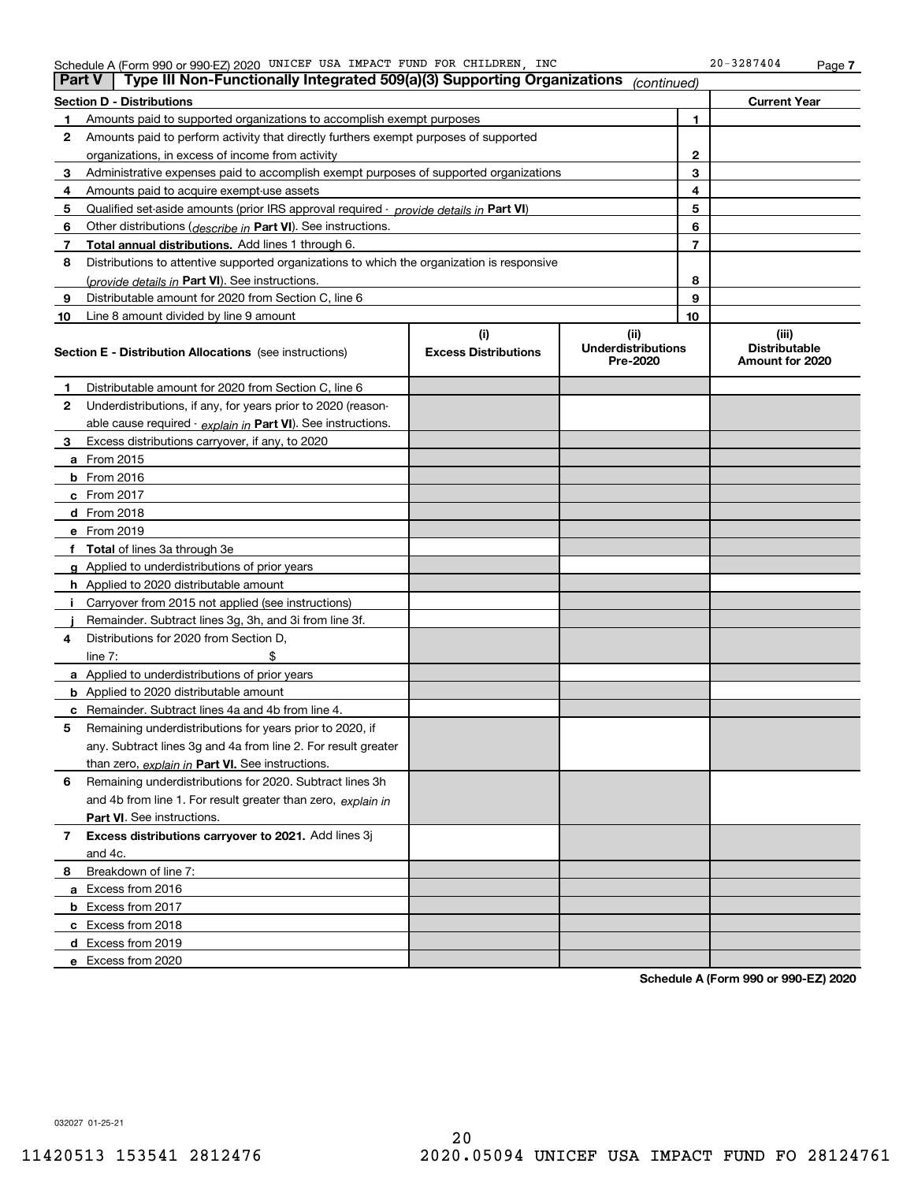|  | Schedule A (Form 990 or 990-EZ) 2020 | UNICEF | USA | IMPACT | FUND |  | FOR CHILDREN | INC | 3287404<br>20 | Page |  |
|--|--------------------------------------|--------|-----|--------|------|--|--------------|-----|---------------|------|--|
|--|--------------------------------------|--------|-----|--------|------|--|--------------|-----|---------------|------|--|

|    | Type III Non-Functionally Integrated 509(a)(3) Supporting Organizations<br><b>Part V</b><br>(continued) |                             |                                       |    |                                         |  |  |  |
|----|---------------------------------------------------------------------------------------------------------|-----------------------------|---------------------------------------|----|-----------------------------------------|--|--|--|
|    | <b>Section D - Distributions</b>                                                                        |                             |                                       |    | <b>Current Year</b>                     |  |  |  |
|    | Amounts paid to supported organizations to accomplish exempt purposes                                   |                             | 1                                     |    |                                         |  |  |  |
| 2  | Amounts paid to perform activity that directly furthers exempt purposes of supported                    |                             |                                       |    |                                         |  |  |  |
|    | organizations, in excess of income from activity                                                        |                             | 2                                     |    |                                         |  |  |  |
| 3  | Administrative expenses paid to accomplish exempt purposes of supported organizations                   |                             | 3                                     |    |                                         |  |  |  |
| 4  | Amounts paid to acquire exempt-use assets                                                               |                             |                                       | 4  |                                         |  |  |  |
| 5  | Qualified set-aside amounts (prior IRS approval required - provide details in Part VI)                  |                             |                                       | 5  |                                         |  |  |  |
| 6  | Other distributions ( <i>describe in</i> Part VI). See instructions.                                    |                             |                                       | 6  |                                         |  |  |  |
| 7  | Total annual distributions. Add lines 1 through 6.                                                      |                             |                                       | 7  |                                         |  |  |  |
| 8  | Distributions to attentive supported organizations to which the organization is responsive              |                             |                                       |    |                                         |  |  |  |
|    | (provide details in Part VI). See instructions.                                                         |                             |                                       | 8  |                                         |  |  |  |
| 9  | Distributable amount for 2020 from Section C, line 6                                                    |                             |                                       | 9  |                                         |  |  |  |
| 10 | Line 8 amount divided by line 9 amount                                                                  |                             |                                       | 10 |                                         |  |  |  |
|    |                                                                                                         | (i)                         | (ii)                                  |    | (iii)                                   |  |  |  |
|    | <b>Section E - Distribution Allocations</b> (see instructions)                                          | <b>Excess Distributions</b> | <b>Underdistributions</b><br>Pre-2020 |    | <b>Distributable</b><br>Amount for 2020 |  |  |  |
| 1  | Distributable amount for 2020 from Section C, line 6                                                    |                             |                                       |    |                                         |  |  |  |
| 2  | Underdistributions, if any, for years prior to 2020 (reason-                                            |                             |                                       |    |                                         |  |  |  |
|    | able cause required - explain in Part VI). See instructions.                                            |                             |                                       |    |                                         |  |  |  |
| 3  | Excess distributions carryover, if any, to 2020                                                         |                             |                                       |    |                                         |  |  |  |
|    | a From 2015                                                                                             |                             |                                       |    |                                         |  |  |  |
|    | <b>b</b> From 2016                                                                                      |                             |                                       |    |                                         |  |  |  |
|    | c From 2017                                                                                             |                             |                                       |    |                                         |  |  |  |
|    | d From 2018                                                                                             |                             |                                       |    |                                         |  |  |  |
|    | e From 2019                                                                                             |                             |                                       |    |                                         |  |  |  |
|    | f Total of lines 3a through 3e                                                                          |                             |                                       |    |                                         |  |  |  |
|    | g Applied to underdistributions of prior years                                                          |                             |                                       |    |                                         |  |  |  |
|    | h Applied to 2020 distributable amount                                                                  |                             |                                       |    |                                         |  |  |  |
|    | Carryover from 2015 not applied (see instructions)                                                      |                             |                                       |    |                                         |  |  |  |
|    | Remainder. Subtract lines 3g, 3h, and 3i from line 3f.                                                  |                             |                                       |    |                                         |  |  |  |
| 4  | Distributions for 2020 from Section D,                                                                  |                             |                                       |    |                                         |  |  |  |
|    | line $7:$                                                                                               |                             |                                       |    |                                         |  |  |  |
|    | a Applied to underdistributions of prior years                                                          |                             |                                       |    |                                         |  |  |  |
|    | <b>b</b> Applied to 2020 distributable amount                                                           |                             |                                       |    |                                         |  |  |  |
|    | c Remainder. Subtract lines 4a and 4b from line 4.                                                      |                             |                                       |    |                                         |  |  |  |
| 5  | Remaining underdistributions for years prior to 2020, if                                                |                             |                                       |    |                                         |  |  |  |
|    | any. Subtract lines 3g and 4a from line 2. For result greater                                           |                             |                                       |    |                                         |  |  |  |
|    | than zero, explain in Part VI. See instructions.                                                        |                             |                                       |    |                                         |  |  |  |
| 6  | Remaining underdistributions for 2020. Subtract lines 3h                                                |                             |                                       |    |                                         |  |  |  |
|    | and 4b from line 1. For result greater than zero, explain in                                            |                             |                                       |    |                                         |  |  |  |
|    | Part VI. See instructions.                                                                              |                             |                                       |    |                                         |  |  |  |
| 7  | Excess distributions carryover to 2021. Add lines 3j                                                    |                             |                                       |    |                                         |  |  |  |
|    | and 4c.                                                                                                 |                             |                                       |    |                                         |  |  |  |
| 8  | Breakdown of line 7:                                                                                    |                             |                                       |    |                                         |  |  |  |
|    | a Excess from 2016                                                                                      |                             |                                       |    |                                         |  |  |  |
|    | <b>b</b> Excess from 2017                                                                               |                             |                                       |    |                                         |  |  |  |
|    | c Excess from 2018                                                                                      |                             |                                       |    |                                         |  |  |  |
|    | d Excess from 2019                                                                                      |                             |                                       |    |                                         |  |  |  |
|    | e Excess from 2020                                                                                      |                             |                                       |    |                                         |  |  |  |

**Schedule A (Form 990 or 990-EZ) 2020**

032027 01-25-21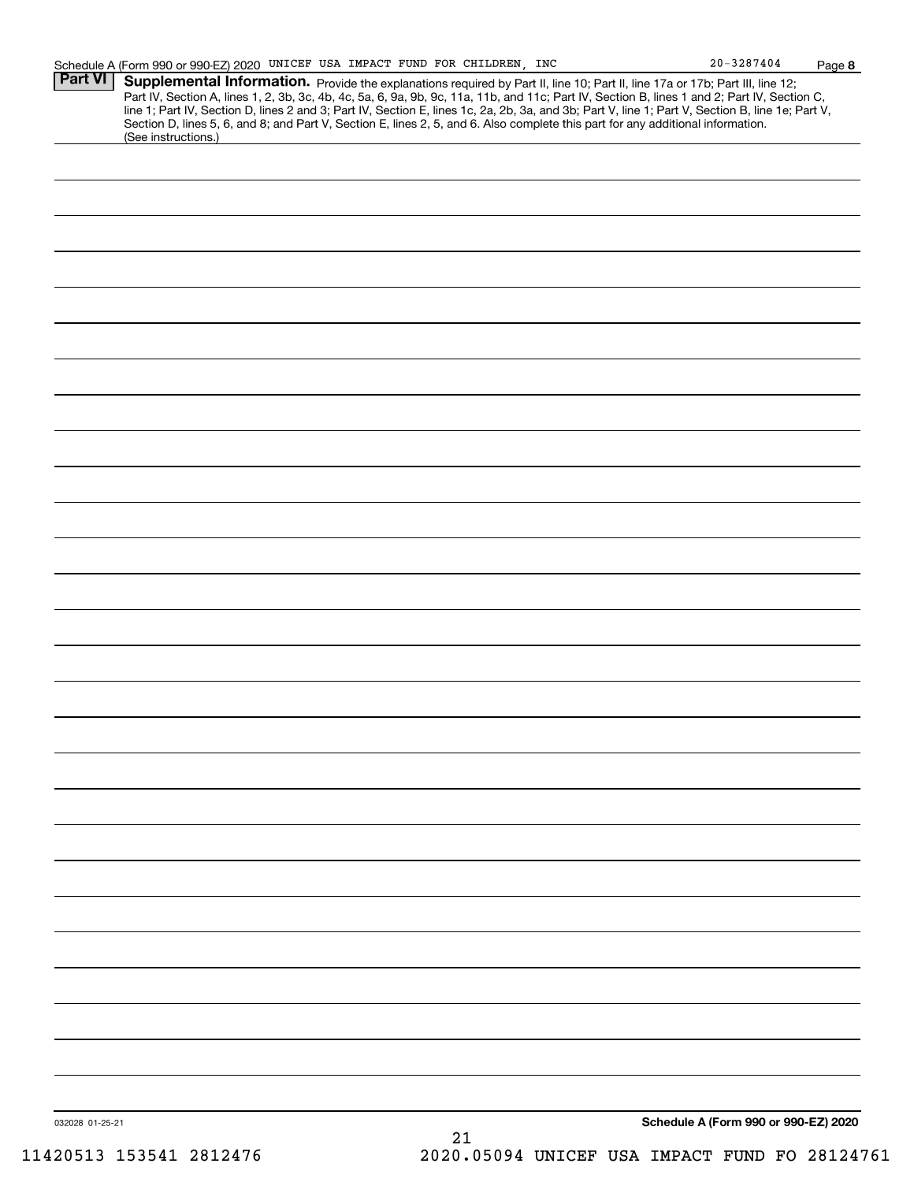**8**

| (See instructions.) | Part IV, Section A, lines 1, 2, 3b, 3c, 4b, 4c, 5a, 6, 9a, 9b, 9c, 11a, 11b, and 11c; Part IV, Section B, lines 1 and 2; Part IV, Section C, line 1; Part IV, Section D, lines 2 and 3; Part IV, Section E, lines 1c, 2a, 2b,<br>Section D, lines 5, 6, and 8; and Part V, Section E, lines 2, 5, and 6. Also complete this part for any additional information. |
|---------------------|------------------------------------------------------------------------------------------------------------------------------------------------------------------------------------------------------------------------------------------------------------------------------------------------------------------------------------------------------------------|
|                     |                                                                                                                                                                                                                                                                                                                                                                  |
|                     |                                                                                                                                                                                                                                                                                                                                                                  |
|                     |                                                                                                                                                                                                                                                                                                                                                                  |
|                     |                                                                                                                                                                                                                                                                                                                                                                  |
|                     |                                                                                                                                                                                                                                                                                                                                                                  |
|                     |                                                                                                                                                                                                                                                                                                                                                                  |
|                     |                                                                                                                                                                                                                                                                                                                                                                  |
|                     |                                                                                                                                                                                                                                                                                                                                                                  |
|                     |                                                                                                                                                                                                                                                                                                                                                                  |
|                     |                                                                                                                                                                                                                                                                                                                                                                  |
|                     |                                                                                                                                                                                                                                                                                                                                                                  |
|                     |                                                                                                                                                                                                                                                                                                                                                                  |
|                     |                                                                                                                                                                                                                                                                                                                                                                  |
|                     |                                                                                                                                                                                                                                                                                                                                                                  |
|                     |                                                                                                                                                                                                                                                                                                                                                                  |
|                     |                                                                                                                                                                                                                                                                                                                                                                  |
|                     |                                                                                                                                                                                                                                                                                                                                                                  |
|                     |                                                                                                                                                                                                                                                                                                                                                                  |
|                     |                                                                                                                                                                                                                                                                                                                                                                  |
|                     |                                                                                                                                                                                                                                                                                                                                                                  |
|                     |                                                                                                                                                                                                                                                                                                                                                                  |
|                     |                                                                                                                                                                                                                                                                                                                                                                  |
|                     |                                                                                                                                                                                                                                                                                                                                                                  |
|                     |                                                                                                                                                                                                                                                                                                                                                                  |
|                     |                                                                                                                                                                                                                                                                                                                                                                  |
|                     |                                                                                                                                                                                                                                                                                                                                                                  |
|                     |                                                                                                                                                                                                                                                                                                                                                                  |
|                     |                                                                                                                                                                                                                                                                                                                                                                  |
|                     |                                                                                                                                                                                                                                                                                                                                                                  |
|                     |                                                                                                                                                                                                                                                                                                                                                                  |
|                     |                                                                                                                                                                                                                                                                                                                                                                  |
|                     |                                                                                                                                                                                                                                                                                                                                                                  |
|                     |                                                                                                                                                                                                                                                                                                                                                                  |
|                     |                                                                                                                                                                                                                                                                                                                                                                  |
|                     |                                                                                                                                                                                                                                                                                                                                                                  |
|                     |                                                                                                                                                                                                                                                                                                                                                                  |
|                     |                                                                                                                                                                                                                                                                                                                                                                  |
|                     |                                                                                                                                                                                                                                                                                                                                                                  |
|                     |                                                                                                                                                                                                                                                                                                                                                                  |
| 032028 01-25-21     | Schedule A (Form 990 or 990-EZ) 2020                                                                                                                                                                                                                                                                                                                             |
|                     | 21<br>2020.05094 UNICEF USA IMPACT FUND FO 28124761                                                                                                                                                                                                                                                                                                              |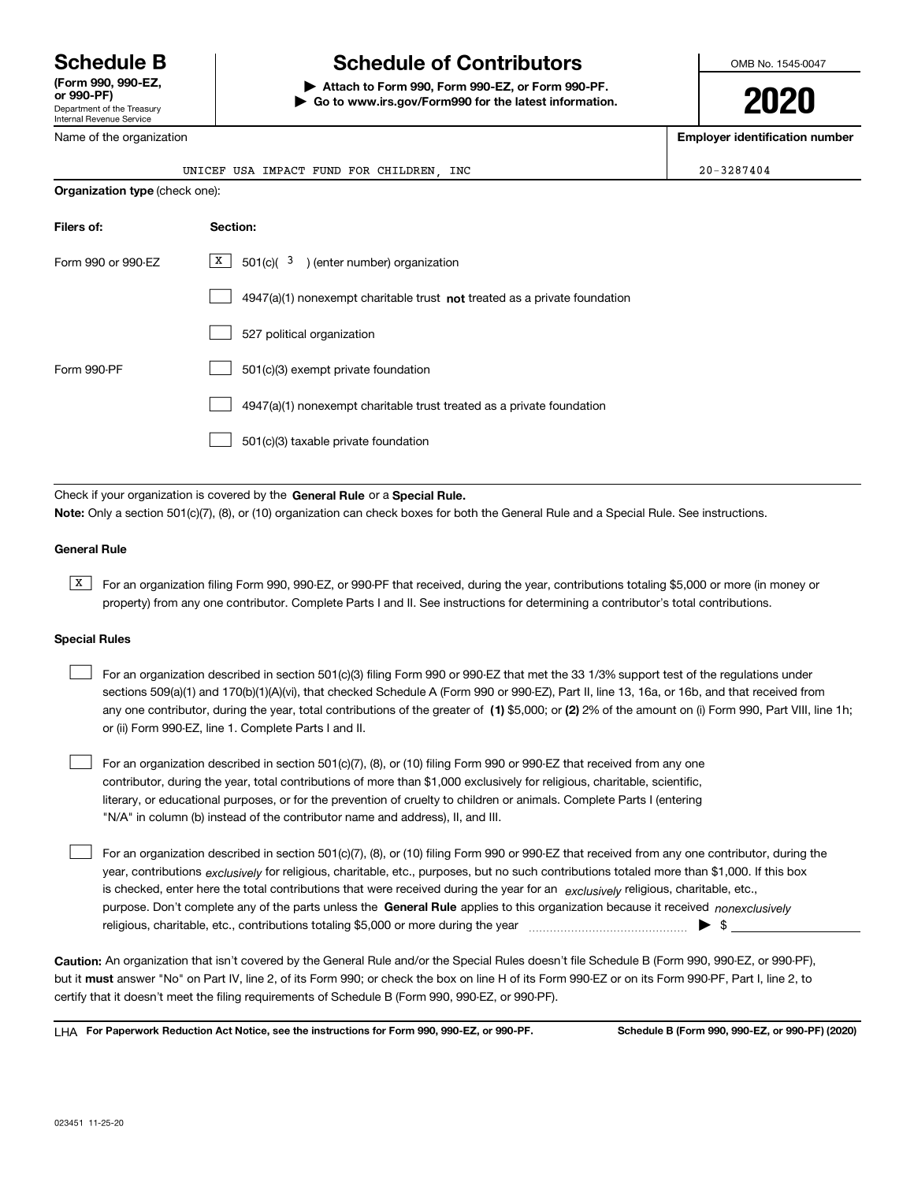Department of the Treasury Internal Revenue Service **(Form 990, 990-EZ, or 990-PF)**

## **Schedule B Schedule of Contributors**

**| Attach to Form 990, Form 990-EZ, or Form 990-PF. | Go to www.irs.gov/Form990 for the latest information.** OMB No. 1545-0047

**2020**

**Employer identification number**

| Name of the organization       | <b>Employer identification number</b>                                              |            |
|--------------------------------|------------------------------------------------------------------------------------|------------|
|                                | UNICEF USA IMPACT FUND FOR CHILDREN, INC                                           | 20-3287404 |
| Organization type (check one): |                                                                                    |            |
| Filers of:                     | Section:                                                                           |            |
| Form 990 or 990-EZ             | X <br>$501(c)$ $3$ ) (enter number) organization                                   |            |
|                                | $4947(a)(1)$ nonexempt charitable trust <b>not</b> treated as a private foundation |            |
|                                | 527 political organization                                                         |            |
| Form 990-PF                    | 501(c)(3) exempt private foundation                                                |            |
|                                | 4947(a)(1) nonexempt charitable trust treated as a private foundation              |            |
|                                | 501(c)(3) taxable private foundation                                               |            |
|                                |                                                                                    |            |

Check if your organization is covered by the **General Rule** or a **Special Rule. Note:**  Only a section 501(c)(7), (8), or (10) organization can check boxes for both the General Rule and a Special Rule. See instructions.

## **General Rule**

 $\overline{X}$  For an organization filing Form 990, 990-EZ, or 990-PF that received, during the year, contributions totaling \$5,000 or more (in money or property) from any one contributor. Complete Parts I and II. See instructions for determining a contributor's total contributions.

## **Special Rules**

| For an organization described in section 501(c)(3) filing Form 990 or 990-EZ that met the 33 1/3% support test of the regulations under               |
|-------------------------------------------------------------------------------------------------------------------------------------------------------|
| sections 509(a)(1) and 170(b)(1)(A)(vi), that checked Schedule A (Form 990 or 990-EZ), Part II, line 13, 16a, or 16b, and that received from          |
| any one contributor, during the year, total contributions of the greater of (1) \$5,000; or (2) 2% of the amount on (i) Form 990, Part VIII, line 1h; |
| or (ii) Form 990-EZ, line 1. Complete Parts I and II.                                                                                                 |

For an organization described in section 501(c)(7), (8), or (10) filing Form 990 or 990-EZ that received from any one contributor, during the year, total contributions of more than \$1,000 exclusively for religious, charitable, scientific, literary, or educational purposes, or for the prevention of cruelty to children or animals. Complete Parts I (entering "N/A" in column (b) instead of the contributor name and address), II, and III.  $\mathcal{L}^{\text{max}}$ 

purpose. Don't complete any of the parts unless the **General Rule** applies to this organization because it received *nonexclusively* year, contributions <sub>exclusively</sub> for religious, charitable, etc., purposes, but no such contributions totaled more than \$1,000. If this box is checked, enter here the total contributions that were received during the year for an  $\;$ exclusively religious, charitable, etc., For an organization described in section 501(c)(7), (8), or (10) filing Form 990 or 990-EZ that received from any one contributor, during the religious, charitable, etc., contributions totaling \$5,000 or more during the year  $\Box$ — $\Box$   $\Box$  $\mathcal{L}^{\text{max}}$ 

**Caution:**  An organization that isn't covered by the General Rule and/or the Special Rules doesn't file Schedule B (Form 990, 990-EZ, or 990-PF),  **must** but it answer "No" on Part IV, line 2, of its Form 990; or check the box on line H of its Form 990-EZ or on its Form 990-PF, Part I, line 2, to certify that it doesn't meet the filing requirements of Schedule B (Form 990, 990-EZ, or 990-PF).

**For Paperwork Reduction Act Notice, see the instructions for Form 990, 990-EZ, or 990-PF. Schedule B (Form 990, 990-EZ, or 990-PF) (2020)** LHA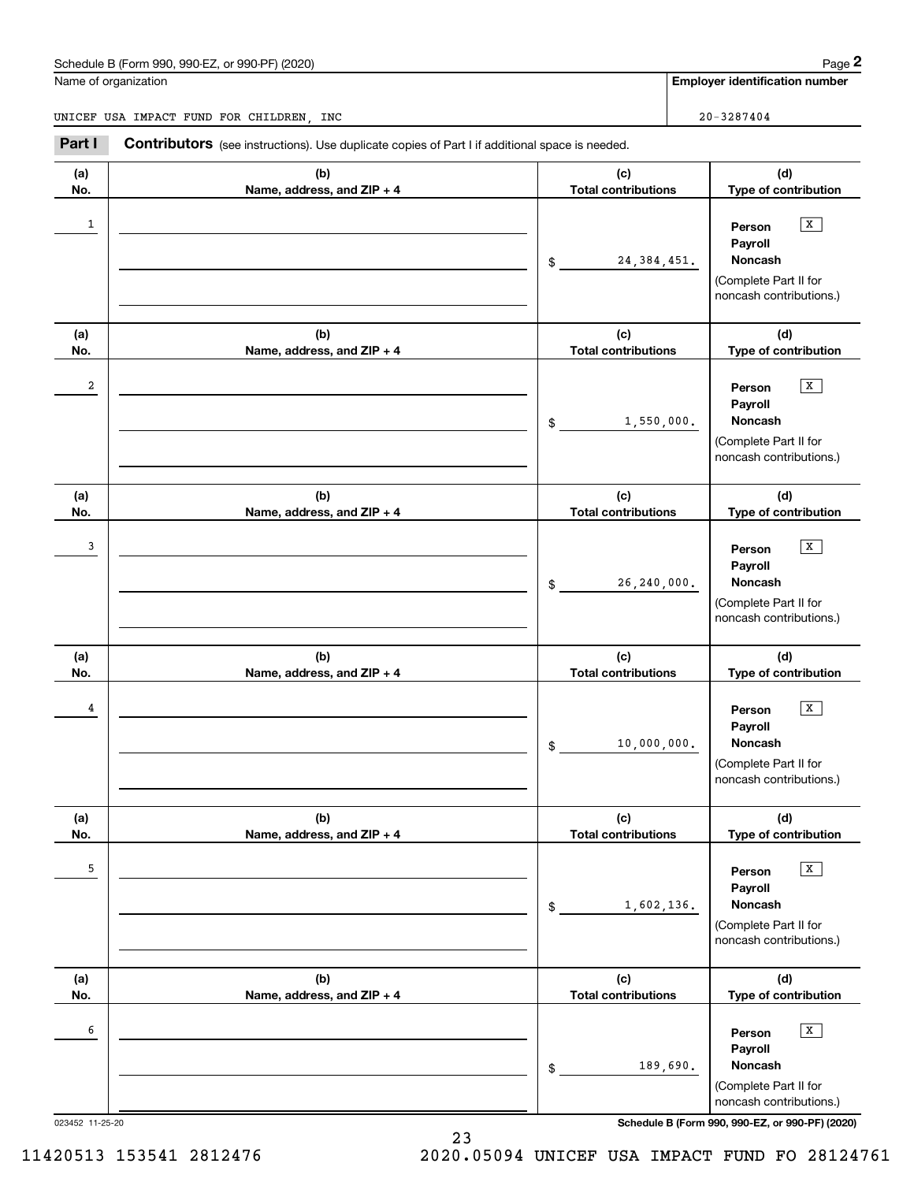## Schedule B (Form 990, 990-EZ, or 990-PF) (2020) Page 2

|              | Schedule B (Form 990, 990-EZ, or 990-PF) (2020)                                                |                                   | Page 2                                                                                           |
|--------------|------------------------------------------------------------------------------------------------|-----------------------------------|--------------------------------------------------------------------------------------------------|
|              | Name of organization                                                                           |                                   | <b>Employer identification number</b>                                                            |
|              | UNICEF USA IMPACT FUND FOR CHILDREN, INC                                                       |                                   | $20 - 3287404$                                                                                   |
| Part I       | Contributors (see instructions). Use duplicate copies of Part I if additional space is needed. |                                   |                                                                                                  |
| (a)<br>No.   | (b)<br>Name, address, and ZIP + 4                                                              | (c)<br><b>Total contributions</b> | (d)<br>Type of contribution                                                                      |
| $\mathbf{1}$ |                                                                                                | 24, 384, 451.<br>\$               | $\mathbf{x}$<br>Person<br>Payroll<br>Noncash<br>(Complete Part II for<br>noncash contributions.) |
| (a)<br>No.   | (b)<br>Name, address, and ZIP + 4                                                              | (c)<br><b>Total contributions</b> | (d)<br>Type of contribution                                                                      |
| 2            |                                                                                                | 1,550,000.<br>\$                  | x<br>Person<br>Payroll<br>Noncash<br>(Complete Part II for<br>noncash contributions.)            |
| (a)<br>No.   | (b)<br>Name, address, and ZIP + 4                                                              | (c)<br><b>Total contributions</b> | (d)<br>Type of contribution                                                                      |
| 3            |                                                                                                | 26, 240, 000.<br>\$               | $\mathbf{x}$<br>Person<br>Payroll<br>Noncash<br>(Complete Part II for<br>noncash contributions.) |
| (a)<br>No.   | (b)<br>Name, address, and ZIP + 4                                                              | (c)<br><b>Total contributions</b> | (d)<br>Type of contribution                                                                      |
| 4            |                                                                                                | 10,000,000.<br>\$                 | x<br>Person<br>Payroll<br>Noncash<br>(Complete Part II for<br>noncash contributions.)            |
| (a)<br>No.   | (b)<br>Name, address, and ZIP + 4                                                              | (c)<br><b>Total contributions</b> | (d)<br>Type of contribution                                                                      |
| 5            |                                                                                                | 1,602,136.<br>\$                  | $\sqrt{x}$<br>Person<br>Payroll<br>Noncash<br>(Complete Part II for<br>noncash contributions.)   |
| (a)<br>No.   | (b)<br>Name, address, and ZIP + 4                                                              | (c)<br><b>Total contributions</b> | (d)<br>Type of contribution                                                                      |
| 6            |                                                                                                | 189,690.<br>\$                    | $\sqrt{x}$<br>Person<br>Payroll<br>Noncash<br>(Complete Part II for<br>noncash contributions.)   |

023452 11-25-20 **Schedule B (Form 990, 990-EZ, or 990-PF) (2020)**

11420513 153541 2812476 2020.05094 UNICEF USA IMPACT FUND FO 28124761

23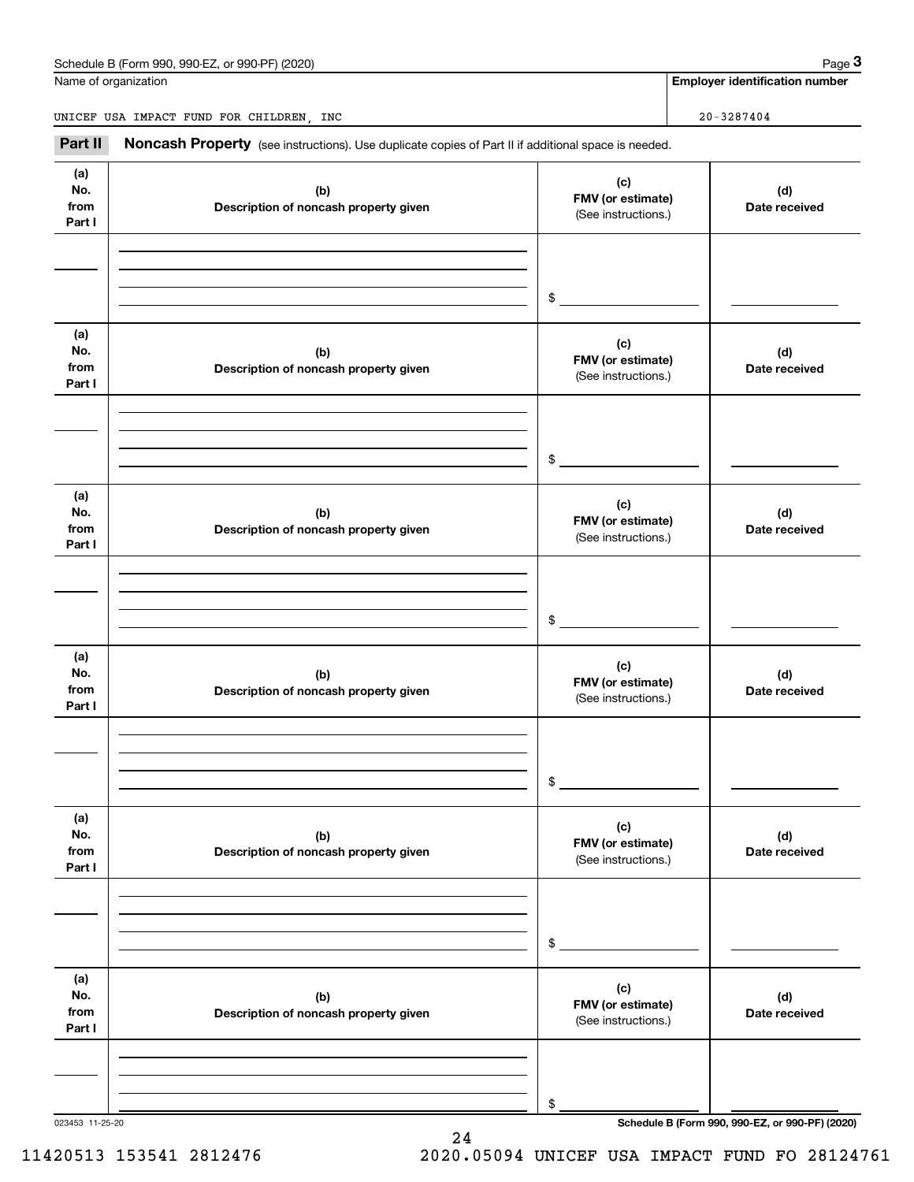## Schedule B (Form 990, 990-EZ, or 990-PF) (2020) Page 3

|                              | Schedule B (Form 990, 990-EZ, or 990-PF) (2020)                                                     |                                                 | Page 3                                          |
|------------------------------|-----------------------------------------------------------------------------------------------------|-------------------------------------------------|-------------------------------------------------|
|                              | Name of organization                                                                                |                                                 | <b>Employer identification number</b>           |
|                              | UNICEF USA IMPACT FUND FOR CHILDREN, INC                                                            |                                                 | $20 - 3287404$                                  |
| Part II                      | Noncash Property (see instructions). Use duplicate copies of Part II if additional space is needed. |                                                 |                                                 |
| (a)<br>No.<br>from<br>Part I | (b)<br>Description of noncash property given                                                        | (c)<br>FMV (or estimate)<br>(See instructions.) | (d)<br>Date received                            |
|                              |                                                                                                     | \$                                              |                                                 |
| (a)<br>No.<br>from<br>Part I | (b)<br>Description of noncash property given                                                        | (c)<br>FMV (or estimate)<br>(See instructions.) | (d)<br>Date received                            |
|                              |                                                                                                     | \$                                              |                                                 |
| (a)<br>No.<br>from<br>Part I | (b)<br>Description of noncash property given                                                        | (c)<br>FMV (or estimate)<br>(See instructions.) | (d)<br>Date received                            |
|                              |                                                                                                     | \$                                              |                                                 |
| (a)<br>No.<br>from<br>Part I | (b)<br>Description of noncash property given                                                        | (c)<br>FMV (or estimate)<br>(See instructions.) | (d)<br>Date received                            |
|                              |                                                                                                     | \$                                              |                                                 |
| (a)<br>No.<br>from<br>Part I | (b)<br>Description of noncash property given                                                        | (c)<br>FMV (or estimate)<br>(See instructions.) | (d)<br>Date received                            |
|                              |                                                                                                     | \$                                              |                                                 |
| (a)<br>No.<br>from<br>Part I | (b)<br>Description of noncash property given                                                        | (c)<br>FMV (or estimate)<br>(See instructions.) | (d)<br>Date received                            |
|                              |                                                                                                     | \$                                              |                                                 |
| 023453 11-25-20              |                                                                                                     |                                                 | Schedule B (Form 990, 990-EZ, or 990-PF) (2020) |

24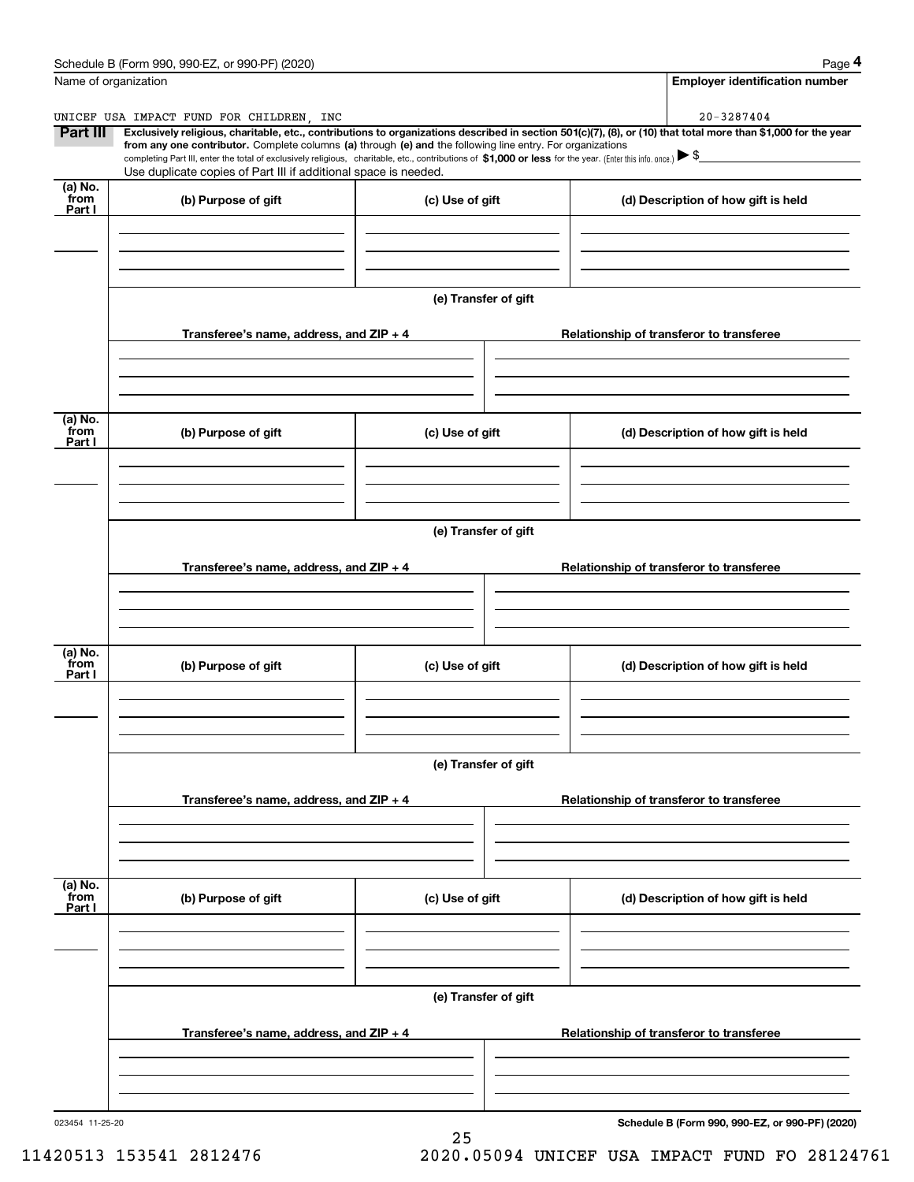| Schedule B (Form 990, 990-EZ, or 990-PF) (2020) | Page |
|-------------------------------------------------|------|
|-------------------------------------------------|------|

| Name of organization      | Schedule B (Form 990, 990-EZ, or 990-PF) (2020)                                                                                                                                                                                                                                                                                                                                                                                                                                          |                      | Page 4<br><b>Employer identification number</b> |
|---------------------------|------------------------------------------------------------------------------------------------------------------------------------------------------------------------------------------------------------------------------------------------------------------------------------------------------------------------------------------------------------------------------------------------------------------------------------------------------------------------------------------|----------------------|-------------------------------------------------|
|                           |                                                                                                                                                                                                                                                                                                                                                                                                                                                                                          |                      |                                                 |
| Part III                  | UNICEF USA IMPACT FUND FOR CHILDREN, INC<br>Exclusively religious, charitable, etc., contributions to organizations described in section 501(c)(7), (8), or (10) that total more than \$1,000 for the year<br>from any one contributor. Complete columns (a) through (e) and the following line entry. For organizations<br>completing Part III, enter the total of exclusively religious, charitable, etc., contributions of \$1,000 or less for the year. (Enter this info. once.) \\$ |                      | 20-3287404                                      |
| (a) No.                   | Use duplicate copies of Part III if additional space is needed.                                                                                                                                                                                                                                                                                                                                                                                                                          |                      |                                                 |
| from<br>Part I            | (b) Purpose of gift                                                                                                                                                                                                                                                                                                                                                                                                                                                                      | (c) Use of gift      | (d) Description of how gift is held             |
|                           | Transferee's name, address, and ZIP + 4                                                                                                                                                                                                                                                                                                                                                                                                                                                  | (e) Transfer of gift | Relationship of transferor to transferee        |
| (a) No.<br>from<br>Part I | (b) Purpose of gift                                                                                                                                                                                                                                                                                                                                                                                                                                                                      | (c) Use of gift      | (d) Description of how gift is held             |
|                           | Transferee's name, address, and ZIP + 4                                                                                                                                                                                                                                                                                                                                                                                                                                                  | (e) Transfer of gift | Relationship of transferor to transferee        |
| (a) No.<br>from           |                                                                                                                                                                                                                                                                                                                                                                                                                                                                                          |                      |                                                 |
| Part I                    | (b) Purpose of gift                                                                                                                                                                                                                                                                                                                                                                                                                                                                      | (c) Use of gift      | (d) Description of how gift is held             |
|                           |                                                                                                                                                                                                                                                                                                                                                                                                                                                                                          | (e) Transfer of gift |                                                 |
|                           | Transferee's name, address, and $ZIP + 4$                                                                                                                                                                                                                                                                                                                                                                                                                                                |                      | Relationship of transferor to transferee        |
| (a) No.<br>from<br>Part I | (b) Purpose of gift                                                                                                                                                                                                                                                                                                                                                                                                                                                                      | (c) Use of gift      | (d) Description of how gift is held             |
|                           |                                                                                                                                                                                                                                                                                                                                                                                                                                                                                          | (e) Transfer of gift |                                                 |
|                           | Transferee's name, address, and $ZIP + 4$                                                                                                                                                                                                                                                                                                                                                                                                                                                |                      | Relationship of transferor to transferee        |
| 023454 11-25-20           |                                                                                                                                                                                                                                                                                                                                                                                                                                                                                          |                      | Schedule B (Form 990, 990-EZ, or 990-PF) (2020) |

25

**Schedule B (Form 990, 990-EZ, or 990-PF) (2020)**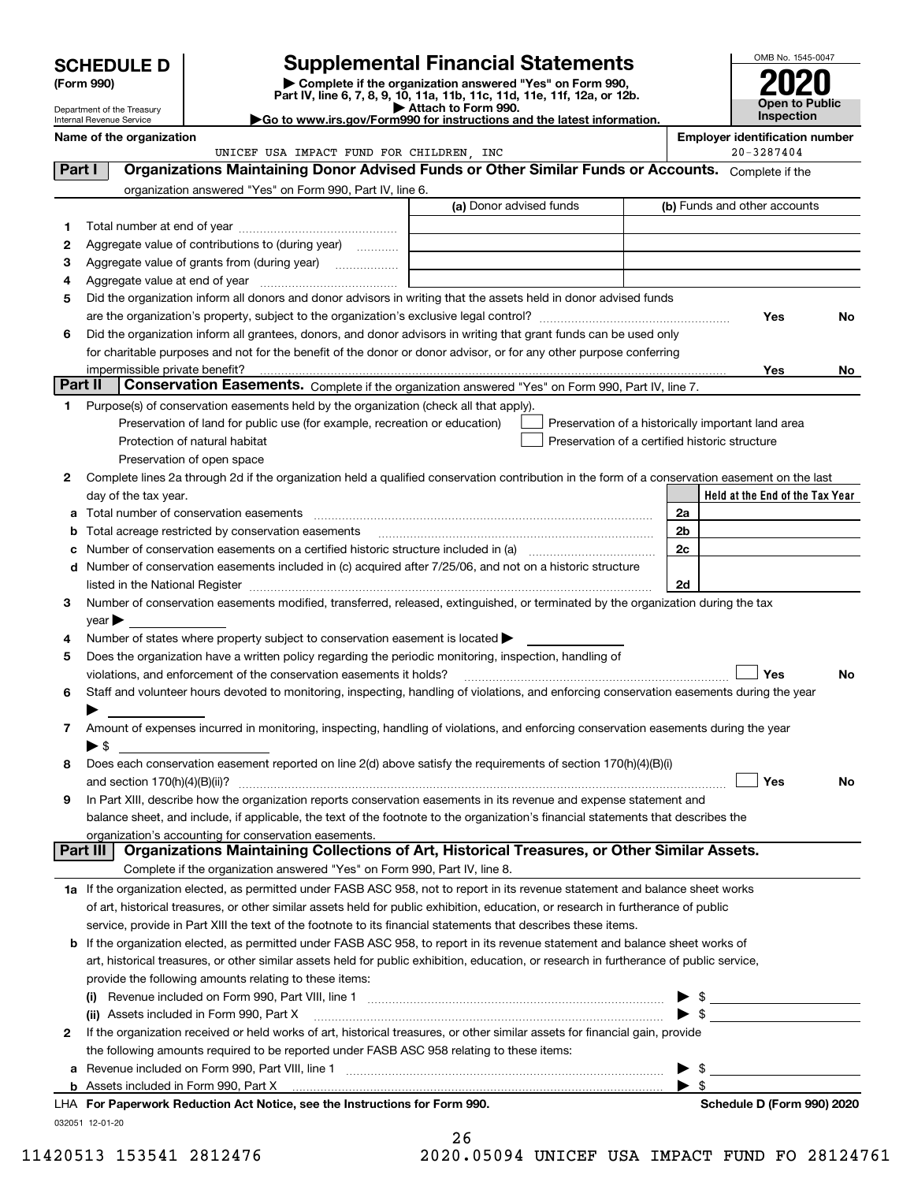| <b>SCHEDULE D</b> |  |
|-------------------|--|
|-------------------|--|

| (Form 990) |
|------------|
|            |

## **Supplemental Financial Statements**

(Form 990)<br>
Pepartment of the Treasury<br>
Department of the Treasury<br>
Department of the Treasury<br>
Department of the Treasury<br> **Co to www.irs.gov/Form990 for instructions and the latest information.**<br> **Co to www.irs.gov/Form9** 

UNICEF USA IMPACT FUND FOR CHILDREN, INC  $20-3287404$ 



Department of the Treasury Internal Revenue Service **Name of the organization Employer identification number**

| Part I  | Organizations Maintaining Donor Advised Funds or Other Similar Funds or Accounts. Complete if the                                                                                                                             |                         |          |                                                    |     |
|---------|-------------------------------------------------------------------------------------------------------------------------------------------------------------------------------------------------------------------------------|-------------------------|----------|----------------------------------------------------|-----|
|         | organization answered "Yes" on Form 990, Part IV, line 6.                                                                                                                                                                     |                         |          |                                                    |     |
|         |                                                                                                                                                                                                                               | (a) Donor advised funds |          | (b) Funds and other accounts                       |     |
| 1.      |                                                                                                                                                                                                                               |                         |          |                                                    |     |
| 2       | Aggregate value of contributions to (during year)                                                                                                                                                                             |                         |          |                                                    |     |
| з       | Aggregate value of grants from (during year)                                                                                                                                                                                  |                         |          |                                                    |     |
| 4       |                                                                                                                                                                                                                               |                         |          |                                                    |     |
| 5       | Did the organization inform all donors and donor advisors in writing that the assets held in donor advised funds                                                                                                              |                         |          |                                                    |     |
|         |                                                                                                                                                                                                                               |                         |          | Yes                                                | No  |
| 6       | Did the organization inform all grantees, donors, and donor advisors in writing that grant funds can be used only                                                                                                             |                         |          |                                                    |     |
|         | for charitable purposes and not for the benefit of the donor or donor advisor, or for any other purpose conferring                                                                                                            |                         |          |                                                    |     |
|         | impermissible private benefit?                                                                                                                                                                                                |                         |          | Yes                                                | No. |
| Part II | Conservation Easements. Complete if the organization answered "Yes" on Form 990, Part IV, line 7.                                                                                                                             |                         |          |                                                    |     |
| 1       | Purpose(s) of conservation easements held by the organization (check all that apply).                                                                                                                                         |                         |          |                                                    |     |
|         | Preservation of land for public use (for example, recreation or education)                                                                                                                                                    |                         |          | Preservation of a historically important land area |     |
|         | Protection of natural habitat                                                                                                                                                                                                 |                         |          | Preservation of a certified historic structure     |     |
|         | Preservation of open space                                                                                                                                                                                                    |                         |          |                                                    |     |
| 2       | Complete lines 2a through 2d if the organization held a qualified conservation contribution in the form of a conservation easement on the last                                                                                |                         |          |                                                    |     |
|         | day of the tax year.                                                                                                                                                                                                          |                         |          | Held at the End of the Tax Year                    |     |
| a       |                                                                                                                                                                                                                               |                         | 2a       |                                                    |     |
| b       | Total acreage restricted by conservation easements                                                                                                                                                                            |                         | 2b<br>2c |                                                    |     |
| c<br>d  | Number of conservation easements included in (c) acquired after 7/25/06, and not on a historic structure                                                                                                                      |                         |          |                                                    |     |
|         | listed in the National Register [11, 1200] [12] The National Register [11, 1200] [12] The National Register [11, 1200] [12] The National Register [11, 1200] [12] The National Register [11, 1200] [12] The National Register |                         | 2d       |                                                    |     |
| 3       | Number of conservation easements modified, transferred, released, extinguished, or terminated by the organization during the tax                                                                                              |                         |          |                                                    |     |
|         | $year \blacktriangleright$                                                                                                                                                                                                    |                         |          |                                                    |     |
| 4       | Number of states where property subject to conservation easement is located >                                                                                                                                                 |                         |          |                                                    |     |
| 5       | Does the organization have a written policy regarding the periodic monitoring, inspection, handling of                                                                                                                        |                         |          |                                                    |     |
|         | violations, and enforcement of the conservation easements it holds?                                                                                                                                                           |                         |          | Yes                                                | No  |
| 6       | Staff and volunteer hours devoted to monitoring, inspecting, handling of violations, and enforcing conservation easements during the year                                                                                     |                         |          |                                                    |     |
|         |                                                                                                                                                                                                                               |                         |          |                                                    |     |
| 7       | Amount of expenses incurred in monitoring, inspecting, handling of violations, and enforcing conservation easements during the year                                                                                           |                         |          |                                                    |     |
|         | $\blacktriangleright$ \$                                                                                                                                                                                                      |                         |          |                                                    |     |
| 8       | Does each conservation easement reported on line 2(d) above satisfy the requirements of section 170(h)(4)(B)(i)                                                                                                               |                         |          |                                                    |     |
|         |                                                                                                                                                                                                                               |                         |          | Yes                                                | No  |
| 9       | In Part XIII, describe how the organization reports conservation easements in its revenue and expense statement and                                                                                                           |                         |          |                                                    |     |
|         | balance sheet, and include, if applicable, the text of the footnote to the organization's financial statements that describes the                                                                                             |                         |          |                                                    |     |
|         | organization's accounting for conservation easements.                                                                                                                                                                         |                         |          |                                                    |     |
|         | Organizations Maintaining Collections of Art, Historical Treasures, or Other Similar Assets.<br>Part III                                                                                                                      |                         |          |                                                    |     |
|         | Complete if the organization answered "Yes" on Form 990, Part IV, line 8.                                                                                                                                                     |                         |          |                                                    |     |
|         | 1a If the organization elected, as permitted under FASB ASC 958, not to report in its revenue statement and balance sheet works                                                                                               |                         |          |                                                    |     |
|         | of art, historical treasures, or other similar assets held for public exhibition, education, or research in furtherance of public                                                                                             |                         |          |                                                    |     |
|         | service, provide in Part XIII the text of the footnote to its financial statements that describes these items.                                                                                                                |                         |          |                                                    |     |
| b       | If the organization elected, as permitted under FASB ASC 958, to report in its revenue statement and balance sheet works of                                                                                                   |                         |          |                                                    |     |
|         | art, historical treasures, or other similar assets held for public exhibition, education, or research in furtherance of public service,<br>provide the following amounts relating to these items:                             |                         |          |                                                    |     |
|         |                                                                                                                                                                                                                               |                         |          |                                                    |     |
|         | (ii) Assets included in Form 990, Part X                                                                                                                                                                                      |                         |          | ► \$                                               |     |
| 2       | If the organization received or held works of art, historical treasures, or other similar assets for financial gain, provide                                                                                                  |                         |          |                                                    |     |
|         | the following amounts required to be reported under FASB ASC 958 relating to these items:                                                                                                                                     |                         |          |                                                    |     |
| а       |                                                                                                                                                                                                                               |                         |          |                                                    |     |
|         |                                                                                                                                                                                                                               |                         |          | -\$                                                |     |
|         | LHA For Paperwork Reduction Act Notice, see the Instructions for Form 990.                                                                                                                                                    |                         |          | Schedule D (Form 990) 2020                         |     |
|         | 032051 12-01-20                                                                                                                                                                                                               |                         |          |                                                    |     |

|               | 26 |   |     |  |
|---------------|----|---|-----|--|
| $\sim$ $\sim$ |    | ⌒ | - ^ |  |

 $\sim$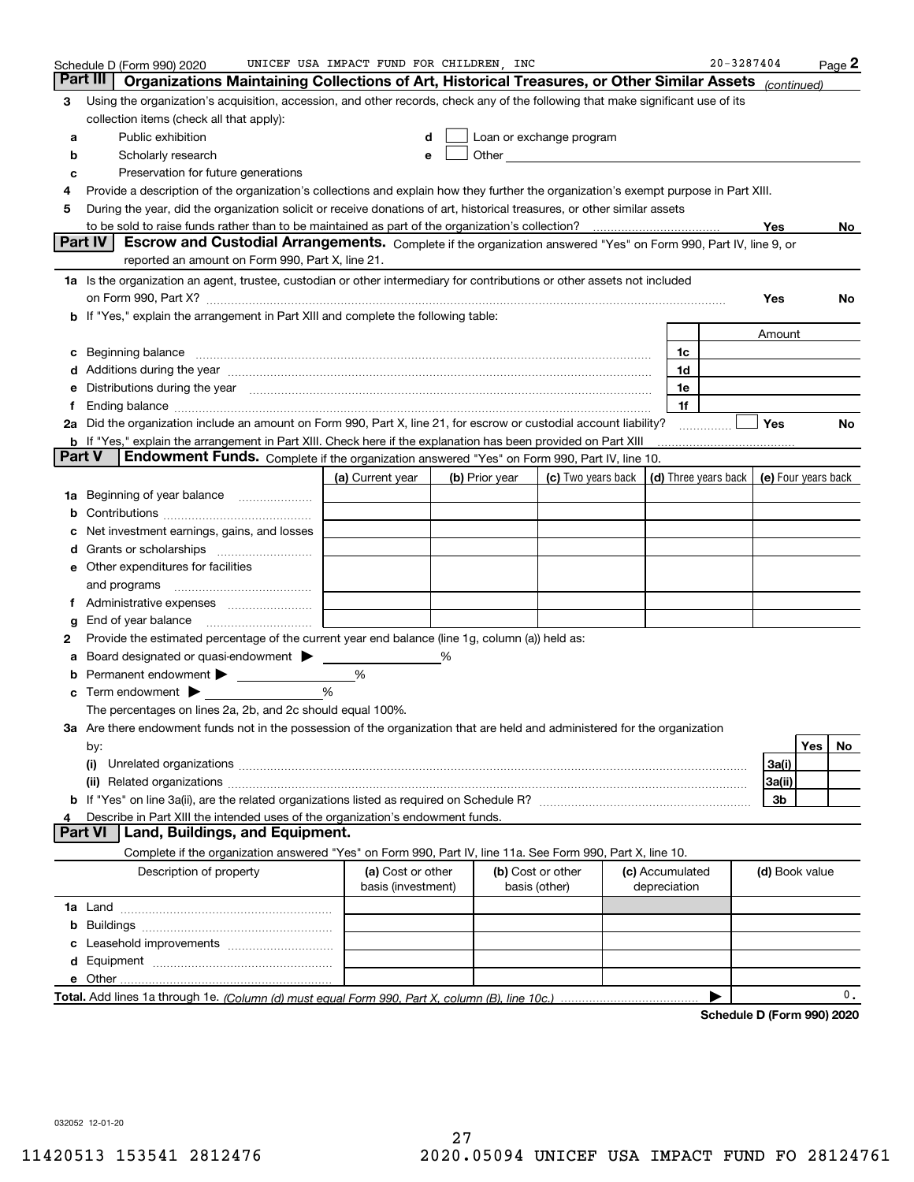|               | Schedule D (Form 990) 2020                                                                                                                                                                                                     | UNICEF USA IMPACT FUND FOR CHILDREN, INC |                |                                                                                                                                                                                                                                |                                 | $20 - 3287404$                                                              |                | $_{\text{Page}}$ 2         |
|---------------|--------------------------------------------------------------------------------------------------------------------------------------------------------------------------------------------------------------------------------|------------------------------------------|----------------|--------------------------------------------------------------------------------------------------------------------------------------------------------------------------------------------------------------------------------|---------------------------------|-----------------------------------------------------------------------------|----------------|----------------------------|
|               | Organizations Maintaining Collections of Art, Historical Treasures, or Other Similar Assets<br>Part III                                                                                                                        |                                          |                |                                                                                                                                                                                                                                |                                 |                                                                             | (continued)    |                            |
| 3             | Using the organization's acquisition, accession, and other records, check any of the following that make significant use of its                                                                                                |                                          |                |                                                                                                                                                                                                                                |                                 |                                                                             |                |                            |
|               | collection items (check all that apply):                                                                                                                                                                                       |                                          |                |                                                                                                                                                                                                                                |                                 |                                                                             |                |                            |
| а             | Public exhibition                                                                                                                                                                                                              | d                                        |                | Loan or exchange program                                                                                                                                                                                                       |                                 |                                                                             |                |                            |
| b             | Scholarly research                                                                                                                                                                                                             | e                                        |                | Other and the control of the control of the control of the control of the control of the control of the control of the control of the control of the control of the control of the control of the control of the control of th |                                 |                                                                             |                |                            |
| с             | Preservation for future generations                                                                                                                                                                                            |                                          |                |                                                                                                                                                                                                                                |                                 |                                                                             |                |                            |
| 4             | Provide a description of the organization's collections and explain how they further the organization's exempt purpose in Part XIII.                                                                                           |                                          |                |                                                                                                                                                                                                                                |                                 |                                                                             |                |                            |
| 5             | During the year, did the organization solicit or receive donations of art, historical treasures, or other similar assets                                                                                                       |                                          |                |                                                                                                                                                                                                                                |                                 |                                                                             |                |                            |
|               |                                                                                                                                                                                                                                |                                          |                |                                                                                                                                                                                                                                |                                 |                                                                             | Yes            | No                         |
|               | Part IV<br>Escrow and Custodial Arrangements. Complete if the organization answered "Yes" on Form 990, Part IV, line 9, or                                                                                                     |                                          |                |                                                                                                                                                                                                                                |                                 |                                                                             |                |                            |
|               | reported an amount on Form 990, Part X, line 21.                                                                                                                                                                               |                                          |                |                                                                                                                                                                                                                                |                                 |                                                                             |                |                            |
|               | 1a Is the organization an agent, trustee, custodian or other intermediary for contributions or other assets not included                                                                                                       |                                          |                |                                                                                                                                                                                                                                |                                 |                                                                             |                |                            |
|               | on Form 990, Part X? [11] matter contracts and contracts and contracts are contracted as a function of the set of the set of the set of the set of the set of the set of the set of the set of the set of the set of the set o |                                          |                |                                                                                                                                                                                                                                |                                 |                                                                             | Yes            | No                         |
|               | <b>b</b> If "Yes," explain the arrangement in Part XIII and complete the following table:                                                                                                                                      |                                          |                |                                                                                                                                                                                                                                |                                 |                                                                             |                |                            |
|               |                                                                                                                                                                                                                                |                                          |                |                                                                                                                                                                                                                                |                                 |                                                                             | Amount         |                            |
| с             | Beginning balance <b>contract to the contract of the contract of the contract of the contract of the contract of t</b>                                                                                                         |                                          |                |                                                                                                                                                                                                                                |                                 | 1c                                                                          |                |                            |
|               | Additions during the year manufactured and an annual contract of the year manufactured and all the year manufactured and all the year manufactured and all the year manufactured and all the year manufactured and all the yea |                                          |                |                                                                                                                                                                                                                                |                                 | 1d                                                                          |                |                            |
| е             | Distributions during the year manufactured and continuum and the year manufactured and the year manufactured and the year manufactured and the year manufactured and the year manufactured and the year manufactured and the y |                                          |                |                                                                                                                                                                                                                                |                                 | 1e                                                                          |                |                            |
| f             |                                                                                                                                                                                                                                |                                          |                |                                                                                                                                                                                                                                |                                 | 1f                                                                          |                |                            |
|               | 2a Did the organization include an amount on Form 990, Part X, line 21, for escrow or custodial account liability?                                                                                                             |                                          |                |                                                                                                                                                                                                                                |                                 |                                                                             | Yes            | No                         |
| <b>Part V</b> | <b>b</b> If "Yes," explain the arrangement in Part XIII. Check here if the explanation has been provided on Part XIII                                                                                                          |                                          |                |                                                                                                                                                                                                                                |                                 |                                                                             |                |                            |
|               | Endowment Funds. Complete if the organization answered "Yes" on Form 990, Part IV, line 10.                                                                                                                                    |                                          |                |                                                                                                                                                                                                                                |                                 |                                                                             |                |                            |
|               |                                                                                                                                                                                                                                | (a) Current year                         | (b) Prior year |                                                                                                                                                                                                                                |                                 | (c) Two years back $\vert$ (d) Three years back $\vert$ (e) Four years back |                |                            |
|               | 1a Beginning of year balance                                                                                                                                                                                                   |                                          |                |                                                                                                                                                                                                                                |                                 |                                                                             |                |                            |
| b             |                                                                                                                                                                                                                                |                                          |                |                                                                                                                                                                                                                                |                                 |                                                                             |                |                            |
|               | Net investment earnings, gains, and losses                                                                                                                                                                                     |                                          |                |                                                                                                                                                                                                                                |                                 |                                                                             |                |                            |
| d             |                                                                                                                                                                                                                                |                                          |                |                                                                                                                                                                                                                                |                                 |                                                                             |                |                            |
|               | <b>e</b> Other expenditures for facilities                                                                                                                                                                                     |                                          |                |                                                                                                                                                                                                                                |                                 |                                                                             |                |                            |
|               | and programs                                                                                                                                                                                                                   |                                          |                |                                                                                                                                                                                                                                |                                 |                                                                             |                |                            |
| f             | End of year balance                                                                                                                                                                                                            |                                          |                |                                                                                                                                                                                                                                |                                 |                                                                             |                |                            |
| 2             | Provide the estimated percentage of the current year end balance (line 1g, column (a)) held as:                                                                                                                                |                                          |                |                                                                                                                                                                                                                                |                                 |                                                                             |                |                            |
|               | Board designated or quasi-endowment >                                                                                                                                                                                          |                                          |                |                                                                                                                                                                                                                                |                                 |                                                                             |                |                            |
| b             | Permanent endowment >                                                                                                                                                                                                          | %                                        |                |                                                                                                                                                                                                                                |                                 |                                                                             |                |                            |
|               | <b>c</b> Term endowment $\blacktriangleright$                                                                                                                                                                                  | $\frac{0}{0}$                            |                |                                                                                                                                                                                                                                |                                 |                                                                             |                |                            |
|               | The percentages on lines 2a, 2b, and 2c should equal 100%.                                                                                                                                                                     |                                          |                |                                                                                                                                                                                                                                |                                 |                                                                             |                |                            |
|               | 3a Are there endowment funds not in the possession of the organization that are held and administered for the organization                                                                                                     |                                          |                |                                                                                                                                                                                                                                |                                 |                                                                             |                |                            |
|               | by:                                                                                                                                                                                                                            |                                          |                |                                                                                                                                                                                                                                |                                 |                                                                             |                | Yes<br>No.                 |
|               |                                                                                                                                                                                                                                |                                          |                |                                                                                                                                                                                                                                |                                 |                                                                             | 3a(i)          |                            |
|               |                                                                                                                                                                                                                                |                                          |                |                                                                                                                                                                                                                                |                                 |                                                                             | 3a(ii)         |                            |
|               |                                                                                                                                                                                                                                |                                          |                |                                                                                                                                                                                                                                |                                 |                                                                             | 3b             |                            |
| 4             | Describe in Part XIII the intended uses of the organization's endowment funds.                                                                                                                                                 |                                          |                |                                                                                                                                                                                                                                |                                 |                                                                             |                |                            |
|               | <b>Part VI</b><br>Land, Buildings, and Equipment.                                                                                                                                                                              |                                          |                |                                                                                                                                                                                                                                |                                 |                                                                             |                |                            |
|               | Complete if the organization answered "Yes" on Form 990, Part IV, line 11a. See Form 990, Part X, line 10.                                                                                                                     |                                          |                |                                                                                                                                                                                                                                |                                 |                                                                             |                |                            |
|               | Description of property                                                                                                                                                                                                        | (a) Cost or other<br>basis (investment)  |                | (b) Cost or other<br>basis (other)                                                                                                                                                                                             | (c) Accumulated<br>depreciation |                                                                             | (d) Book value |                            |
|               |                                                                                                                                                                                                                                |                                          |                |                                                                                                                                                                                                                                |                                 |                                                                             |                |                            |
| b             |                                                                                                                                                                                                                                |                                          |                |                                                                                                                                                                                                                                |                                 |                                                                             |                |                            |
|               |                                                                                                                                                                                                                                |                                          |                |                                                                                                                                                                                                                                |                                 |                                                                             |                |                            |
|               |                                                                                                                                                                                                                                |                                          |                |                                                                                                                                                                                                                                |                                 |                                                                             |                |                            |
|               |                                                                                                                                                                                                                                |                                          |                |                                                                                                                                                                                                                                |                                 |                                                                             |                |                            |
|               |                                                                                                                                                                                                                                |                                          |                |                                                                                                                                                                                                                                |                                 |                                                                             |                | 0.                         |
|               |                                                                                                                                                                                                                                |                                          |                |                                                                                                                                                                                                                                |                                 |                                                                             |                | Schodule D (Form 000) 2020 |

**Schedule D (Form 990) 2020**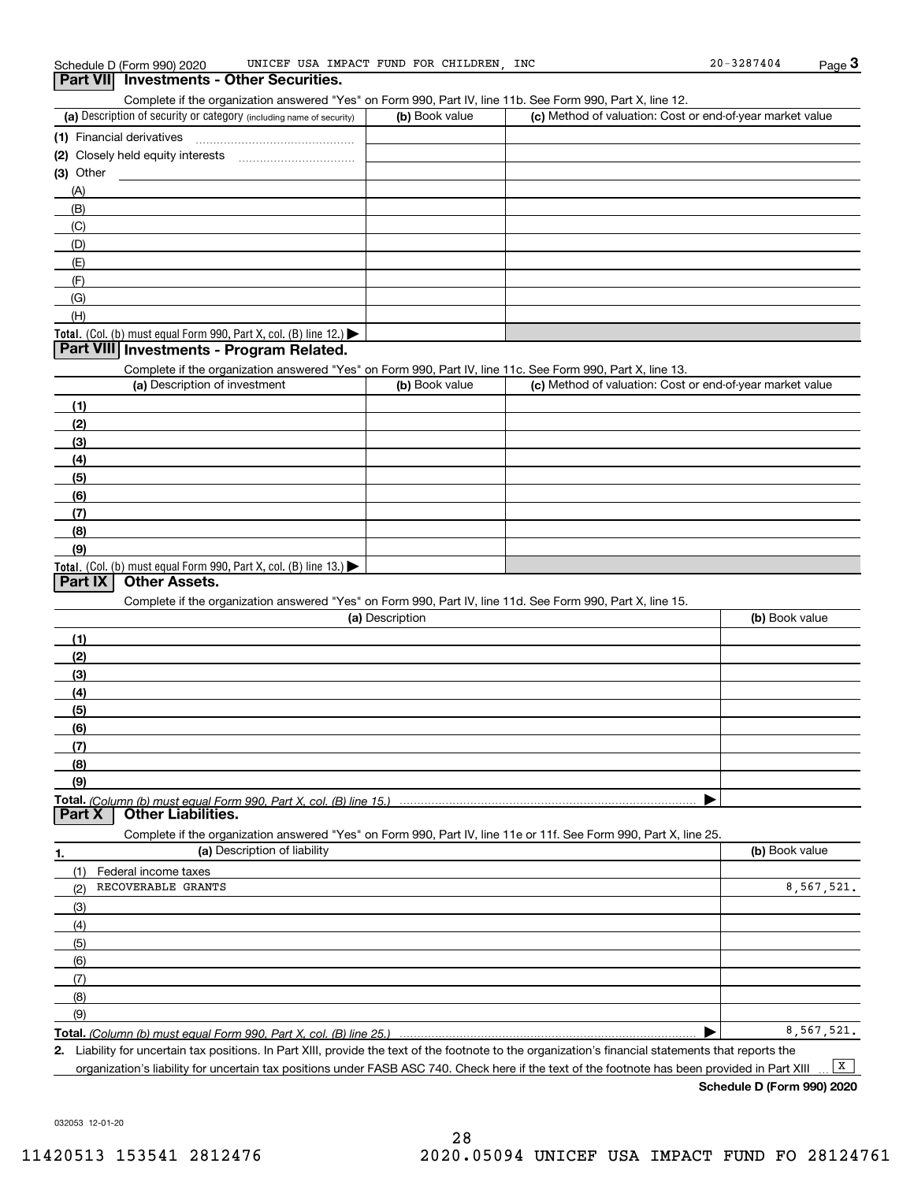Complete D (Form 990) 2020 UNICEF USA IMPACT FUND FOR CHILDREN, INC 20-3287404 Page 3<br>**Part VII Investments - Other Securities.**<br>Complete if the organization answered "Yes" on Form 990, Part IV, line 11b. See Form 990, P

| (a) Description of security or category (including name of security)                          | (b) Book value | (c) Method of valuation: Cost or end-of-year market value |
|-----------------------------------------------------------------------------------------------|----------------|-----------------------------------------------------------|
| (1) Financial derivatives                                                                     |                |                                                           |
| (2) Closely held equity interests                                                             |                |                                                           |
| $(3)$ Other                                                                                   |                |                                                           |
| (A)                                                                                           |                |                                                           |
| (B)                                                                                           |                |                                                           |
| (C)                                                                                           |                |                                                           |
| (D)                                                                                           |                |                                                           |
| (E)                                                                                           |                |                                                           |
| (F)                                                                                           |                |                                                           |
| (G)                                                                                           |                |                                                           |
| (H)                                                                                           |                |                                                           |
| <b>Total.</b> (Col. (b) must equal Form 990, Part X, col. (B) line 12.) $\blacktriangleright$ |                |                                                           |

## **Part VIII Investments - Program Related.**

Complete if the organization answered "Yes" on Form 990, Part IV, line 11c. See Form 990, Part X, line 13.

| (a) Description of investment                                    | (b) Book value | (c) Method of valuation: Cost or end-of-year market value |
|------------------------------------------------------------------|----------------|-----------------------------------------------------------|
| (1)                                                              |                |                                                           |
| (2)                                                              |                |                                                           |
| $\frac{1}{2}$                                                    |                |                                                           |
| (4)                                                              |                |                                                           |
| (5)                                                              |                |                                                           |
| (6)                                                              |                |                                                           |
| (7)                                                              |                |                                                           |
| (8)                                                              |                |                                                           |
| (9)                                                              |                |                                                           |
| Total. (Col. (b) must equal Form 990, Part X, col. (B) line 13.) |                |                                                           |

## **Part IX Other Assets.**

Complete if the organization answered "Yes" on Form 990, Part IV, line 11d. See Form 990, Part X, line 15.

| (a) Description                   | (b) Book value |
|-----------------------------------|----------------|
|                                   |                |
| (2)                               |                |
| (3)                               |                |
| (4)                               |                |
| (5)                               |                |
| (6)                               |                |
| $\mathbf{r}$                      |                |
| (8)                               |                |
| (9)                               |                |
|                                   |                |
| $Part X$ $Onbar I$ is $Dirichlet$ |                |

**1.(a)** Description of liability **Book value** Book value Book value Book value Book value Complete if the organization answered "Yes" on Form 990, Part IV, line 11e or 11f. See Form 990, Part X, line 25. **Part X Other Liabilities.** (1)(2)(3)(4)(5) (6)(7)(8)(9)Federal income taxes RECOVERABLE GRANTS 8,567,521. 8,567,521.

**Total.**  *(Column (b) must equal Form 990, Part X, col. (B) line 25.)* 

**2.** | Liability for uncertain tax positions. In Part XIII, provide the text of the footnote to the organization's financial statements that reports the organization's liability for uncertain tax positions under FASB ASC 740. Check here if the text of the footnote has been provided in Part XIII  $\boxed{\mathbf{X}}$ 

**Schedule D (Form 990) 2020**

032053 12-01-20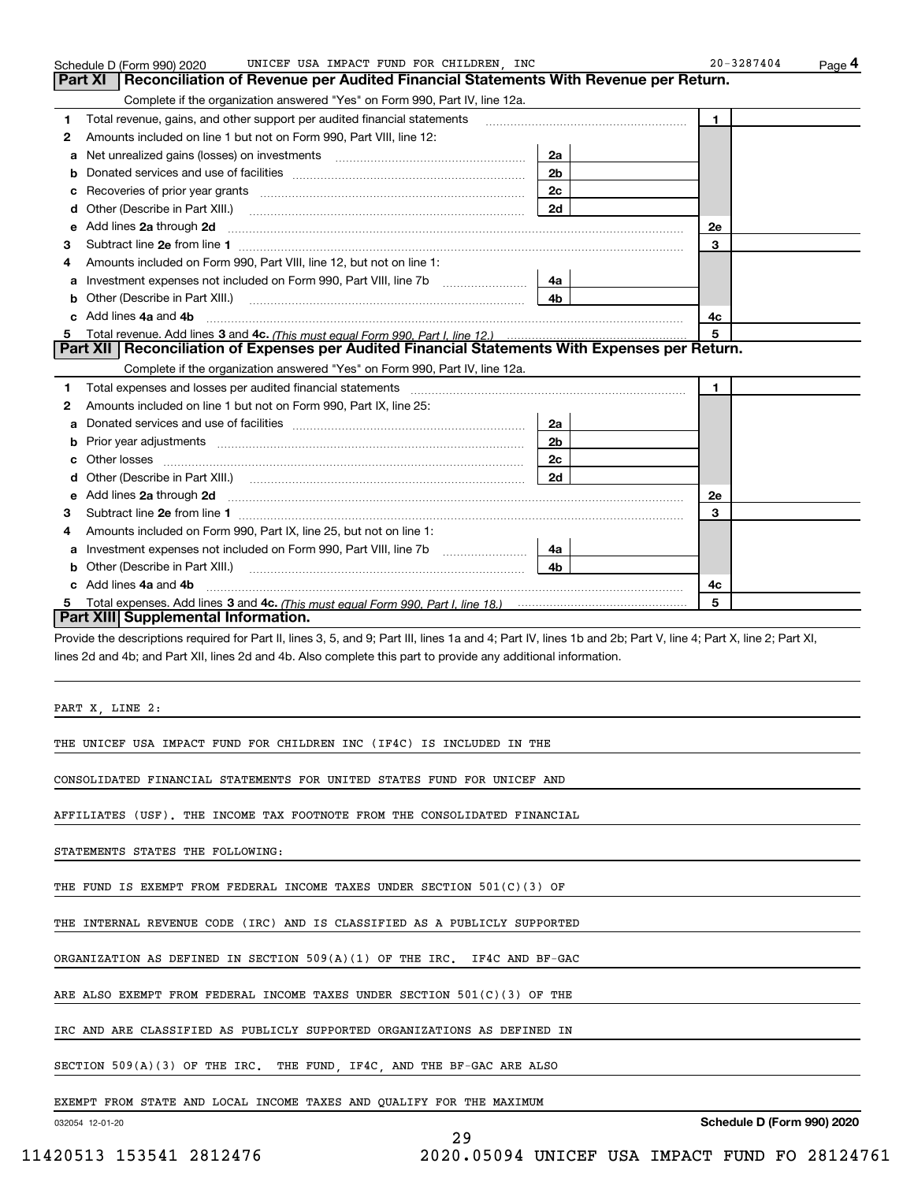|    | UNICEF USA IMPACT FUND FOR CHILDREN, INC<br>Schedule D (Form 990) 2020                                                                                         | $20 - 3287404$<br>$Page$ <sup>4</sup> |                |
|----|----------------------------------------------------------------------------------------------------------------------------------------------------------------|---------------------------------------|----------------|
|    | Reconciliation of Revenue per Audited Financial Statements With Revenue per Return.<br>Part XI                                                                 |                                       |                |
|    | Complete if the organization answered "Yes" on Form 990, Part IV, line 12a.                                                                                    |                                       |                |
| 1  | Total revenue, gains, and other support per audited financial statements                                                                                       |                                       | $\blacksquare$ |
| 2  | Amounts included on line 1 but not on Form 990, Part VIII, line 12:                                                                                            |                                       |                |
| a  | Net unrealized gains (losses) on investments [11] matter contracts and the unrealized gains (losses) on investments                                            | 2a                                    |                |
| b  |                                                                                                                                                                | 2 <sub>b</sub>                        |                |
| c  | Recoveries of prior year grants <i>manual content of the series</i> of prior year grants                                                                       | 2с                                    |                |
| d  |                                                                                                                                                                | 2d                                    |                |
| е  | Add lines 2a through 2d                                                                                                                                        |                                       | 2e             |
| з  |                                                                                                                                                                |                                       | 3              |
| 4  | Amounts included on Form 990, Part VIII, line 12, but not on line 1:                                                                                           |                                       |                |
| a  | Investment expenses not included on Form 990, Part VIII, line 7b                                                                                               | 4a                                    |                |
| b  | Other (Describe in Part XIII.)                                                                                                                                 | 4b.                                   |                |
| C. | Add lines 4a and 4b                                                                                                                                            |                                       | 4с             |
| 5. |                                                                                                                                                                |                                       | 5              |
|    | Part XII   Reconciliation of Expenses per Audited Financial Statements With Expenses per Return.                                                               |                                       |                |
|    | Complete if the organization answered "Yes" on Form 990, Part IV, line 12a.                                                                                    |                                       |                |
| 1  | Total expenses and losses per audited financial statements                                                                                                     |                                       | 1.             |
| 2  | Amounts included on line 1 but not on Form 990, Part IX, line 25:                                                                                              |                                       |                |
| а  |                                                                                                                                                                | 2a                                    |                |
| b  |                                                                                                                                                                | 2 <sub>b</sub>                        |                |
| с  |                                                                                                                                                                | 2c                                    |                |
| d  |                                                                                                                                                                | 2d                                    |                |
| е  | Add lines 2a through 2d                                                                                                                                        |                                       | 2e             |
| 3  |                                                                                                                                                                |                                       | 3              |
| 4  | Amounts included on Form 990, Part IX, line 25, but not on line 1:                                                                                             |                                       |                |
| а  |                                                                                                                                                                | 4a                                    |                |
| b  | Other (Describe in Part XIII.)                                                                                                                                 | 4b                                    |                |
| c  | Add lines 4a and 4b                                                                                                                                            |                                       | 4c             |
| 5. |                                                                                                                                                                |                                       | 5              |
|    | Part XIII Supplemental Information.                                                                                                                            |                                       |                |
|    | Provide the descriptions required for Part II, lines 3, 5, and 9; Part III, lines 1a and 4; Part IV, lines 1b and 2b; Part V, line 4; Part X, line 2; Part XI, |                                       |                |
|    | lines 2d and 4b; and Part XII, lines 2d and 4b. Also complete this part to provide any additional information.                                                 |                                       |                |
|    |                                                                                                                                                                |                                       |                |
|    |                                                                                                                                                                |                                       |                |
|    | PART X, LINE 2:                                                                                                                                                |                                       |                |

29

THE UNICEF USA IMPACT FUND FOR CHILDREN INC (IF4C) IS INCLUDED IN THE

CONSOLIDATED FINANCIAL STATEMENTS FOR UNITED STATES FUND FOR UNICEF AND

AFFILIATES (USF). THE INCOME TAX FOOTNOTE FROM THE CONSOLIDATED FINANCIAL

STATEMENTS STATES THE FOLLOWING:

THE FUND IS EXEMPT FROM FEDERAL INCOME TAXES UNDER SECTION 501(C)(3) OF

THE INTERNAL REVENUE CODE (IRC) AND IS CLASSIFIED AS A PUBLICLY SUPPORTED

ORGANIZATION AS DEFINED IN SECTION 509(A)(1) OF THE IRC. IF4C AND BF-GAC

ARE ALSO EXEMPT FROM FEDERAL INCOME TAXES UNDER SECTION 501(C)(3) OF THE

IRC AND ARE CLASSIFIED AS PUBLICLY SUPPORTED ORGANIZATIONS AS DEFINED IN

SECTION 509(A)(3) OF THE IRC. THE FUND, IF4C, AND THE BF-GAC ARE ALSO

EXEMPT FROM STATE AND LOCAL INCOME TAXES AND QUALIFY FOR THE MAXIMUM

032054 12-01-20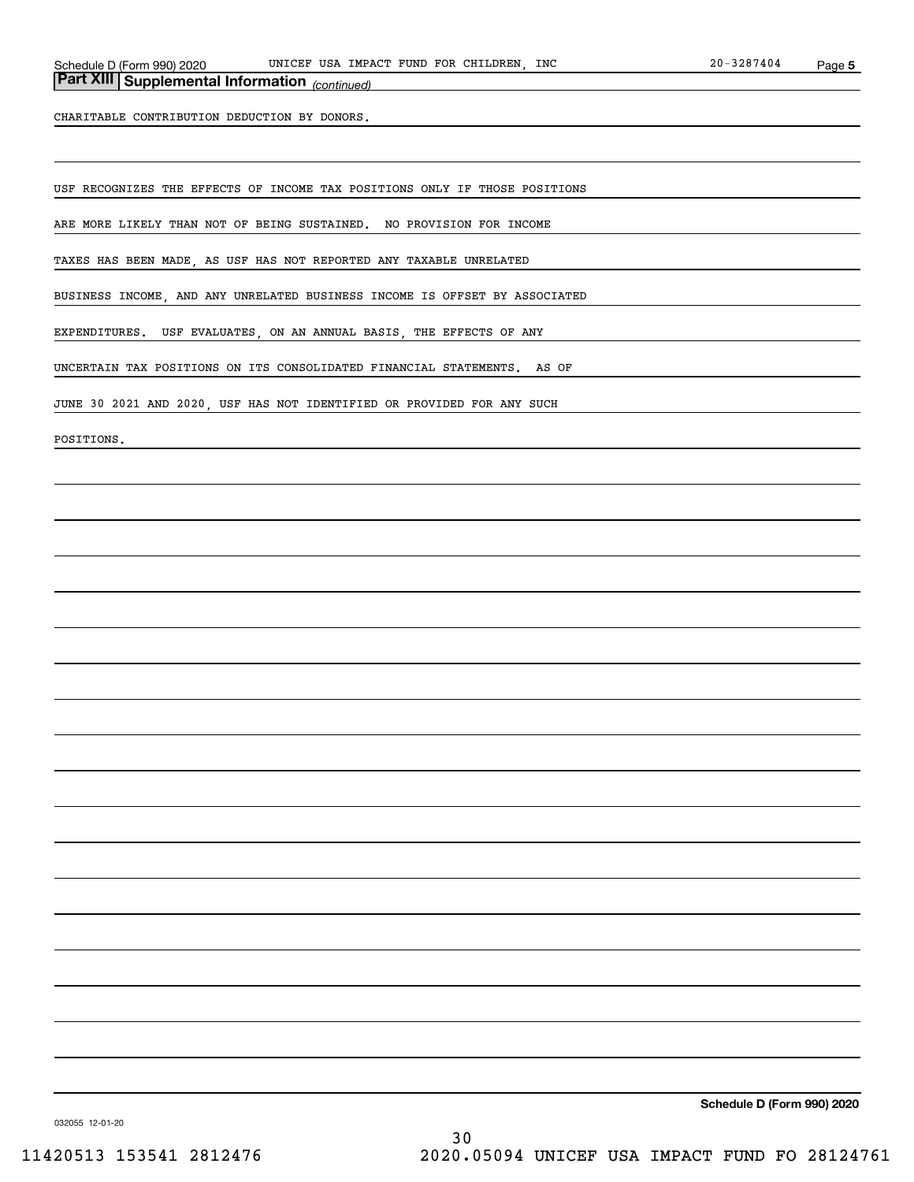## *(continued)* **Part XIII Supplemental Information**

CHARITABLE CONTRIBUTION DEDUCTION BY DONORS.

USF RECOGNIZES THE EFFECTS OF INCOME TAX POSITIONS ONLY IF THOSE POSITIONS

ARE MORE LIKELY THAN NOT OF BEING SUSTAINED. NO PROVISION FOR INCOME

TAXES HAS BEEN MADE, AS USF HAS NOT REPORTED ANY TAXABLE UNRELATED

BUSINESS INCOME, AND ANY UNRELATED BUSINESS INCOME IS OFFSET BY ASSOCIATED

EXPENDITURES. USF EVALUATES, ON AN ANNUAL BASIS, THE EFFECTS OF ANY

UNCERTAIN TAX POSITIONS ON ITS CONSOLIDATED FINANCIAL STATEMENTS. AS OF

JUNE 30 2021 AND 2020, USF HAS NOT IDENTIFIED OR PROVIDED FOR ANY SUCH

POSITIONS.

**Schedule D (Form 990) 2020**

032055 12-01-20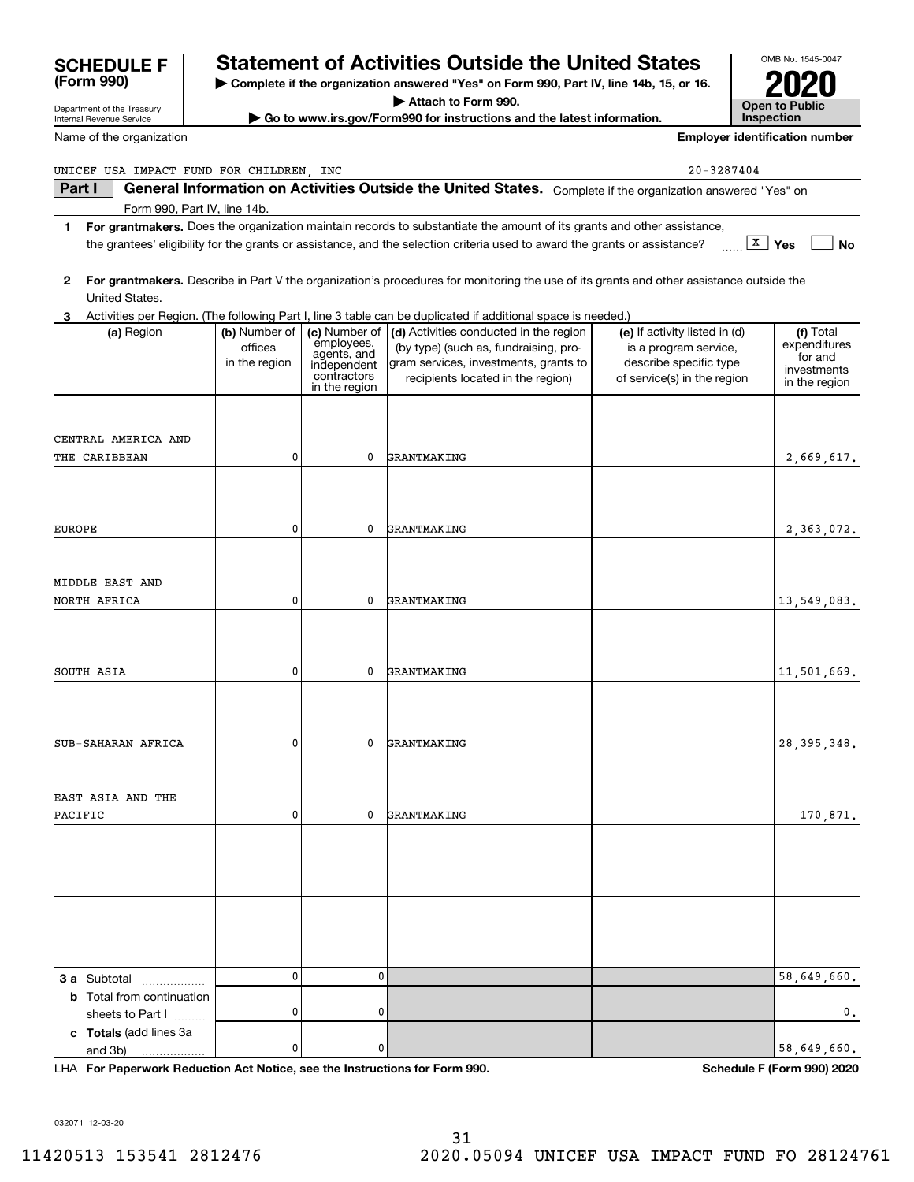| Name of the organization                 |               |                            |                                                                                                                                         |                                                 | <b>Employer identification number</b> |
|------------------------------------------|---------------|----------------------------|-----------------------------------------------------------------------------------------------------------------------------------------|-------------------------------------------------|---------------------------------------|
| UNICEF USA IMPACT FUND FOR CHILDREN, INC |               |                            |                                                                                                                                         | $20 - 3287404$                                  |                                       |
| Part I                                   |               |                            | General Information on Activities Outside the United States. Complete if the organization answered "Yes" on                             |                                                 |                                       |
| Form 990, Part IV, line 14b.             |               |                            |                                                                                                                                         |                                                 |                                       |
| 1                                        |               |                            | For grantmakers. Does the organization maintain records to substantiate the amount of its grants and other assistance,                  |                                                 | $\boxed{\textbf{X}}$ Yes              |
|                                          |               |                            | the grantees' eligibility for the grants or assistance, and the selection criteria used to award the grants or assistance?              |                                                 | <b>No</b>                             |
| $\mathbf{2}$                             |               |                            | For grantmakers. Describe in Part V the organization's procedures for monitoring the use of its grants and other assistance outside the |                                                 |                                       |
| United States.                           |               |                            |                                                                                                                                         |                                                 |                                       |
| 3                                        |               |                            | Activities per Region. (The following Part I, line 3 table can be duplicated if additional space is needed.)                            |                                                 |                                       |
| (a) Region                               | (b) Number of | (c) Number of              | (d) Activities conducted in the region                                                                                                  | (e) If activity listed in (d)                   | (f) Total                             |
|                                          | offices       | employees,<br>agents, and  | (by type) (such as, fundraising, pro-<br>gram services, investments, grants to                                                          | is a program service,<br>describe specific type | expenditures<br>for and               |
|                                          | in the region | independent<br>contractors | recipients located in the region)                                                                                                       | of service(s) in the region                     | investments                           |
|                                          |               | in the region              |                                                                                                                                         |                                                 | in the region                         |
|                                          |               |                            |                                                                                                                                         |                                                 |                                       |
| CENTRAL AMERICA AND                      |               |                            |                                                                                                                                         |                                                 |                                       |
| THE CARIBBEAN                            | 0             | 0                          | GRANTMAKING                                                                                                                             |                                                 | 2,669,617.                            |
|                                          |               |                            |                                                                                                                                         |                                                 |                                       |
|                                          |               |                            |                                                                                                                                         |                                                 |                                       |
| <b>EUROPE</b>                            | 0             | 0                          | GRANTMAKING                                                                                                                             |                                                 | 2,363,072.                            |
|                                          |               |                            |                                                                                                                                         |                                                 |                                       |
|                                          |               |                            |                                                                                                                                         |                                                 |                                       |
| MIDDLE EAST AND                          |               |                            |                                                                                                                                         |                                                 |                                       |
| NORTH AFRICA                             | 0             | $\mathbf 0$                | GRANTMAKING                                                                                                                             |                                                 | 13,549,083.                           |
|                                          |               |                            |                                                                                                                                         |                                                 |                                       |
|                                          |               |                            |                                                                                                                                         |                                                 |                                       |
| SOUTH ASIA                               | 0             | $\mathbf 0$                | GRANTMAKING                                                                                                                             |                                                 | 11,501,669.                           |
|                                          |               |                            |                                                                                                                                         |                                                 |                                       |
|                                          |               |                            |                                                                                                                                         |                                                 |                                       |
| SUB-SAHARAN AFRICA                       | 0             | 0                          | GRANTMAKING                                                                                                                             |                                                 | 28, 395, 348.                         |
|                                          |               |                            |                                                                                                                                         |                                                 |                                       |
|                                          |               |                            |                                                                                                                                         |                                                 |                                       |
| EAST ASIA AND THE<br>PACIFIC             | 0             | 0                          | GRANTMAKING                                                                                                                             |                                                 | 170,871.                              |
|                                          |               |                            |                                                                                                                                         |                                                 |                                       |
|                                          |               |                            |                                                                                                                                         |                                                 |                                       |
|                                          |               |                            |                                                                                                                                         |                                                 |                                       |
|                                          |               |                            |                                                                                                                                         |                                                 |                                       |
|                                          |               |                            |                                                                                                                                         |                                                 |                                       |
|                                          |               |                            |                                                                                                                                         |                                                 |                                       |
|                                          |               |                            |                                                                                                                                         |                                                 |                                       |
| 3 a Subtotal                             | 0             | 0                          |                                                                                                                                         |                                                 | 58,649,660.                           |
| <b>b</b> Total from continuation         |               |                            |                                                                                                                                         |                                                 |                                       |
| sheets to Part I                         | 0             | 0                          |                                                                                                                                         |                                                 | 0.                                    |
| c Totals (add lines 3a<br>and 3b)        | 0             | 0                          |                                                                                                                                         |                                                 | 58,649,660.                           |
|                                          |               |                            |                                                                                                                                         |                                                 |                                       |

**| Complete if the organization answered "Yes" on Form 990, Part IV, line 14b, 15, or 16. | Attach to Form 990. | Go to www.irs.gov/Form990 for instructions and the latest information.**

**SCHEDULE F Statement of Activities Outside the United States**

**For Paperwork Reduction Act Notice, see the Instructions for Form 990. Schedule F (Form 990) 2020** LHA

OMB No. 1545-0047

**2020**

**Open to Public Inspection**

032071 12-03-20

Department of the Treasury Internal Revenue Service

**(Form 990)**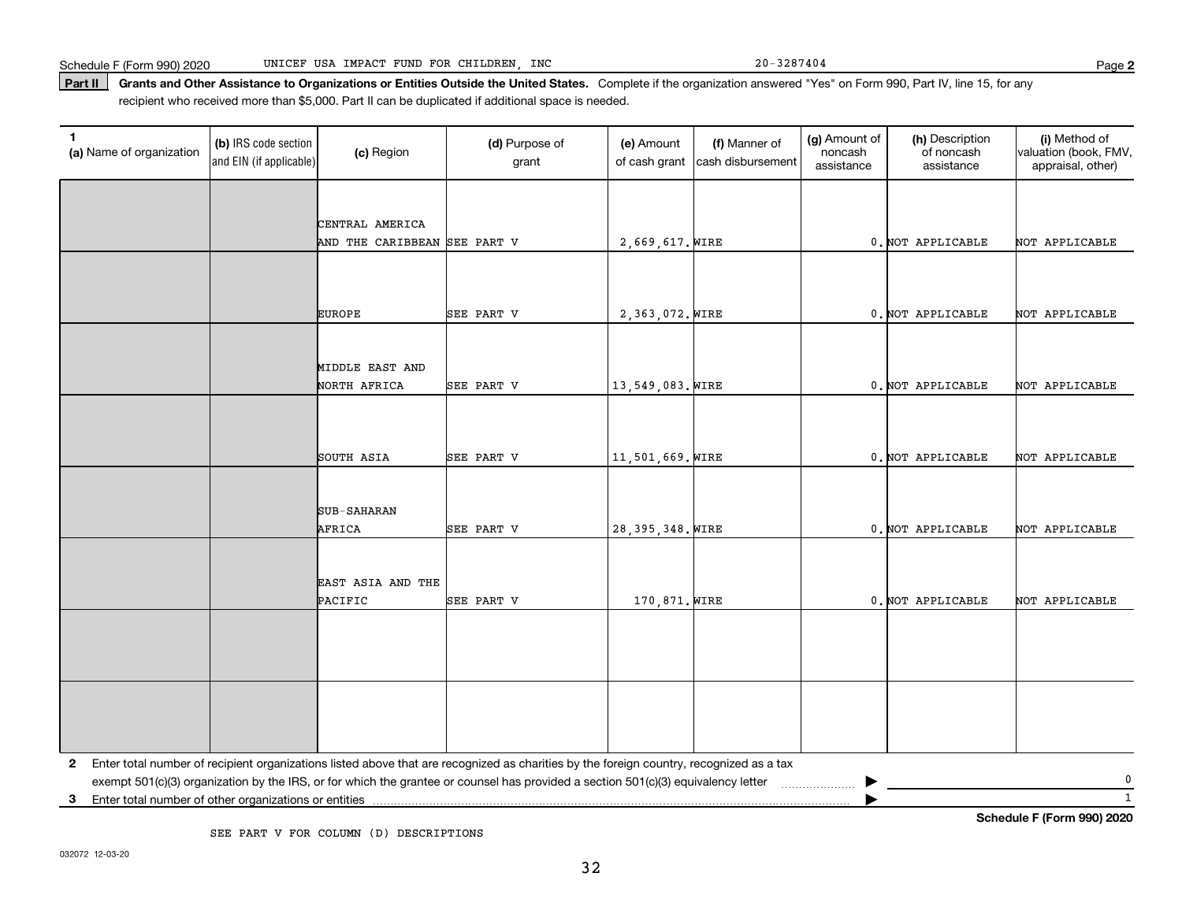Part II | Grants and Other Assistance to Organizations or Entities Outside the United States. Complete if the organization answered "Yes" on Form 990, Part IV, line 15, for any recipient who received more than \$5,000. Part II can be duplicated if additional space is needed.

| 1<br>(a) Name of organization                                              | (b) IRS code section<br>and EIN (if applicable) | (c) Region                   | (d) Purpose of<br>grant                                                                                                                 | (e) Amount<br>of cash grant | (f) Manner of<br>cash disbursement | (g) Amount of<br>noncash<br>assistance | (h) Description<br>of noncash<br>assistance | (i) Method of<br>valuation (book, FMV,<br>appraisal, other) |
|----------------------------------------------------------------------------|-------------------------------------------------|------------------------------|-----------------------------------------------------------------------------------------------------------------------------------------|-----------------------------|------------------------------------|----------------------------------------|---------------------------------------------|-------------------------------------------------------------|
|                                                                            |                                                 |                              |                                                                                                                                         |                             |                                    |                                        |                                             |                                                             |
|                                                                            |                                                 | CENTRAL AMERICA              |                                                                                                                                         |                             |                                    |                                        |                                             |                                                             |
|                                                                            |                                                 | AND THE CARIBBEAN SEE PART V |                                                                                                                                         | 2,669,617. WIRE             |                                    |                                        | 0. NOT APPLICABLE                           | NOT APPLICABLE                                              |
|                                                                            |                                                 |                              |                                                                                                                                         |                             |                                    |                                        |                                             |                                                             |
|                                                                            |                                                 |                              |                                                                                                                                         |                             |                                    |                                        |                                             |                                                             |
|                                                                            |                                                 |                              |                                                                                                                                         |                             |                                    |                                        |                                             |                                                             |
|                                                                            |                                                 | <b>EUROPE</b>                | SEE PART V                                                                                                                              | 2,363,072. WIRE             |                                    |                                        | 0. NOT APPLICABLE                           | NOT APPLICABLE                                              |
|                                                                            |                                                 |                              |                                                                                                                                         |                             |                                    |                                        |                                             |                                                             |
|                                                                            |                                                 | MIDDLE EAST AND              |                                                                                                                                         |                             |                                    |                                        |                                             |                                                             |
|                                                                            |                                                 | NORTH AFRICA                 | SEE PART V                                                                                                                              | 13,549,083. WIRE            |                                    |                                        | 0. NOT APPLICABLE                           | NOT APPLICABLE                                              |
|                                                                            |                                                 |                              |                                                                                                                                         |                             |                                    |                                        |                                             |                                                             |
|                                                                            |                                                 |                              |                                                                                                                                         |                             |                                    |                                        |                                             |                                                             |
|                                                                            |                                                 | SOUTH ASIA                   | SEE PART V                                                                                                                              | 11,501,669. WIRE            |                                    |                                        | 0. NOT APPLICABLE                           | NOT APPLICABLE                                              |
|                                                                            |                                                 |                              |                                                                                                                                         |                             |                                    |                                        |                                             |                                                             |
|                                                                            |                                                 |                              |                                                                                                                                         |                             |                                    |                                        |                                             |                                                             |
|                                                                            |                                                 | SUB-SAHARAN                  |                                                                                                                                         |                             |                                    |                                        |                                             |                                                             |
|                                                                            |                                                 | AFRICA                       | SEE PART V                                                                                                                              | 28, 395, 348. WIRE          |                                    |                                        | 0. NOT APPLICABLE                           | NOT APPLICABLE                                              |
|                                                                            |                                                 |                              |                                                                                                                                         |                             |                                    |                                        |                                             |                                                             |
|                                                                            |                                                 |                              |                                                                                                                                         |                             |                                    |                                        |                                             |                                                             |
|                                                                            |                                                 | EAST ASIA AND THE<br>PACIFIC | SEE PART V                                                                                                                              | 170,871. WIRE               |                                    |                                        | 0. NOT APPLICABLE                           | NOT APPLICABLE                                              |
|                                                                            |                                                 |                              |                                                                                                                                         |                             |                                    |                                        |                                             |                                                             |
|                                                                            |                                                 |                              |                                                                                                                                         |                             |                                    |                                        |                                             |                                                             |
|                                                                            |                                                 |                              |                                                                                                                                         |                             |                                    |                                        |                                             |                                                             |
|                                                                            |                                                 |                              |                                                                                                                                         |                             |                                    |                                        |                                             |                                                             |
|                                                                            |                                                 |                              |                                                                                                                                         |                             |                                    |                                        |                                             |                                                             |
|                                                                            |                                                 |                              |                                                                                                                                         |                             |                                    |                                        |                                             |                                                             |
|                                                                            |                                                 |                              |                                                                                                                                         |                             |                                    |                                        |                                             |                                                             |
| 2                                                                          |                                                 |                              | Enter total number of recipient organizations listed above that are recognized as charities by the foreign country, recognized as a tax |                             |                                    |                                        |                                             |                                                             |
|                                                                            |                                                 |                              | exempt 501(c)(3) organization by the IRS, or for which the grantee or counsel has provided a section 501(c)(3) equivalency letter       |                             |                                    |                                        |                                             | 0                                                           |
| $\mathbf{1}$<br>Enter total number of other organizations or entities<br>3 |                                                 |                              |                                                                                                                                         |                             |                                    |                                        |                                             |                                                             |

SEE PART V FOR COLUMN (D) DESCRIPTIONS

**Schedule F (Form 990) 2020**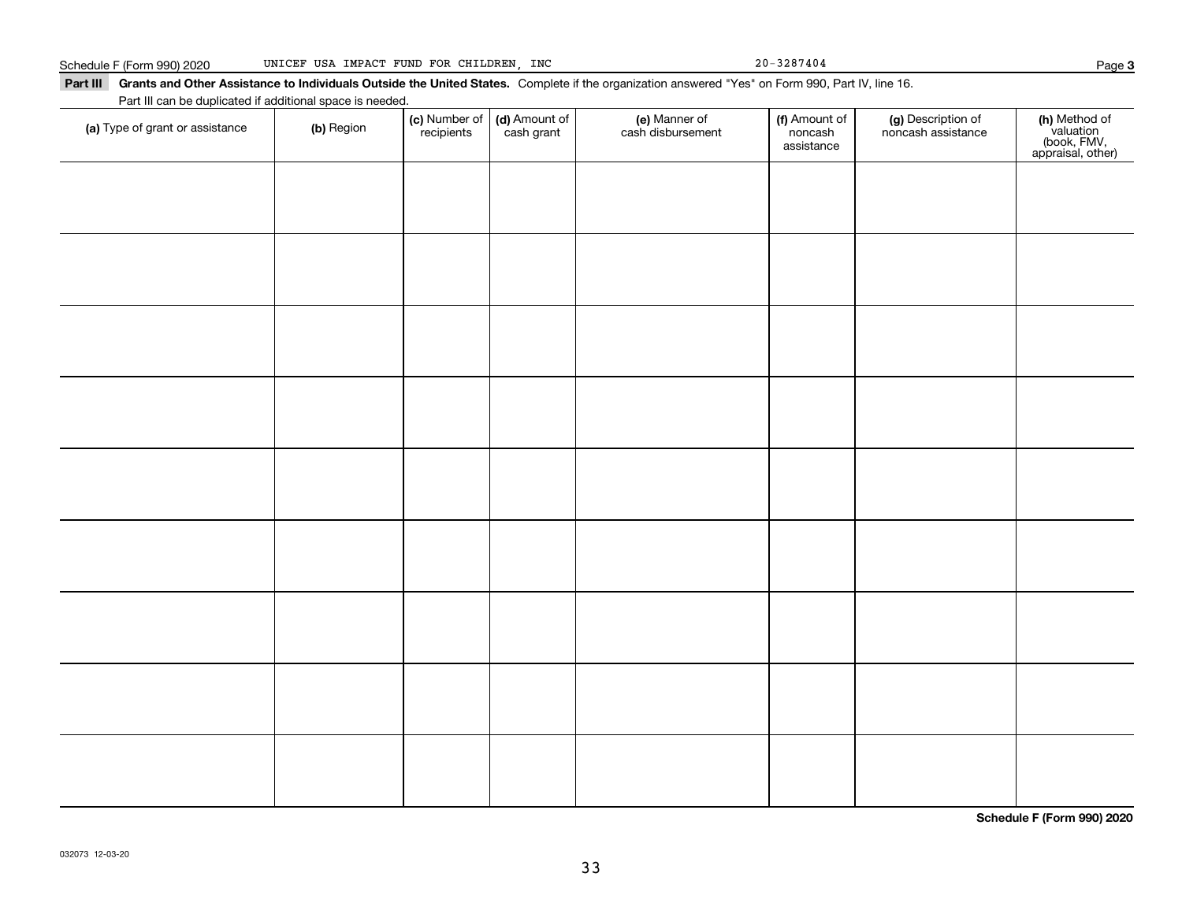Part III Grants and Other Assistance to Individuals Outside the United States. Complete if the organization answered "Yes" on Form 990, Part IV, line 16. Part III can be duplicated if additional space is needed.

| $\frac{1}{2}$ and $\frac{1}{2}$ be adphoated in additional<br>(a) Type of grant or assistance | (b) Region | (c) Number of<br>recipients | (d) Amount of<br>cash grant | (e) Manner of<br>cash disbursement | (f) Amount of<br>noncash<br>assistance | (g) Description of<br>noncash assistance | (h) Method of<br>valuation<br>(book, FMV,<br>appraisal, other) |
|-----------------------------------------------------------------------------------------------|------------|-----------------------------|-----------------------------|------------------------------------|----------------------------------------|------------------------------------------|----------------------------------------------------------------|
|                                                                                               |            |                             |                             |                                    |                                        |                                          |                                                                |
|                                                                                               |            |                             |                             |                                    |                                        |                                          |                                                                |
|                                                                                               |            |                             |                             |                                    |                                        |                                          |                                                                |
|                                                                                               |            |                             |                             |                                    |                                        |                                          |                                                                |
|                                                                                               |            |                             |                             |                                    |                                        |                                          |                                                                |
|                                                                                               |            |                             |                             |                                    |                                        |                                          |                                                                |
|                                                                                               |            |                             |                             |                                    |                                        |                                          |                                                                |
|                                                                                               |            |                             |                             |                                    |                                        |                                          |                                                                |
|                                                                                               |            |                             |                             |                                    |                                        |                                          |                                                                |
|                                                                                               |            |                             |                             |                                    |                                        |                                          |                                                                |
|                                                                                               |            |                             |                             |                                    |                                        |                                          |                                                                |
|                                                                                               |            |                             |                             |                                    |                                        |                                          |                                                                |
|                                                                                               |            |                             |                             |                                    |                                        |                                          |                                                                |
|                                                                                               |            |                             |                             |                                    |                                        |                                          |                                                                |
|                                                                                               |            |                             |                             |                                    |                                        |                                          |                                                                |

**Schedule F (Form 990) 2020**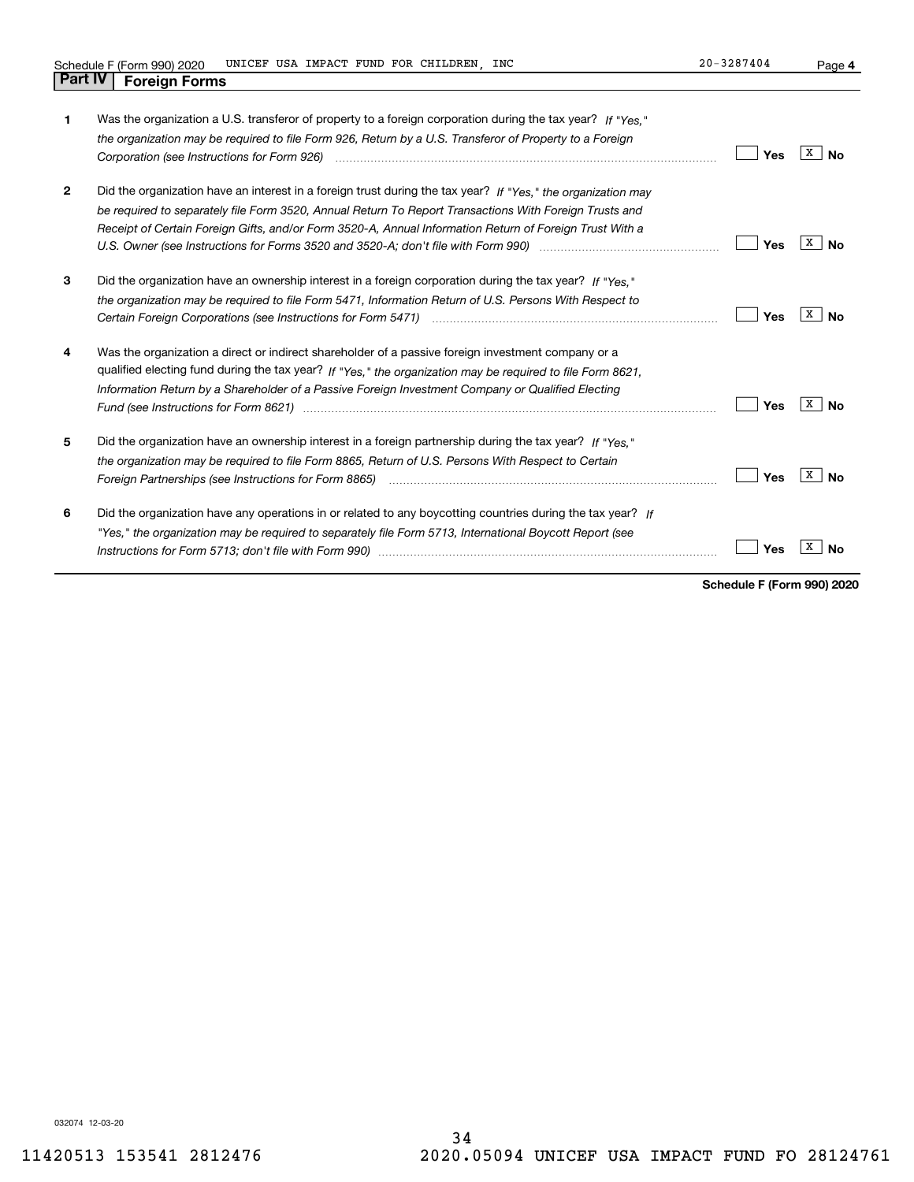**4**

| 1              | Was the organization a U.S. transferor of property to a foreign corporation during the tax year? If "Yes."<br>the organization may be required to file Form 926, Return by a U.S. Transferor of Property to a Foreign<br>Corporation (see Instructions for Form 926) manufactured contract the control of the control of the control of                                                                                                          | Yes | x<br>Nο |
|----------------|--------------------------------------------------------------------------------------------------------------------------------------------------------------------------------------------------------------------------------------------------------------------------------------------------------------------------------------------------------------------------------------------------------------------------------------------------|-----|---------|
| $\overline{2}$ | Did the organization have an interest in a foreign trust during the tax year? If "Yes," the organization may<br>be required to separately file Form 3520, Annual Return To Report Transactions With Foreign Trusts and<br>Receipt of Certain Foreign Gifts, and/or Form 3520-A, Annual Information Return of Foreign Trust With a<br>U.S. Owner (see Instructions for Forms 3520 and 3520-A; don't file with Form 990) manufactured and the U.S. | Yes | x<br>N٥ |
| 3              | Did the organization have an ownership interest in a foreign corporation during the tax year? If "Yes."<br>the organization may be required to file Form 5471, Information Return of U.S. Persons With Respect to                                                                                                                                                                                                                                | Yes | X<br>Nο |
| 4              | Was the organization a direct or indirect shareholder of a passive foreign investment company or a<br>qualified electing fund during the tax year? If "Yes," the organization may be required to file Form 8621,<br>Information Return by a Shareholder of a Passive Foreign Investment Company or Qualified Electing<br>Fund (see Instructions for Form 8621) manufactured control to the control of the control of the control of the          | Yes | x<br>Nο |
| 5              | Did the organization have an ownership interest in a foreign partnership during the tax year? If "Yes."<br>the organization may be required to file Form 8865, Return of U.S. Persons With Respect to Certain                                                                                                                                                                                                                                    | Yes | x<br>Nο |
| 6              | Did the organization have any operations in or related to any boycotting countries during the tax year? If<br>"Yes," the organization may be required to separately file Form 5713, International Boycott Report (see                                                                                                                                                                                                                            | Yes |         |

**Schedule F (Form 990) 2020**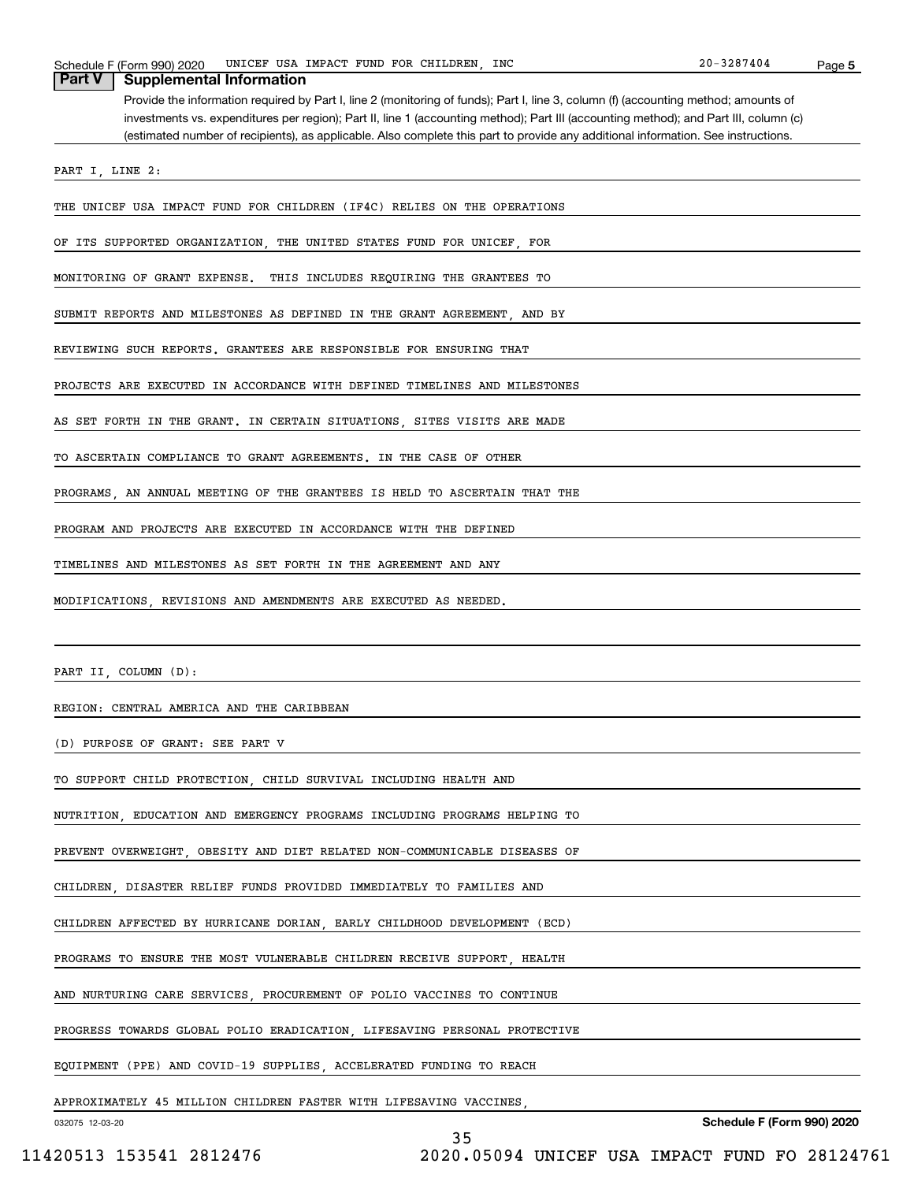# 032075 12-03-20 **5 Schedule F (Form 990) 2020** Schedule F (Form 990) 2020 Page UNICEF USA IMPACT FUND FOR CHILDREN, INC 20-3287404 Provide the information required by Part I, line 2 (monitoring of funds); Part I, line 3, column (f) (accounting method; amounts of investments vs. expenditures per region); Part II, line 1 (accounting method); Part III (accounting method); and Part III, column (c) (estimated number of recipients), as applicable. Also complete this part to provide any additional information. See instructions. **Part V Supplemental Information** PART I, LINE 2: THE UNICEF USA IMPACT FUND FOR CHILDREN (IF4C) RELIES ON THE OPERATIONS OF ITS SUPPORTED ORGANIZATION, THE UNITED STATES FUND FOR UNICEF, FOR MONITORING OF GRANT EXPENSE. THIS INCLUDES REQUIRING THE GRANTEES TO SUBMIT REPORTS AND MILESTONES AS DEFINED IN THE GRANT AGREEMENT, AND BY REVIEWING SUCH REPORTS. GRANTEES ARE RESPONSIBLE FOR ENSURING THAT PROJECTS ARE EXECUTED IN ACCORDANCE WITH DEFINED TIMELINES AND MILESTONES AS SET FORTH IN THE GRANT. IN CERTAIN SITUATIONS, SITES VISITS ARE MADE TO ASCERTAIN COMPLIANCE TO GRANT AGREEMENTS. IN THE CASE OF OTHER PROGRAMS, AN ANNUAL MEETING OF THE GRANTEES IS HELD TO ASCERTAIN THAT THE PROGRAM AND PROJECTS ARE EXECUTED IN ACCORDANCE WITH THE DEFINED TIMELINES AND MILESTONES AS SET FORTH IN THE AGREEMENT AND ANY MODIFICATIONS, REVISIONS AND AMENDMENTS ARE EXECUTED AS NEEDED. PART II, COLUMN (D): REGION: CENTRAL AMERICA AND THE CARIBBEAN (D) PURPOSE OF GRANT: SEE PART V TO SUPPORT CHILD PROTECTION, CHILD SURVIVAL INCLUDING HEALTH AND NUTRITION, EDUCATION AND EMERGENCY PROGRAMS INCLUDING PROGRAMS HELPING TO PREVENT OVERWEIGHT, OBESITY AND DIET RELATED NON-COMMUNICABLE DISEASES OF CHILDREN, DISASTER RELIEF FUNDS PROVIDED IMMEDIATELY TO FAMILIES AND CHILDREN AFFECTED BY HURRICANE DORIAN, EARLY CHILDHOOD DEVELOPMENT (ECD) PROGRAMS TO ENSURE THE MOST VULNERABLE CHILDREN RECEIVE SUPPORT, HEALTH AND NURTURING CARE SERVICES, PROCUREMENT OF POLIO VACCINES TO CONTINUE PROGRESS TOWARDS GLOBAL POLIO ERADICATION, LIFESAVING PERSONAL PROTECTIVE EQUIPMENT (PPE) AND COVID-19 SUPPLIES, ACCELERATED FUNDING TO REACH APPROXIMATELY 45 MILLION CHILDREN FASTER WITH LIFESAVING VACCINES, 35

 <sup>11420513 153541 2812476 2020.05094</sup> UNICEF USA IMPACT FUND FO 28124761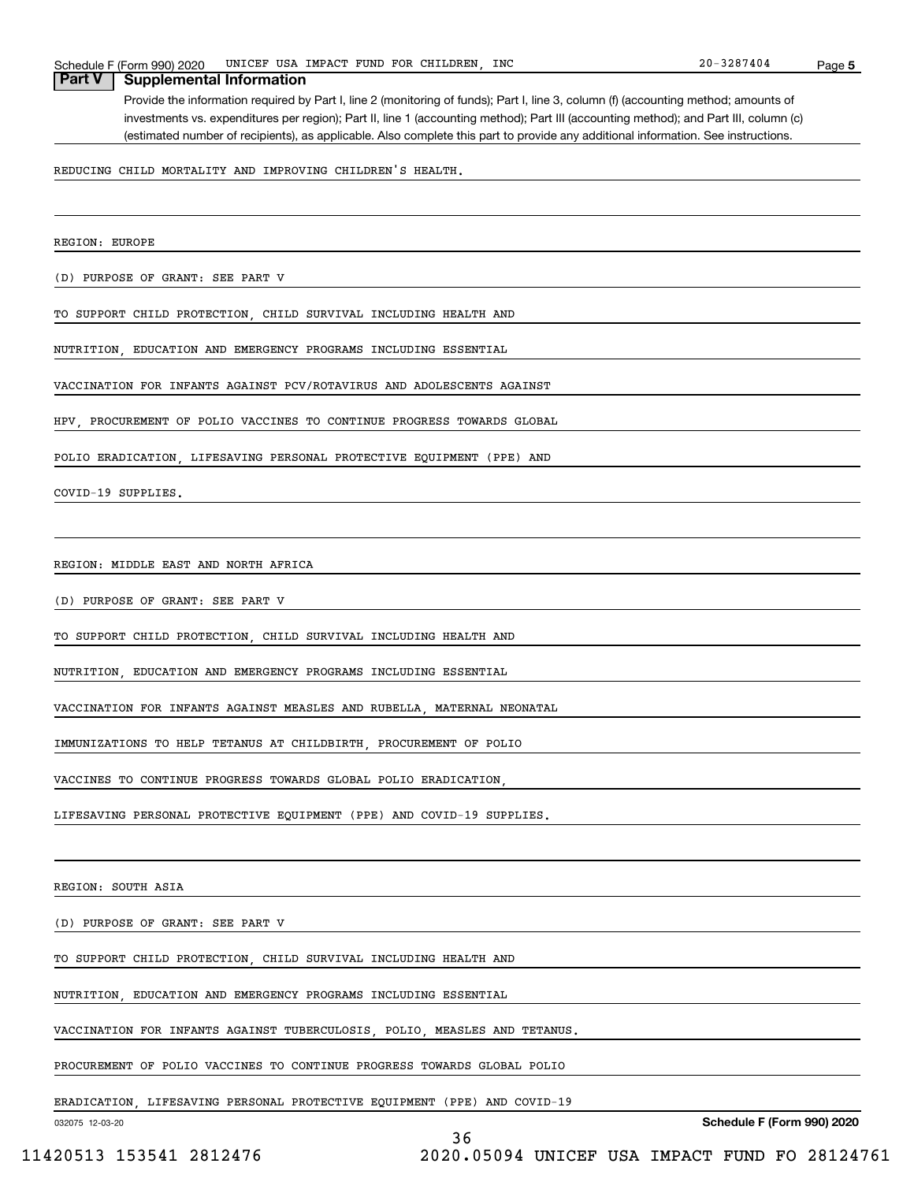**5**

## Provide the information required by Part I, line 2 (monitoring of funds); Part I, line 3, column (f) (accounting method; amounts of investments vs. expenditures per region); Part II, line 1 (accounting method); Part III (accounting method); and Part III, column (c) (estimated number of recipients), as applicable. Also complete this part to provide any additional information. See instructions.

REDUCING CHILD MORTALITY AND IMPROVING CHILDREN'S HEALTH.

REGION: EUROPE

(D) PURPOSE OF GRANT: SEE PART V

**Part V Supplemental Information**

TO SUPPORT CHILD PROTECTION, CHILD SURVIVAL INCLUDING HEALTH AND

NUTRITION, EDUCATION AND EMERGENCY PROGRAMS INCLUDING ESSENTIAL

VACCINATION FOR INFANTS AGAINST PCV/ROTAVIRUS AND ADOLESCENTS AGAINST

HPV, PROCUREMENT OF POLIO VACCINES TO CONTINUE PROGRESS TOWARDS GLOBAL

POLIO ERADICATION, LIFESAVING PERSONAL PROTECTIVE EQUIPMENT (PPE) AND

COVID-19 SUPPLIES.

REGION: MIDDLE EAST AND NORTH AFRICA

(D) PURPOSE OF GRANT: SEE PART V

TO SUPPORT CHILD PROTECTION, CHILD SURVIVAL INCLUDING HEALTH AND

NUTRITION, EDUCATION AND EMERGENCY PROGRAMS INCLUDING ESSENTIAL

VACCINATION FOR INFANTS AGAINST MEASLES AND RUBELLA, MATERNAL NEONATAL

IMMUNIZATIONS TO HELP TETANUS AT CHILDBIRTH, PROCUREMENT OF POLIO

VACCINES TO CONTINUE PROGRESS TOWARDS GLOBAL POLIO ERADICATION,

LIFESAVING PERSONAL PROTECTIVE EQUIPMENT (PPE) AND COVID-19 SUPPLIES.

REGION: SOUTH ASIA

(D) PURPOSE OF GRANT: SEE PART V

TO SUPPORT CHILD PROTECTION, CHILD SURVIVAL INCLUDING HEALTH AND

NUTRITION, EDUCATION AND EMERGENCY PROGRAMS INCLUDING ESSENTIAL

VACCINATION FOR INFANTS AGAINST TUBERCULOSIS, POLIO, MEASLES AND TETANUS.

PROCUREMENT OF POLIO VACCINES TO CONTINUE PROGRESS TOWARDS GLOBAL POLIO

ERADICATION, LIFESAVING PERSONAL PROTECTIVE EQUIPMENT (PPE) AND COVID-19

032075 12-03-20

36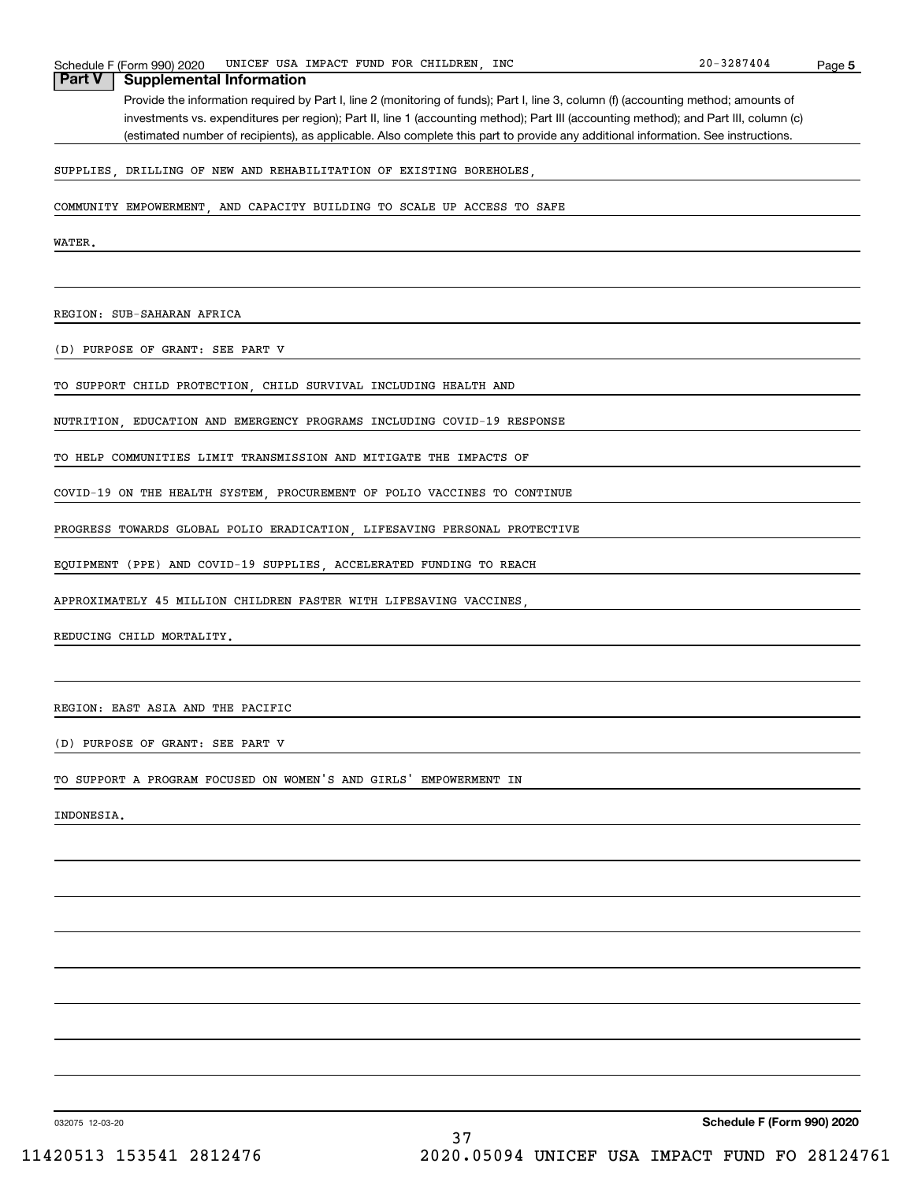# **5** Schedule F (Form 990) 2020 Page UNICEF USA IMPACT FUND FOR CHILDREN, INC 20-3287404 Provide the information required by Part I, line 2 (monitoring of funds); Part I, line 3, column (f) (accounting method; amounts of investments vs. expenditures per region); Part II, line 1 (accounting method); Part III (accounting method); and Part III, column (c) (estimated number of recipients), as applicable. Also complete this part to provide any additional information. See instructions. **Part V Supplemental Information** SUPPLIES, DRILLING OF NEW AND REHABILITATION OF EXISTING BOREHOLES, COMMUNITY EMPOWERMENT, AND CAPACITY BUILDING TO SCALE UP ACCESS TO SAFE **WATER** REGION: SUB-SAHARAN AFRICA (D) PURPOSE OF GRANT: SEE PART V TO SUPPORT CHILD PROTECTION, CHILD SURVIVAL INCLUDING HEALTH AND NUTRITION, EDUCATION AND EMERGENCY PROGRAMS INCLUDING COVID-19 RESPONSE TO HELP COMMUNITIES LIMIT TRANSMISSION AND MITIGATE THE IMPACTS OF COVID-19 ON THE HEALTH SYSTEM, PROCUREMENT OF POLIO VACCINES TO CONTINUE PROGRESS TOWARDS GLOBAL POLIO ERADICATION, LIFESAVING PERSONAL PROTECTIVE EQUIPMENT (PPE) AND COVID-19 SUPPLIES, ACCELERATED FUNDING TO REACH APPROXIMATELY 45 MILLION CHILDREN FASTER WITH LIFESAVING VACCINES, REDUCING CHILD MORTALITY.

REGION: EAST ASIA AND THE PACIFIC

(D) PURPOSE OF GRANT: SEE PART V

TO SUPPORT A PROGRAM FOCUSED ON WOMEN'S AND GIRLS' EMPOWERMENT IN

INDONESIA.

032075 12-03-20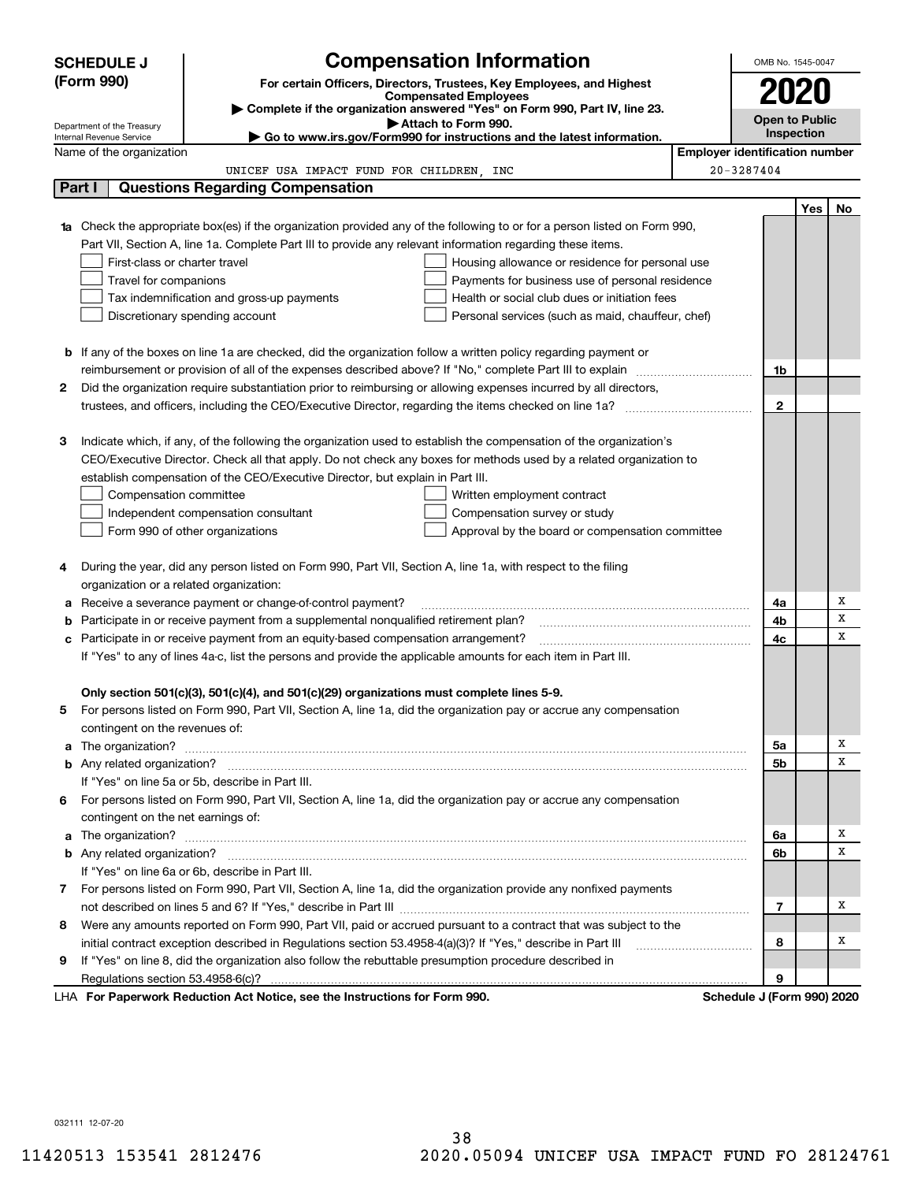|   | <b>SCHEDULE J</b>                       | <b>Compensation Information</b>                                                                                                  |                                                   |                                       | OMB No. 1545-0047          |     |     |  |
|---|-----------------------------------------|----------------------------------------------------------------------------------------------------------------------------------|---------------------------------------------------|---------------------------------------|----------------------------|-----|-----|--|
|   | (Form 990)                              | For certain Officers, Directors, Trustees, Key Employees, and Highest                                                            |                                                   |                                       | 2020                       |     |     |  |
|   |                                         | <b>Compensated Employees</b>                                                                                                     |                                                   |                                       |                            |     |     |  |
|   | Department of the Treasury              | Complete if the organization answered "Yes" on Form 990, Part IV, line 23.<br>Attach to Form 990.                                |                                                   | <b>Open to Public</b>                 |                            |     |     |  |
|   | Internal Revenue Service                | Go to www.irs.gov/Form990 for instructions and the latest information.                                                           |                                                   |                                       | <b>Inspection</b>          |     |     |  |
|   | Name of the organization                |                                                                                                                                  |                                                   | <b>Employer identification number</b> |                            |     |     |  |
|   |                                         | UNICEF USA IMPACT FUND FOR CHILDREN, INC                                                                                         |                                                   |                                       | 20-3287404                 |     |     |  |
|   | Part I                                  | <b>Questions Regarding Compensation</b>                                                                                          |                                                   |                                       |                            |     |     |  |
|   |                                         |                                                                                                                                  |                                                   |                                       |                            | Yes | No. |  |
|   |                                         | <b>1a</b> Check the appropriate box(es) if the organization provided any of the following to or for a person listed on Form 990, |                                                   |                                       |                            |     |     |  |
|   |                                         | Part VII, Section A, line 1a. Complete Part III to provide any relevant information regarding these items.                       |                                                   |                                       |                            |     |     |  |
|   | First-class or charter travel           |                                                                                                                                  | Housing allowance or residence for personal use   |                                       |                            |     |     |  |
|   | Travel for companions                   |                                                                                                                                  | Payments for business use of personal residence   |                                       |                            |     |     |  |
|   |                                         | Tax indemnification and gross-up payments                                                                                        | Health or social club dues or initiation fees     |                                       |                            |     |     |  |
|   |                                         | Discretionary spending account                                                                                                   | Personal services (such as maid, chauffeur, chef) |                                       |                            |     |     |  |
|   |                                         |                                                                                                                                  |                                                   |                                       |                            |     |     |  |
|   |                                         | <b>b</b> If any of the boxes on line 1a are checked, did the organization follow a written policy regarding payment or           |                                                   |                                       |                            |     |     |  |
|   |                                         |                                                                                                                                  |                                                   |                                       | 1b                         |     |     |  |
| 2 |                                         | Did the organization require substantiation prior to reimbursing or allowing expenses incurred by all directors,                 |                                                   |                                       |                            |     |     |  |
|   |                                         |                                                                                                                                  |                                                   |                                       | $\mathbf{2}$               |     |     |  |
| з |                                         | Indicate which, if any, of the following the organization used to establish the compensation of the organization's               |                                                   |                                       |                            |     |     |  |
|   |                                         | CEO/Executive Director. Check all that apply. Do not check any boxes for methods used by a related organization to               |                                                   |                                       |                            |     |     |  |
|   |                                         | establish compensation of the CEO/Executive Director, but explain in Part III.                                                   |                                                   |                                       |                            |     |     |  |
|   | Compensation committee                  |                                                                                                                                  | Written employment contract                       |                                       |                            |     |     |  |
|   |                                         | Independent compensation consultant                                                                                              | Compensation survey or study                      |                                       |                            |     |     |  |
|   |                                         | Form 990 of other organizations                                                                                                  | Approval by the board or compensation committee   |                                       |                            |     |     |  |
|   |                                         |                                                                                                                                  |                                                   |                                       |                            |     |     |  |
| 4 |                                         | During the year, did any person listed on Form 990, Part VII, Section A, line 1a, with respect to the filing                     |                                                   |                                       |                            |     |     |  |
|   | organization or a related organization: |                                                                                                                                  |                                                   |                                       |                            |     |     |  |
| а |                                         | Receive a severance payment or change-of-control payment?                                                                        |                                                   |                                       | 4a                         |     | Х   |  |
| b |                                         | Participate in or receive payment from a supplemental nonqualified retirement plan?                                              |                                                   |                                       | 4b                         |     | х   |  |
| с |                                         | Participate in or receive payment from an equity-based compensation arrangement?                                                 |                                                   |                                       | 4c                         |     | х   |  |
|   |                                         | If "Yes" to any of lines 4a-c, list the persons and provide the applicable amounts for each item in Part III.                    |                                                   |                                       |                            |     |     |  |
|   |                                         |                                                                                                                                  |                                                   |                                       |                            |     |     |  |
|   |                                         | Only section 501(c)(3), 501(c)(4), and 501(c)(29) organizations must complete lines 5-9.                                         |                                                   |                                       |                            |     |     |  |
|   |                                         | For persons listed on Form 990, Part VII, Section A, line 1a, did the organization pay or accrue any compensation                |                                                   |                                       |                            |     |     |  |
|   | contingent on the revenues of:          |                                                                                                                                  |                                                   |                                       |                            |     |     |  |
| a |                                         |                                                                                                                                  |                                                   |                                       | 5а                         |     | х   |  |
|   |                                         |                                                                                                                                  |                                                   |                                       | <b>5b</b>                  |     | х   |  |
|   |                                         | If "Yes" on line 5a or 5b, describe in Part III.                                                                                 |                                                   |                                       |                            |     |     |  |
| 6 |                                         | For persons listed on Form 990, Part VII, Section A, line 1a, did the organization pay or accrue any compensation                |                                                   |                                       |                            |     |     |  |
|   | contingent on the net earnings of:      |                                                                                                                                  |                                                   |                                       |                            |     |     |  |
| a |                                         |                                                                                                                                  |                                                   |                                       | 6a                         |     | х   |  |
|   |                                         |                                                                                                                                  |                                                   |                                       | 6b                         |     | х   |  |
|   |                                         | If "Yes" on line 6a or 6b, describe in Part III.                                                                                 |                                                   |                                       |                            |     |     |  |
|   |                                         | 7 For persons listed on Form 990, Part VII, Section A, line 1a, did the organization provide any nonfixed payments               |                                                   |                                       |                            |     |     |  |
|   |                                         |                                                                                                                                  |                                                   |                                       | 7                          |     | х   |  |
| 8 |                                         | Were any amounts reported on Form 990, Part VII, paid or accrued pursuant to a contract that was subject to the                  |                                                   |                                       |                            |     |     |  |
|   |                                         | initial contract exception described in Regulations section 53.4958-4(a)(3)? If "Yes," describe in Part III                      |                                                   |                                       | 8                          |     | х   |  |
| 9 |                                         | If "Yes" on line 8, did the organization also follow the rebuttable presumption procedure described in                           |                                                   |                                       |                            |     |     |  |
|   |                                         |                                                                                                                                  |                                                   |                                       | 9                          |     |     |  |
|   |                                         | LHA For Paperwork Reduction Act Notice, see the Instructions for Form 990.                                                       |                                                   |                                       | Schedule J (Form 990) 2020 |     |     |  |

032111 12-07-20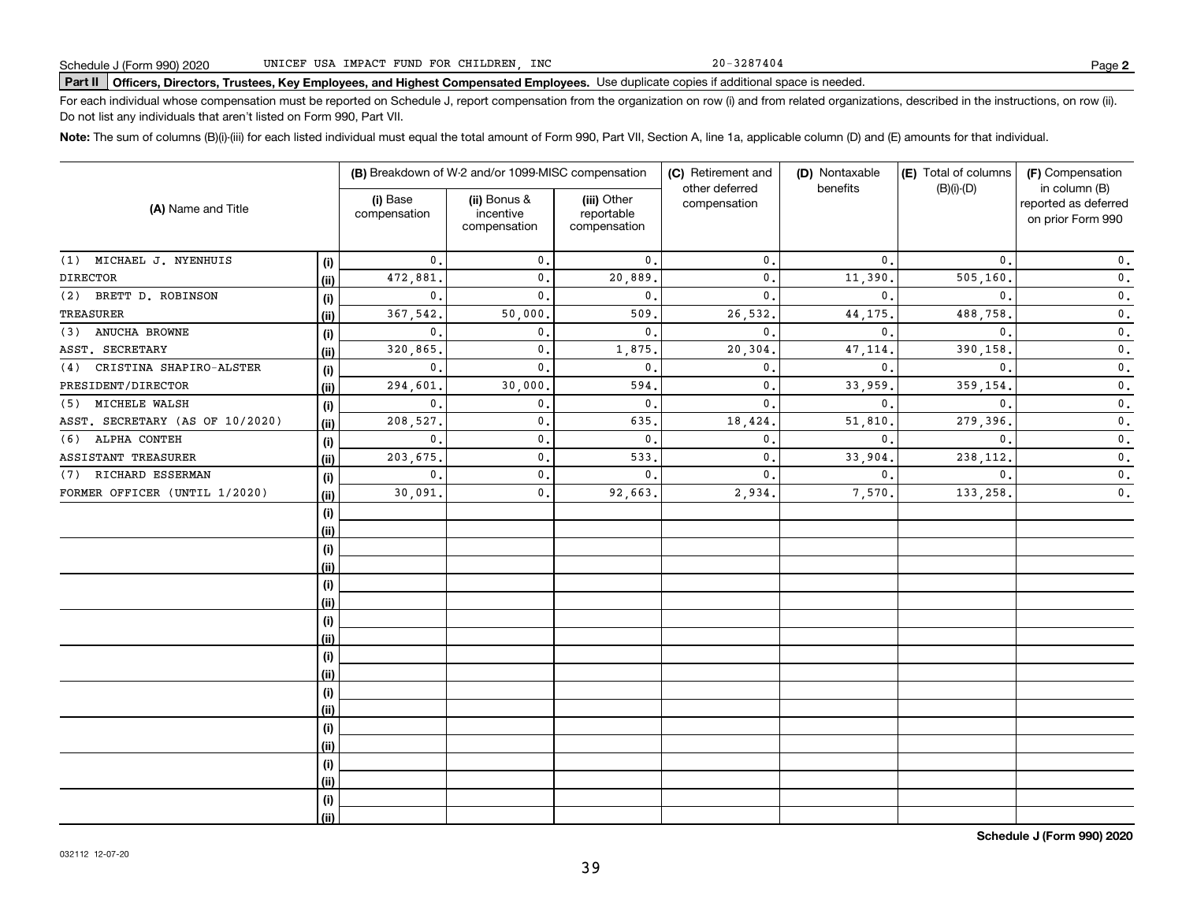20-3287404

## **Part II Officers, Directors, Trustees, Key Employees, and Highest Compensated Employees.**  Schedule J (Form 990) 2020 Page Use duplicate copies if additional space is needed.

For each individual whose compensation must be reported on Schedule J, report compensation from the organization on row (i) and from related organizations, described in the instructions, on row (ii). Do not list any individuals that aren't listed on Form 990, Part VII.

**Note:**  The sum of columns (B)(i)-(iii) for each listed individual must equal the total amount of Form 990, Part VII, Section A, line 1a, applicable column (D) and (E) amounts for that individual.

| (A) Name and Title              |      |                          | (B) Breakdown of W-2 and/or 1099-MISC compensation |                                           | (C) Retirement and             | (D) Nontaxable | (E) Total of columns | (F) Compensation                                           |
|---------------------------------|------|--------------------------|----------------------------------------------------|-------------------------------------------|--------------------------------|----------------|----------------------|------------------------------------------------------------|
|                                 |      | (i) Base<br>compensation | (ii) Bonus &<br>incentive<br>compensation          | (iii) Other<br>reportable<br>compensation | other deferred<br>compensation | benefits       | $(B)(i)$ - $(D)$     | in column (B)<br>reported as deferred<br>on prior Form 990 |
| (1) MICHAEL J. NYENHUIS         | (i)  | $\mathbf{0}$ .           | $\mathbf{0}$ .                                     | 0.                                        | $\mathbf{0}$ .                 | $\mathbf{0}$ . | $\mathbf{0}$ .       | $\mathbf 0$ .                                              |
| <b>DIRECTOR</b>                 | (i)  | 472,881                  | $\mathbf 0$ .                                      | 20,889                                    | $\mathbf{0}$ .                 | 11,390         | 505, 160.            | $\mathbf 0$ .                                              |
| BRETT D. ROBINSON<br>(2)        | (i)  | $\mathbf{0}$ .           | $\mathbf{0}$ .                                     | $\mathbf{0}$ .                            | 0.                             | $\mathbf{0}$ . | $\mathbf{0}$ .       | $\mathbf 0$ .                                              |
| TREASURER                       | (ii) | 367,542.                 | 50,000                                             | 509                                       | 26,532.                        | 44, 175.       | 488,758.             | $\mathbf 0$ .                                              |
| ANUCHA BROWNE<br>(3)            | (i)  | 0.                       | $\mathbf 0$ .                                      | $\mathbf 0$ .                             | 0.                             | $\mathbf{0}$ . | $\mathbf{0}$ .       | $\mathbf 0$ .                                              |
| ASST. SECRETARY                 | (ii) | 320,865.                 | $\mathbf 0$ .                                      | 1,875                                     | 20,304                         | 47, 114.       | 390,158              | $\mathbf 0$ .                                              |
| CRISTINA SHAPIRO-ALSTER<br>(4)  | (i)  | $\mathbf{0}$ .           | $\mathbf 0$ .                                      | $\mathbf{0}$ .                            | $\mathbf{0}$ .                 | $\mathbf{0}$ . | $\Omega$             | $\mathbf 0$ .                                              |
| PRESIDENT/DIRECTOR              | (i)  | 294,601                  | 30,000                                             | 594                                       | 0.                             | 33,959.        | 359,154              | $\mathbf 0$ .                                              |
| MICHELE WALSH<br>(5)            | (i)  | $\mathbf{0}$ .           | $\mathbf{0}$                                       | $\mathbf{0}$ .                            | $\mathbf{0}$                   | $\mathbf{0}$ . | $\mathbf{0}$         | $\mathbf 0$ .                                              |
| ASST. SECRETARY (AS OF 10/2020) | (ii) | 208,527.                 | $\mathbf{0}$                                       | 635,                                      | 18,424                         | 51,810         | 279,396.             | $\mathbf 0$ .                                              |
| ALPHA CONTEH<br>(6)             | (i)  | 0.                       | $\mathbf{0}$                                       | 0.                                        | 0.                             | $\mathbf{0}$ . | $\mathbf{0}$ .       | 0.                                                         |
| ASSISTANT TREASURER             | (ii) | 203,675.                 | $\mathbf{0}$                                       | 533                                       | $\mathbf{0}$ .                 | 33,904.        | 238, 112.            | $\mathbf 0$ .                                              |
| RICHARD ESSERMAN<br>(7)         | (i)  | $\mathbf{0}$ .           | $\mathbf{0}$                                       | $\mathbf{0}$ .                            | 0.                             | $\mathbf{0}$ . | $\mathbf{0}$ .       | 0.                                                         |
| FORMER OFFICER (UNTIL 1/2020)   | (ii) | 30,091.                  | $\mathbf 0$ .                                      | 92,663.                                   | 2,934.                         | 7,570.         | 133,258.             | $\mathbf 0$ .                                              |
|                                 | (i)  |                          |                                                    |                                           |                                |                |                      |                                                            |
|                                 | (i)  |                          |                                                    |                                           |                                |                |                      |                                                            |
|                                 | (i)  |                          |                                                    |                                           |                                |                |                      |                                                            |
|                                 | (ii) |                          |                                                    |                                           |                                |                |                      |                                                            |
|                                 | (i)  |                          |                                                    |                                           |                                |                |                      |                                                            |
|                                 | (ii) |                          |                                                    |                                           |                                |                |                      |                                                            |
|                                 | (i)  |                          |                                                    |                                           |                                |                |                      |                                                            |
|                                 | (ii) |                          |                                                    |                                           |                                |                |                      |                                                            |
|                                 | (i)  |                          |                                                    |                                           |                                |                |                      |                                                            |
|                                 | (ii) |                          |                                                    |                                           |                                |                |                      |                                                            |
|                                 | (i)  |                          |                                                    |                                           |                                |                |                      |                                                            |
|                                 | (ii) |                          |                                                    |                                           |                                |                |                      |                                                            |
|                                 | (i)  |                          |                                                    |                                           |                                |                |                      |                                                            |
|                                 | (ii) |                          |                                                    |                                           |                                |                |                      |                                                            |
|                                 | (i)  |                          |                                                    |                                           |                                |                |                      |                                                            |
|                                 | (ii) |                          |                                                    |                                           |                                |                |                      |                                                            |
|                                 | (i)  |                          |                                                    |                                           |                                |                |                      |                                                            |
|                                 | (ii) |                          |                                                    |                                           |                                |                |                      |                                                            |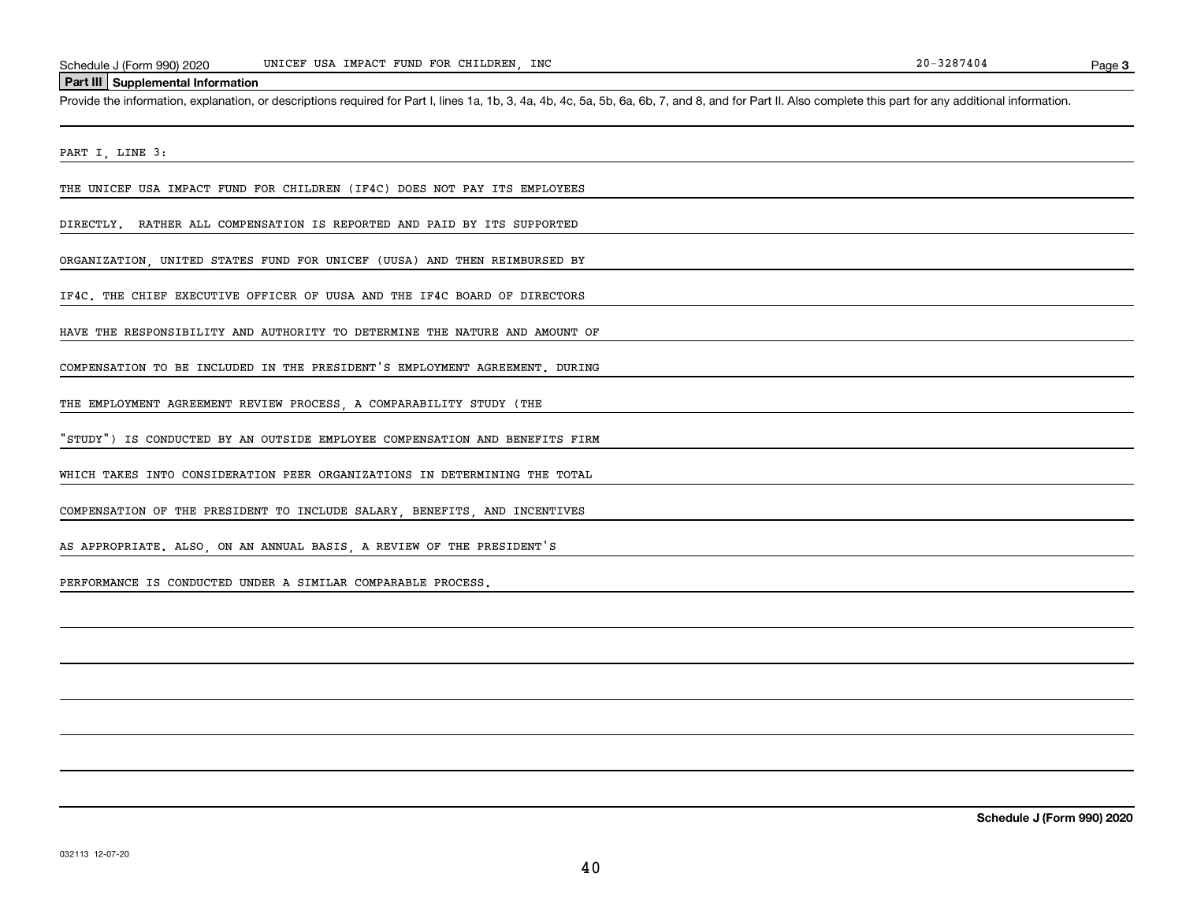### **Part III Supplemental Information**

Schedule J (Form 990) 2020 UNICEF USA IMPACT FUND FOR CHILDREN, INC<br>Part III Supplemental Information<br>Provide the information, explanation, or descriptions required for Part I, lines 1a, 1b, 3, 4a, 4b, 4c, 5a, 5b, 6a, 6b,

PART I, LINE 3:

THE UNICEF USA IMPACT FUND FOR CHILDREN (IF4C) DOES NOT PAY ITS EMPLOYEES

DIRECTLY. RATHER ALL COMPENSATION IS REPORTED AND PAID BY ITS SUPPORTED

ORGANIZATION, UNITED STATES FUND FOR UNICEF (UUSA) AND THEN REIMBURSED BY

IF4C. THE CHIEF EXECUTIVE OFFICER OF UUSA AND THE IF4C BOARD OF DIRECTORS

HAVE THE RESPONSIBILITY AND AUTHORITY TO DETERMINE THE NATURE AND AMOUNT OF

COMPENSATION TO BE INCLUDED IN THE PRESIDENT'S EMPLOYMENT AGREEMENT. DURING

THE EMPLOYMENT AGREEMENT REVIEW PROCESS, A COMPARABILITY STUDY (THE

"STUDY") IS CONDUCTED BY AN OUTSIDE EMPLOYEE COMPENSATION AND BENEFITS FIRM

WHICH TAKES INTO CONSIDERATION PEER ORGANIZATIONS IN DETERMINING THE TOTAL

COMPENSATION OF THE PRESIDENT TO INCLUDE SALARY, BENEFITS, AND INCENTIVES

AS APPROPRIATE. ALSO, ON AN ANNUAL BASIS, A REVIEW OF THE PRESIDENT'S

PERFORMANCE IS CONDUCTED UNDER A SIMILAR COMPARABLE PROCESS.

**Schedule J (Form 990) 2020**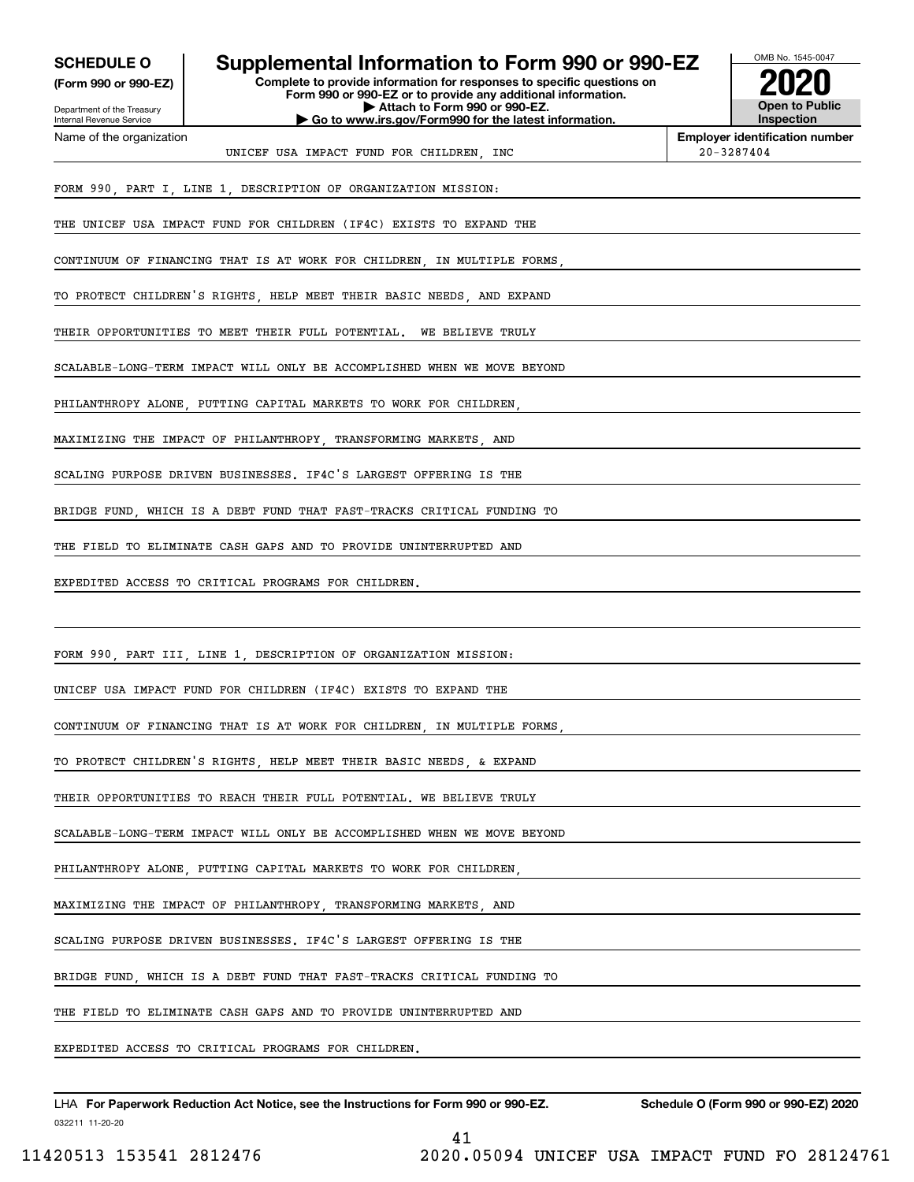|  |  | <b>SCHEDULE O</b> |  |  |
|--|--|-------------------|--|--|
|  |  |                   |  |  |

**(Form 990 or 990-EZ)**

**Complete to provide information for responses to specific questions on Supplemental Information to Form 990 or 990-EZ** 

Department of the Treasury Internal Revenue Service Name of the organization

### **Form 990 or 990-EZ or to provide any additional information. | Attach to Form 990 or 990-EZ. | Go to www.irs.gov/Form990 for the latest information.**



**Employer identification number**

UNICEF USA IMPACT FUND FOR CHILDREN, INC  $20-3287404$ 

FORM 990, PART I, LINE 1, DESCRIPTION OF ORGANIZATION MISSION:

THE UNICEF USA IMPACT FUND FOR CHILDREN (IF4C) EXISTS TO EXPAND THE

CONTINUUM OF FINANCING THAT IS AT WORK FOR CHILDREN, IN MULTIPLE FORMS,

TO PROTECT CHILDREN'S RIGHTS, HELP MEET THEIR BASIC NEEDS, AND EXPAND

THEIR OPPORTUNITIES TO MEET THEIR FULL POTENTIAL. WE BELIEVE TRULY

SCALABLE-LONG-TERM IMPACT WILL ONLY BE ACCOMPLISHED WHEN WE MOVE BEYOND

PHILANTHROPY ALONE, PUTTING CAPITAL MARKETS TO WORK FOR CHILDREN,

MAXIMIZING THE IMPACT OF PHILANTHROPY TRANSFORMING MARKETS AND

SCALING PURPOSE DRIVEN BUSINESSES. IF4C'S LARGEST OFFERING IS THE

BRIDGE FUND, WHICH IS A DEBT FUND THAT FAST-TRACKS CRITICAL FUNDING TO

THE FIELD TO ELIMINATE CASH GAPS AND TO PROVIDE UNINTERRUPTED AND

EXPEDITED ACCESS TO CRITICAL PROGRAMS FOR CHILDREN.

FORM 990, PART III, LINE 1, DESCRIPTION OF ORGANIZATION MISSION:

UNICEF USA IMPACT FUND FOR CHILDREN (IF4C) EXISTS TO EXPAND THE

CONTINUUM OF FINANCING THAT IS AT WORK FOR CHILDREN, IN MULTIPLE FORMS,

TO PROTECT CHILDREN'S RIGHTS, HELP MEET THEIR BASIC NEEDS, & EXPAND

THEIR OPPORTUNITIES TO REACH THEIR FULL POTENTIAL. WE BELIEVE TRULY

SCALABLE-LONG-TERM IMPACT WILL ONLY BE ACCOMPLISHED WHEN WE MOVE BEYOND

PHILANTHROPY ALONE, PUTTING CAPITAL MARKETS TO WORK FOR CHILDREN

MAXIMIZING THE IMPACT OF PHILANTHROPY, TRANSFORMING MARKETS, AND

SCALING PURPOSE DRIVEN BUSINESSES. IF4C'S LARGEST OFFERING IS THE

BRIDGE FUND, WHICH IS A DEBT FUND THAT FAST-TRACKS CRITICAL FUNDING TO

THE FIELD TO ELIMINATE CASH GAPS AND TO PROVIDE UNINTERRUPTED AND

EXPEDITED ACCESS TO CRITICAL PROGRAMS FOR CHILDREN.

032211 11-20-20 LHA For Paperwork Reduction Act Notice, see the Instructions for Form 990 or 990-EZ. Schedule O (Form 990 or 990-EZ) 2020

11420513 153541 2812476 2020.05094 UNICEF USA IMPACT FUND FO 28124761

41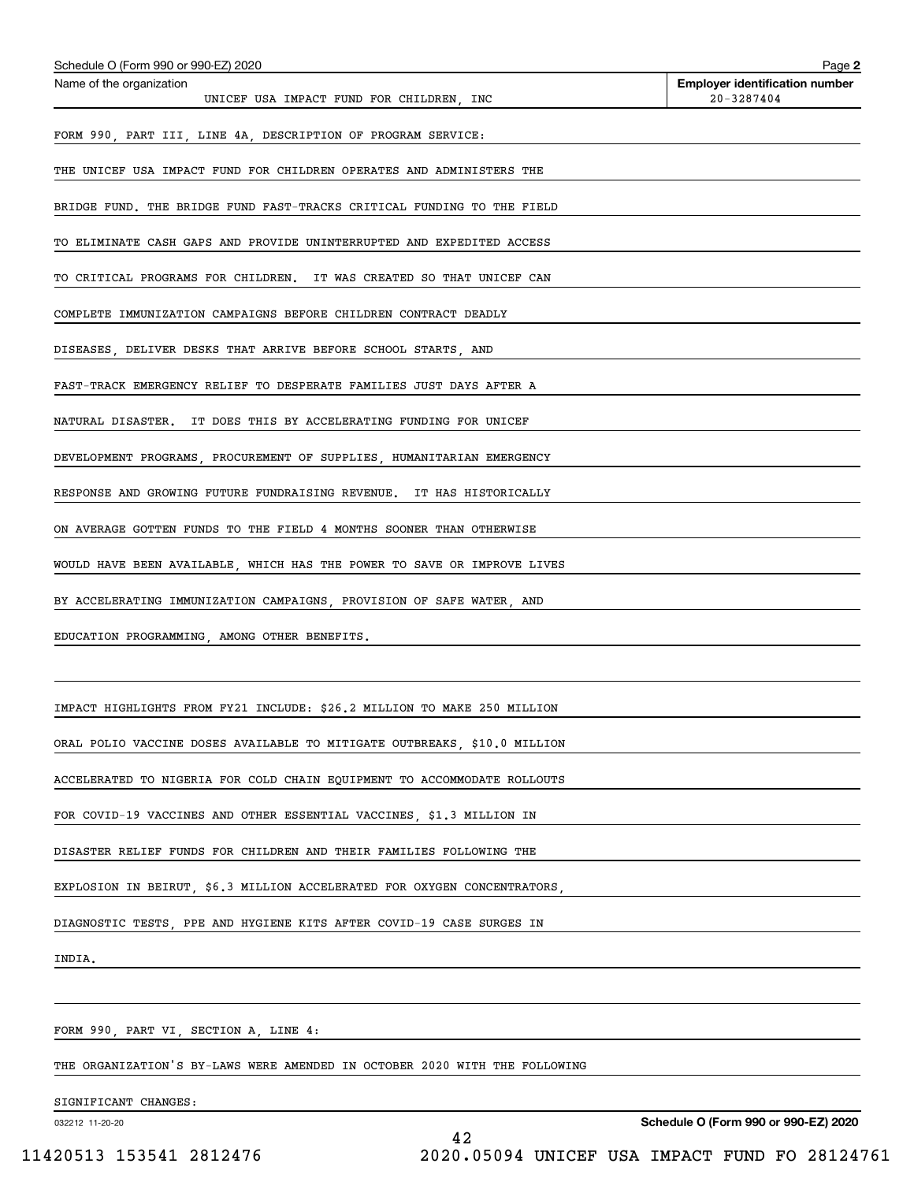| Schedule O (Form 990 or 990-EZ) 2020                                       | Page 2                                                  |
|----------------------------------------------------------------------------|---------------------------------------------------------|
| Name of the organization<br>UNICEF USA IMPACT FUND FOR CHILDREN, INC       | <b>Employer identification number</b><br>$20 - 3287404$ |
| FORM 990, PART III, LINE 4A, DESCRIPTION OF PROGRAM SERVICE:               |                                                         |
| THE UNICEF USA IMPACT FUND FOR CHILDREN OPERATES AND ADMINISTERS THE       |                                                         |
| BRIDGE FUND. THE BRIDGE FUND FAST-TRACKS CRITICAL FUNDING TO THE FIELD     |                                                         |
| TO ELIMINATE CASH GAPS AND PROVIDE UNINTERRUPTED AND EXPEDITED ACCESS      |                                                         |
| TO CRITICAL PROGRAMS FOR CHILDREN. IT WAS CREATED SO THAT UNICEF CAN       |                                                         |
| COMPLETE IMMUNIZATION CAMPAIGNS BEFORE CHILDREN CONTRACT DEADLY            |                                                         |
| DISEASES, DELIVER DESKS THAT ARRIVE BEFORE SCHOOL STARTS, AND              |                                                         |
| FAST-TRACK EMERGENCY RELIEF TO DESPERATE FAMILIES JUST DAYS AFTER A        |                                                         |
| NATURAL DISASTER. IT DOES THIS BY ACCELERATING FUNDING FOR UNICEF          |                                                         |
| DEVELOPMENT PROGRAMS, PROCUREMENT OF SUPPLIES, HUMANITARIAN EMERGENCY      |                                                         |
| RESPONSE AND GROWING FUTURE FUNDRAISING REVENUE. IT HAS HISTORICALLY       |                                                         |
| ON AVERAGE GOTTEN FUNDS TO THE FIELD 4 MONTHS SOONER THAN OTHERWISE        |                                                         |
| WOULD HAVE BEEN AVAILABLE, WHICH HAS THE POWER TO SAVE OR IMPROVE LIVES    |                                                         |
| BY ACCELERATING IMMUNIZATION CAMPAIGNS, PROVISION OF SAFE WATER, AND       |                                                         |
| EDUCATION PROGRAMMING, AMONG OTHER BENEFITS.                               |                                                         |
|                                                                            |                                                         |
| IMPACT HIGHLIGHTS FROM FY21 INCLUDE: \$26.2 MILLION TO MAKE 250 MILLION    |                                                         |
| ORAL POLIO VACCINE DOSES AVAILABLE TO MITIGATE OUTBREAKS, \$10.0 MILLION   |                                                         |
| ACCELERATED TO NIGERIA FOR COLD CHAIN EQUIPMENT TO ACCOMMODATE ROLLOUTS    |                                                         |
| FOR COVID-19 VACCINES AND OTHER ESSENTIAL VACCINES, \$1.3 MILLION IN       |                                                         |
| DISASTER RELIEF FUNDS FOR CHILDREN AND THEIR FAMILIES FOLLOWING THE        |                                                         |
| EXPLOSION IN BEIRUT, \$6.3 MILLION ACCELERATED FOR OXYGEN CONCENTRATORS,   |                                                         |
| DIAGNOSTIC TESTS, PPE AND HYGIENE KITS AFTER COVID-19 CASE SURGES IN       |                                                         |
| INDIA.                                                                     |                                                         |
|                                                                            |                                                         |
| FORM 990, PART VI, SECTION A, LINE 4:                                      |                                                         |
| THE ORGANIZATION'S BY-LAWS WERE AMENDED IN OCTOBER 2020 WITH THE FOLLOWING |                                                         |
| SIGNIFICANT CHANGES:                                                       |                                                         |

032212 11-20-20

**Schedule O (Form 990 or 990-EZ) 2020**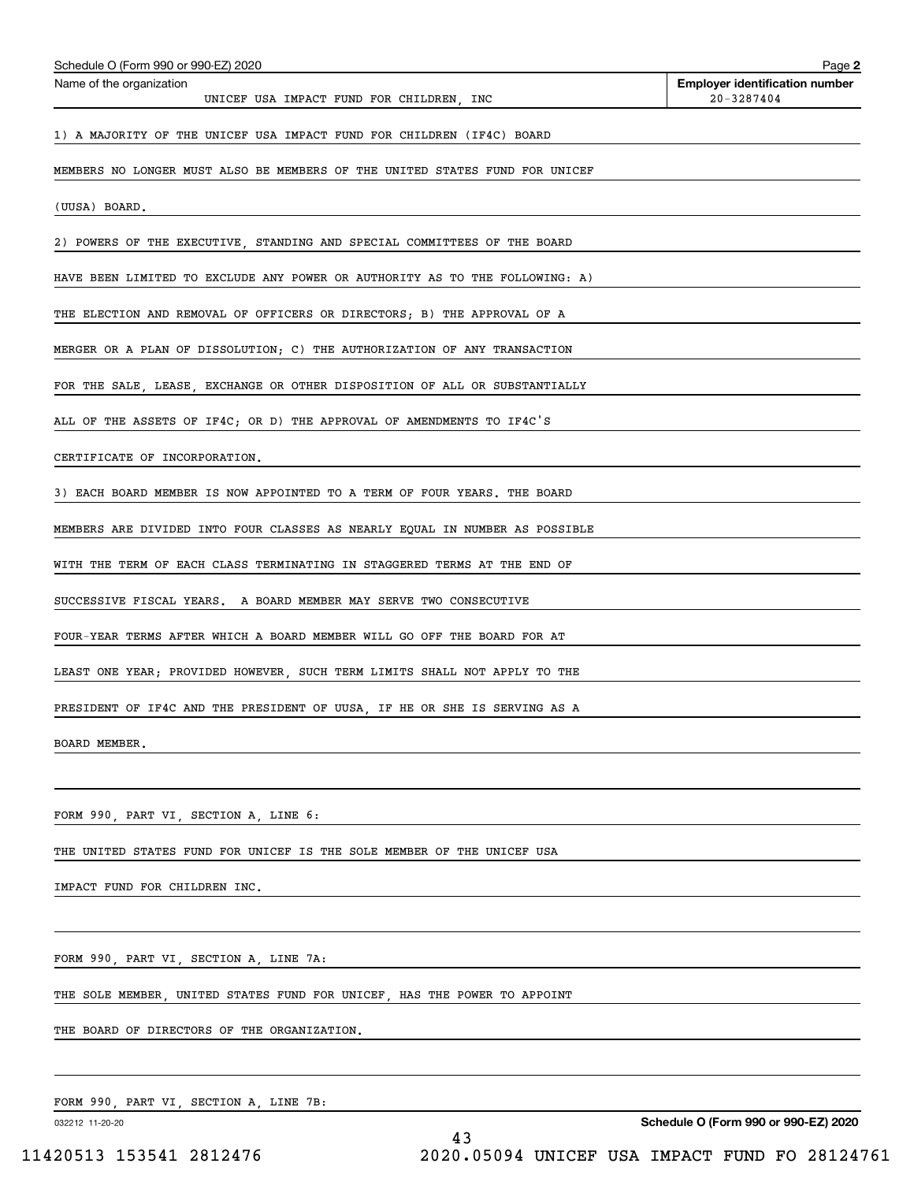| Schedule O (Form 990 or 990-EZ) 2020                                        | Page 2                                              |
|-----------------------------------------------------------------------------|-----------------------------------------------------|
| Name of the organization<br>UNICEF USA IMPACT FUND FOR CHILDREN, INC        | <b>Employer identification number</b><br>20-3287404 |
| 1) A MAJORITY OF THE UNICEF USA IMPACT FUND FOR CHILDREN (IF4C) BOARD       |                                                     |
| MEMBERS NO LONGER MUST ALSO BE MEMBERS OF THE UNITED STATES FUND FOR UNICEF |                                                     |
| (UUSA) BOARD.                                                               |                                                     |
| 2) POWERS OF THE EXECUTIVE, STANDING AND SPECIAL COMMITTEES OF THE BOARD    |                                                     |
| HAVE BEEN LIMITED TO EXCLUDE ANY POWER OR AUTHORITY AS TO THE FOLLOWING: A) |                                                     |
| THE ELECTION AND REMOVAL OF OFFICERS OR DIRECTORS; B) THE APPROVAL OF A     |                                                     |
| MERGER OR A PLAN OF DISSOLUTION; C) THE AUTHORIZATION OF ANY TRANSACTION    |                                                     |
| FOR THE SALE, LEASE, EXCHANGE OR OTHER DISPOSITION OF ALL OR SUBSTANTIALLY  |                                                     |
| ALL OF THE ASSETS OF IF4C; OR D) THE APPROVAL OF AMENDMENTS TO IF4C'S       |                                                     |
| CERTIFICATE OF INCORPORATION.                                               |                                                     |
| 3) EACH BOARD MEMBER IS NOW APPOINTED TO A TERM OF FOUR YEARS. THE BOARD    |                                                     |
| MEMBERS ARE DIVIDED INTO FOUR CLASSES AS NEARLY EQUAL IN NUMBER AS POSSIBLE |                                                     |
| WITH THE TERM OF EACH CLASS TERMINATING IN STAGGERED TERMS AT THE END OF    |                                                     |
| SUCCESSIVE FISCAL YEARS. A BOARD MEMBER MAY SERVE TWO CONSECUTIVE           |                                                     |
| FOUR-YEAR TERMS AFTER WHICH A BOARD MEMBER WILL GO OFF THE BOARD FOR AT     |                                                     |
| LEAST ONE YEAR; PROVIDED HOWEVER, SUCH TERM LIMITS SHALL NOT APPLY TO THE   |                                                     |
| PRESIDENT OF IF4C AND THE PRESIDENT OF UUSA, IF HE OR SHE IS SERVING AS A   |                                                     |
| BOARD MEMBER.                                                               |                                                     |
|                                                                             |                                                     |
| FORM 990, PART VI, SECTION A, LINE 6:                                       |                                                     |
| THE UNITED STATES FUND FOR UNICEF IS THE SOLE MEMBER OF THE UNICEF USA      |                                                     |
| IMPACT FUND FOR CHILDREN INC.                                               |                                                     |
|                                                                             |                                                     |
| FORM 990, PART VI, SECTION A, LINE 7A:                                      |                                                     |
| THE SOLE MEMBER, UNITED STATES FUND FOR UNICEF, HAS THE POWER TO APPOINT    |                                                     |
| THE BOARD OF DIRECTORS OF THE ORGANIZATION.                                 |                                                     |
|                                                                             |                                                     |

FORM 990, PART VI, SECTION A, LINE 7B:

032212 11-20-20

**Schedule O (Form 990 or 990-EZ) 2020**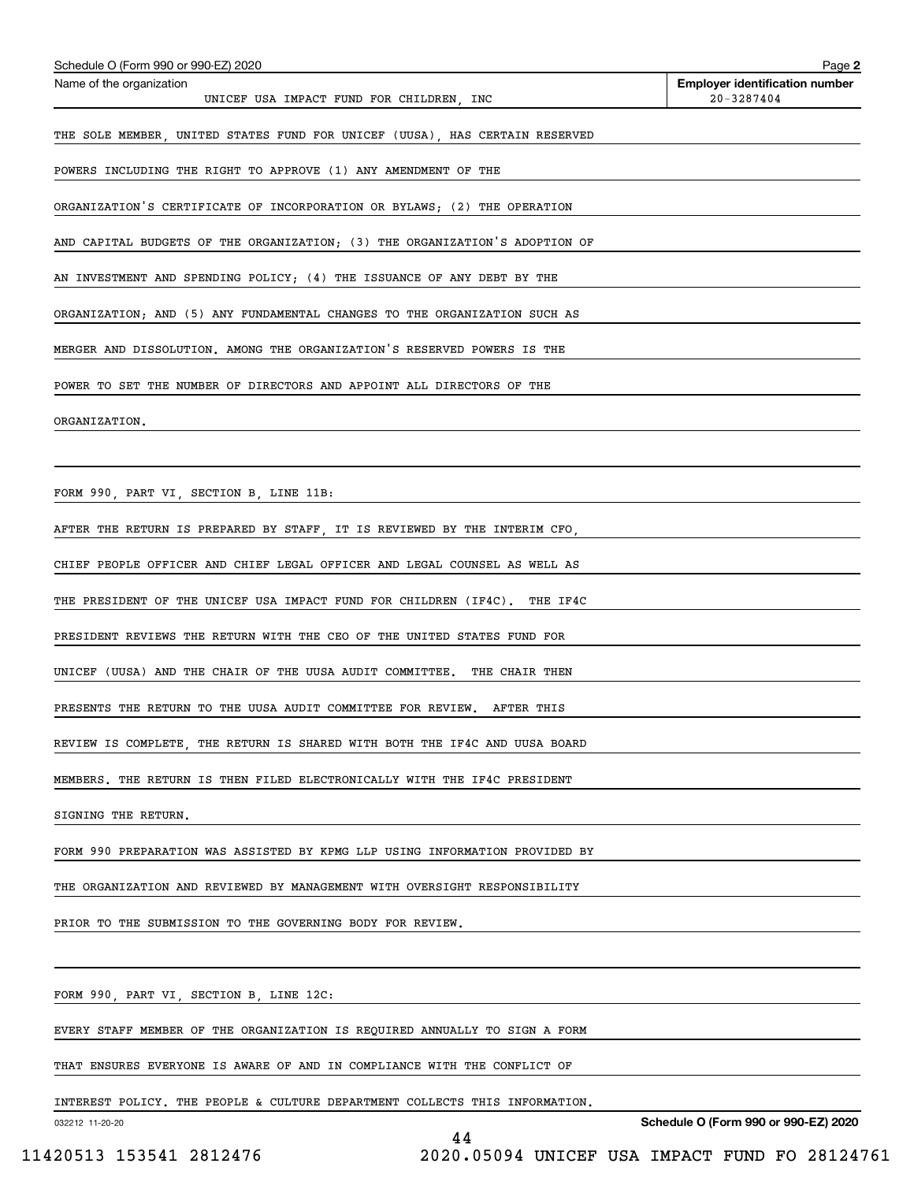| Schedule O (Form 990 or 990-EZ) 2020                                        | Page 2                                              |
|-----------------------------------------------------------------------------|-----------------------------------------------------|
| Name of the organization<br>UNICEF USA IMPACT FUND FOR CHILDREN, INC        | <b>Employer identification number</b><br>20-3287404 |
| THE SOLE MEMBER, UNITED STATES FUND FOR UNICEF (UUSA), HAS CERTAIN RESERVED |                                                     |
| POWERS INCLUDING THE RIGHT TO APPROVE (1) ANY AMENDMENT OF THE              |                                                     |
|                                                                             |                                                     |
| ORGANIZATION'S CERTIFICATE OF INCORPORATION OR BYLAWS; (2) THE OPERATION    |                                                     |
| AND CAPITAL BUDGETS OF THE ORGANIZATION; (3) THE ORGANIZATION'S ADOPTION OF |                                                     |
| AN INVESTMENT AND SPENDING POLICY; (4) THE ISSUANCE OF ANY DEBT BY THE      |                                                     |
| ORGANIZATION; AND (5) ANY FUNDAMENTAL CHANGES TO THE ORGANIZATION SUCH AS   |                                                     |
| MERGER AND DISSOLUTION. AMONG THE ORGANIZATION'S RESERVED POWERS IS THE     |                                                     |
| POWER TO SET THE NUMBER OF DIRECTORS AND APPOINT ALL DIRECTORS OF THE       |                                                     |
| ORGANIZATION.                                                               |                                                     |
|                                                                             |                                                     |
| FORM 990, PART VI, SECTION B, LINE 11B:                                     |                                                     |
|                                                                             |                                                     |
| AFTER THE RETURN IS PREPARED BY STAFF, IT IS REVIEWED BY THE INTERIM CFO,   |                                                     |
| CHIEF PEOPLE OFFICER AND CHIEF LEGAL OFFICER AND LEGAL COUNSEL AS WELL AS   |                                                     |
| THE PRESIDENT OF THE UNICEF USA IMPACT FUND FOR CHILDREN (IF4C). THE IF4C   |                                                     |
| PRESIDENT REVIEWS THE RETURN WITH THE CEO OF THE UNITED STATES FUND FOR     |                                                     |
| UNICEF (UUSA) AND THE CHAIR OF THE UUSA AUDIT COMMITTEE. THE CHAIR THEN     |                                                     |
| PRESENTS THE RETURN TO THE UUSA AUDIT COMMITTEE FOR REVIEW. AFTER THIS      |                                                     |
| REVIEW IS COMPLETE, THE RETURN IS SHARED WITH BOTH THE IF4C AND UUSA BOARD  |                                                     |
| MEMBERS. THE RETURN IS THEN FILED ELECTRONICALLY WITH THE IF4C PRESIDENT    |                                                     |
| SIGNING THE RETURN.                                                         |                                                     |
| FORM 990 PREPARATION WAS ASSISTED BY KPMG LLP USING INFORMATION PROVIDED BY |                                                     |
|                                                                             |                                                     |
| THE ORGANIZATION AND REVIEWED BY MANAGEMENT WITH OVERSIGHT RESPONSIBILITY   |                                                     |
| PRIOR TO THE SUBMISSION TO THE GOVERNING BODY FOR REVIEW.                   |                                                     |
|                                                                             |                                                     |
| FORM 990, PART VI, SECTION B, LINE 12C:                                     |                                                     |
| EVERY STAFF MEMBER OF THE ORGANIZATION IS REQUIRED ANNUALLY TO SIGN A FORM  |                                                     |
| THAT ENSURES EVERYONE IS AWARE OF AND IN COMPLIANCE WITH THE CONFLICT OF    |                                                     |
| INTEREST POLICY. THE PEOPLE & CULTURE DEPARTMENT COLLECTS THIS INFORMATION. |                                                     |

032212 11-20-20

**Schedule O (Form 990 or 990-EZ) 2020**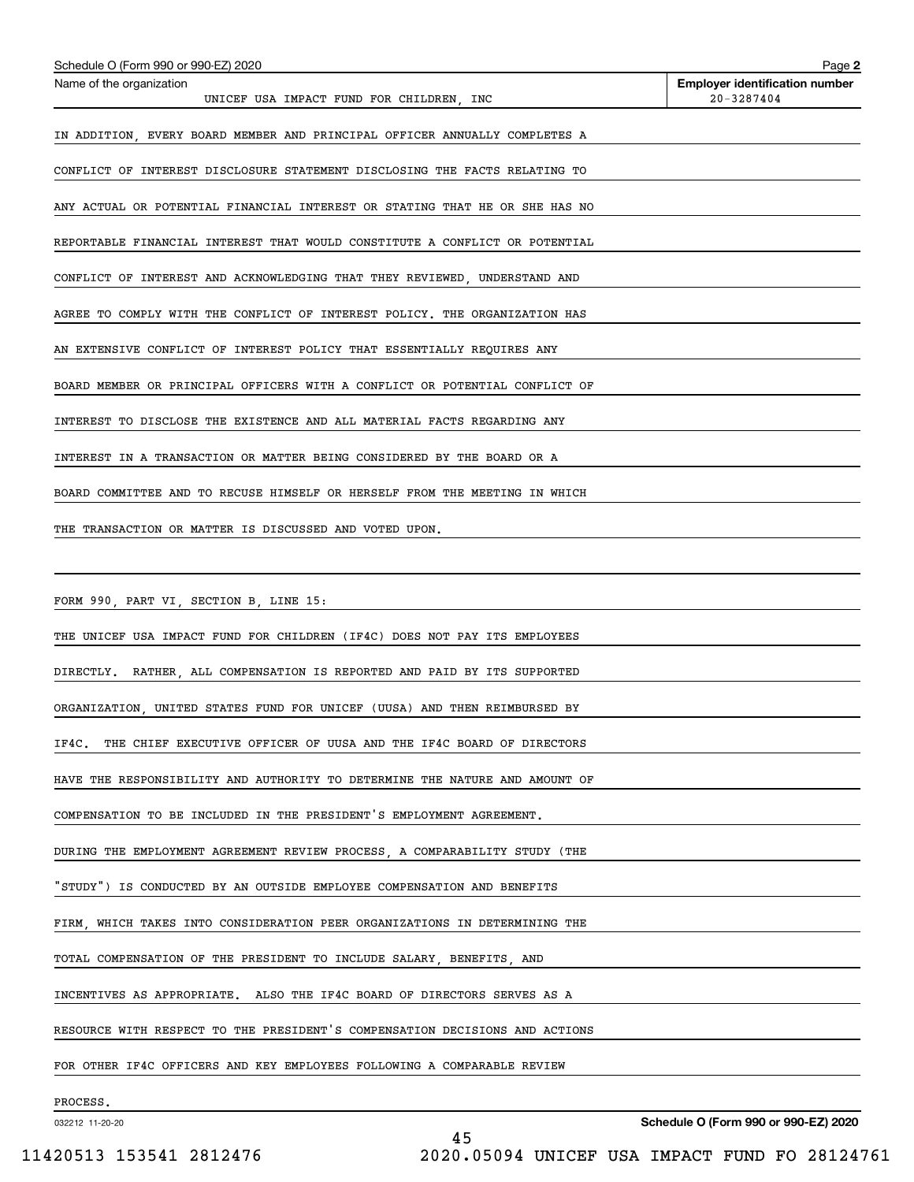| Schedule O (Form 990 or 990-EZ) 2020                                         | Page 2                                              |
|------------------------------------------------------------------------------|-----------------------------------------------------|
| Name of the organization<br>UNICEF USA IMPACT FUND FOR CHILDREN, INC         | <b>Employer identification number</b><br>20-3287404 |
| IN ADDITION, EVERY BOARD MEMBER AND PRINCIPAL OFFICER ANNUALLY COMPLETES A   |                                                     |
| CONFLICT OF INTEREST DISCLOSURE STATEMENT DISCLOSING THE FACTS RELATING TO   |                                                     |
| ANY ACTUAL OR POTENTIAL FINANCIAL INTEREST OR STATING THAT HE OR SHE HAS NO  |                                                     |
| REPORTABLE FINANCIAL INTEREST THAT WOULD CONSTITUTE A CONFLICT OR POTENTIAL  |                                                     |
| CONFLICT OF INTEREST AND ACKNOWLEDGING THAT THEY REVIEWED, UNDERSTAND AND    |                                                     |
| AGREE TO COMPLY WITH THE CONFLICT OF INTEREST POLICY. THE ORGANIZATION HAS   |                                                     |
| AN EXTENSIVE CONFLICT OF INTEREST POLICY THAT ESSENTIALLY REQUIRES ANY       |                                                     |
| BOARD MEMBER OR PRINCIPAL OFFICERS WITH A CONFLICT OR POTENTIAL CONFLICT OF  |                                                     |
| INTEREST TO DISCLOSE THE EXISTENCE AND ALL MATERIAL FACTS REGARDING ANY      |                                                     |
| INTEREST IN A TRANSACTION OR MATTER BEING CONSIDERED BY THE BOARD OR A       |                                                     |
| BOARD COMMITTEE AND TO RECUSE HIMSELF OR HERSELF FROM THE MEETING IN WHICH   |                                                     |
| THE TRANSACTION OR MATTER IS DISCUSSED AND VOTED UPON.                       |                                                     |
|                                                                              |                                                     |
| FORM 990, PART VI, SECTION B, LINE 15:                                       |                                                     |
| THE UNICEF USA IMPACT FUND FOR CHILDREN (IF4C) DOES NOT PAY ITS EMPLOYEES    |                                                     |
| DIRECTLY. RATHER, ALL COMPENSATION IS REPORTED AND PAID BY ITS SUPPORTED     |                                                     |
| ORGANIZATION, UNITED STATES FUND FOR UNICEF (UUSA) AND THEN REIMBURSED BY    |                                                     |
| THE CHIEF EXECUTIVE OFFICER OF UUSA AND THE IF4C BOARD OF DIRECTORS<br>IF4C. |                                                     |
| HAVE THE RESPONSIBILITY AND AUTHORITY TO DETERMINE THE NATURE AND AMOUNT OF  |                                                     |
| COMPENSATION TO BE INCLUDED IN THE PRESIDENT'S EMPLOYMENT AGREEMENT.         |                                                     |
| DURING THE EMPLOYMENT AGREEMENT REVIEW PROCESS, A COMPARABILITY STUDY (THE   |                                                     |
| "STUDY") IS CONDUCTED BY AN OUTSIDE EMPLOYEE COMPENSATION AND BENEFITS       |                                                     |
| FIRM WHICH TAKES INTO CONSIDERATION PEER ORGANIZATIONS IN DETERMINING THE    |                                                     |
| TOTAL COMPENSATION OF THE PRESIDENT TO INCLUDE SALARY, BENEFITS, AND         |                                                     |
| INCENTIVES AS APPROPRIATE. ALSO THE IF4C BOARD OF DIRECTORS SERVES AS A      |                                                     |
| RESOURCE WITH RESPECT TO THE PRESIDENT'S COMPENSATION DECISIONS AND ACTIONS  |                                                     |
| FOR OTHER IF4C OFFICERS AND KEY EMPLOYEES FOLLOWING A COMPARABLE REVIEW      |                                                     |
| PROCESS.                                                                     |                                                     |

45

032212 11-20-20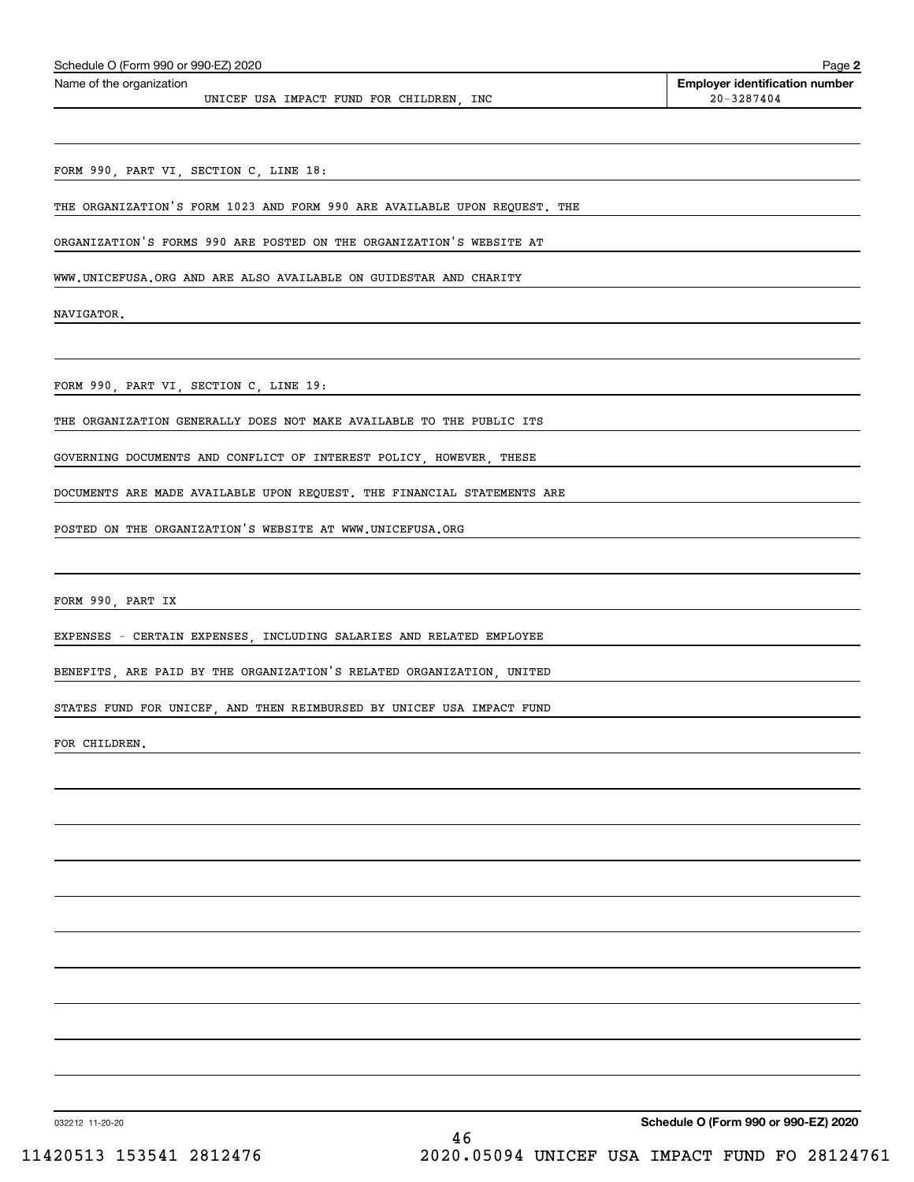| <b>Employer identification number</b><br>20-3287404 |
|-----------------------------------------------------|
|                                                     |
|                                                     |
|                                                     |
|                                                     |
|                                                     |

WWW.UNICEFUSA.ORG AND ARE ALSO AVAILABLE ON GUIDESTAR AND CHARITY

NAVIGATOR.

FORM 990, PART VI, SECTION C, LINE 19:

THE ORGANIZATION GENERALLY DOES NOT MAKE AVAILABLE TO THE PUBLIC ITS

GOVERNING DOCUMENTS AND CONFLICT OF INTEREST POLICY, HOWEVER, THESE

DOCUMENTS ARE MADE AVAILABLE UPON REQUEST. THE FINANCIAL STATEMENTS ARE

POSTED ON THE ORGANIZATION'S WEBSITE AT WWW.UNICEFUSA.ORG

FORM 990, PART IX

EXPENSES - CERTAIN EXPENSES, INCLUDING SALARIES AND RELATED EMPLOYEE

BENEFITS, ARE PAID BY THE ORGANIZATION'S RELATED ORGANIZATION, UNITED

STATES FUND FOR UNICEF, AND THEN REIMBURSED BY UNICEF USA IMPACT FUND

FOR CHILDREN.

032212 11-20-20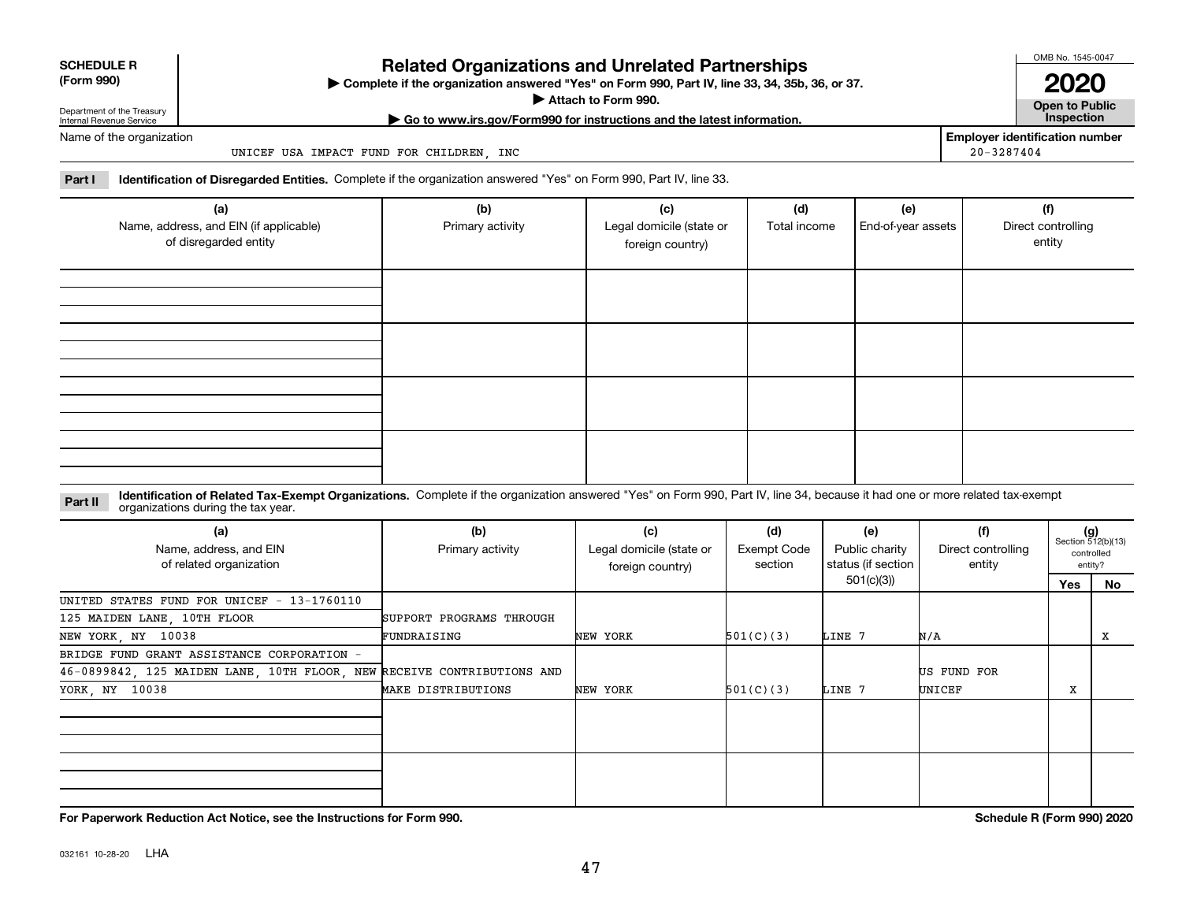## **SCHEDULE R (Form 990)**

## **Related Organizations and Unrelated Partnerships**

**Complete if the organization answered "Yes" on Form 990, Part IV, line 33, 34, 35b, 36, or 37.** |

**Attach to Form 990.**  |

OMB No. 1545-0047 **2020**

**Open to Public | Go to www.irs.gov/Form990 for instructions and the latest information. Inspection**

**Employer identification number**

20-3287404

Department of the Treasury Internal Revenue Service Name of the organization

UNICEF USA IMPACT FUND FOR CHILDREN, INC

**Part I Identification of Disregarded Entities.**  Complete if the organization answered "Yes" on Form 990, Part IV, line 33.

| (a)<br>Name, address, and EIN (if applicable)<br>of disregarded entity | (b)<br>Primary activity | (c)<br>Legal domicile (state or<br>foreign country) | (d)<br>Total income | (e)<br>End-of-year assets | (f)<br>Direct controlling<br>entity |
|------------------------------------------------------------------------|-------------------------|-----------------------------------------------------|---------------------|---------------------------|-------------------------------------|
|                                                                        |                         |                                                     |                     |                           |                                     |
|                                                                        |                         |                                                     |                     |                           |                                     |
|                                                                        |                         |                                                     |                     |                           |                                     |
|                                                                        |                         |                                                     |                     |                           |                                     |

### **Identification of Related Tax-Exempt Organizations.** Complete if the organization answered "Yes" on Form 990, Part IV, line 34, because it had one or more related tax-exempt **Part II** organizations during the tax year.

| (a)<br>Name, address, and EIN<br>of related organization               | (b)<br>Primary activity  | (c)<br>Legal domicile (state or<br>foreign country) | (d)<br>Exempt Code<br>section | (e)<br>Public charity<br>status (if section | (f)<br>Direct controlling<br>entity |     | $(g)$<br>Section 512(b)(13)<br>controlled<br>entity? |
|------------------------------------------------------------------------|--------------------------|-----------------------------------------------------|-------------------------------|---------------------------------------------|-------------------------------------|-----|------------------------------------------------------|
|                                                                        |                          |                                                     |                               | 501(c)(3))                                  |                                     | Yes | No                                                   |
| UNITED STATES FUND FOR UNICEF - 13-1760110                             |                          |                                                     |                               |                                             |                                     |     |                                                      |
| 125 MAIDEN LANE, 10TH FLOOR                                            | SUPPORT PROGRAMS THROUGH |                                                     |                               |                                             |                                     |     |                                                      |
| NEW YORK, NY 10038                                                     | FUNDRAISING              | NEW YORK                                            | 501(C)(3)                     | LINE 7                                      | N/A                                 |     | х                                                    |
| BRIDGE FUND GRANT ASSISTANCE CORPORATION -                             |                          |                                                     |                               |                                             |                                     |     |                                                      |
| 46-0899842, 125 MAIDEN LANE, 10TH FLOOR, NEW RECEIVE CONTRIBUTIONS AND |                          |                                                     |                               |                                             | US FUND FOR                         |     |                                                      |
| YORK, NY 10038                                                         | MAKE DISTRIBUTIONS       | NEW YORK                                            | 501(C)(3)                     | LINE 7                                      | UNICEF                              | X   |                                                      |
|                                                                        |                          |                                                     |                               |                                             |                                     |     |                                                      |
|                                                                        |                          |                                                     |                               |                                             |                                     |     |                                                      |
|                                                                        |                          |                                                     |                               |                                             |                                     |     |                                                      |
|                                                                        |                          |                                                     |                               |                                             |                                     |     |                                                      |
|                                                                        |                          |                                                     |                               |                                             |                                     |     |                                                      |

**For Paperwork Reduction Act Notice, see the Instructions for Form 990. Schedule R (Form 990) 2020**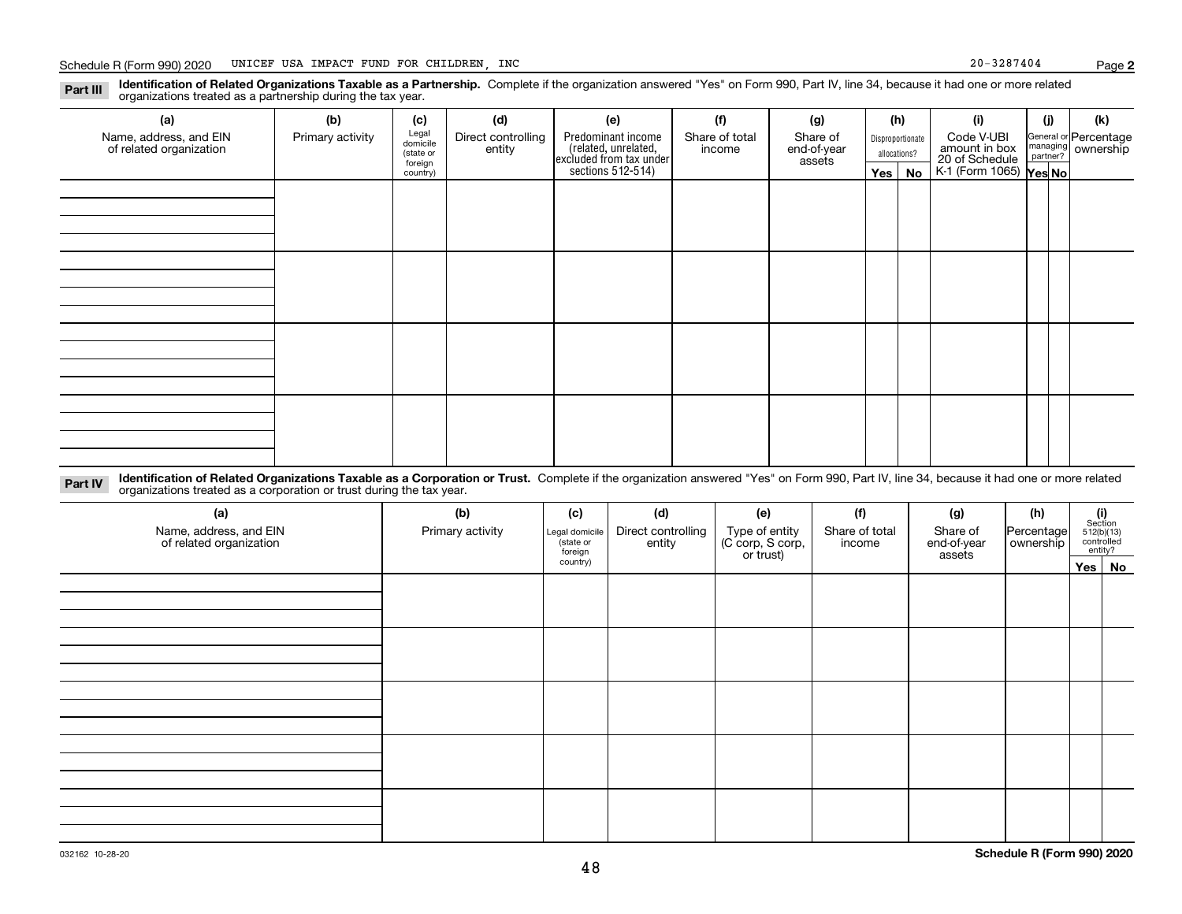**Identification of Related Organizations Taxable as a Partnership.** Complete if the organization answered "Yes" on Form 990, Part IV, line 34, because it had one or more related **Part III** organizations treated as a partnership during the tax year.

| (a)                     | (b)              | (c)                  | (d)                | (e)                                                                 | (f)            | (g)                   |  | (h)          | (i)                                               | (j) | (k)                |  |  |  |            |  |                       |
|-------------------------|------------------|----------------------|--------------------|---------------------------------------------------------------------|----------------|-----------------------|--|--------------|---------------------------------------------------|-----|--------------------|--|--|--|------------|--|-----------------------|
| Name, address, and EIN  | Primary activity | Legal<br>domicile    | Direct controlling | Predominant income                                                  | Share of total | Share of              |  |              | Disproportionate                                  |     |                    |  |  |  | Code V-UBI |  | General or Percentage |
| of related organization |                  | (state or<br>foreign | entity             | related, unrelated,<br>excluded from tax under<br>sections 512-514) | income         | end-of-year<br>assets |  | allocations? | amount in box                                     |     | managing ownership |  |  |  |            |  |                       |
|                         |                  | country)             |                    |                                                                     |                |                       |  | Yes   No     | 20 of Schedule Partner?<br>K-1 (Form 1065) Yes No |     |                    |  |  |  |            |  |                       |
|                         |                  |                      |                    |                                                                     |                |                       |  |              |                                                   |     |                    |  |  |  |            |  |                       |
|                         |                  |                      |                    |                                                                     |                |                       |  |              |                                                   |     |                    |  |  |  |            |  |                       |
|                         |                  |                      |                    |                                                                     |                |                       |  |              |                                                   |     |                    |  |  |  |            |  |                       |
|                         |                  |                      |                    |                                                                     |                |                       |  |              |                                                   |     |                    |  |  |  |            |  |                       |
|                         |                  |                      |                    |                                                                     |                |                       |  |              |                                                   |     |                    |  |  |  |            |  |                       |
|                         |                  |                      |                    |                                                                     |                |                       |  |              |                                                   |     |                    |  |  |  |            |  |                       |
|                         |                  |                      |                    |                                                                     |                |                       |  |              |                                                   |     |                    |  |  |  |            |  |                       |
|                         |                  |                      |                    |                                                                     |                |                       |  |              |                                                   |     |                    |  |  |  |            |  |                       |
|                         |                  |                      |                    |                                                                     |                |                       |  |              |                                                   |     |                    |  |  |  |            |  |                       |
|                         |                  |                      |                    |                                                                     |                |                       |  |              |                                                   |     |                    |  |  |  |            |  |                       |
|                         |                  |                      |                    |                                                                     |                |                       |  |              |                                                   |     |                    |  |  |  |            |  |                       |
|                         |                  |                      |                    |                                                                     |                |                       |  |              |                                                   |     |                    |  |  |  |            |  |                       |
|                         |                  |                      |                    |                                                                     |                |                       |  |              |                                                   |     |                    |  |  |  |            |  |                       |
|                         |                  |                      |                    |                                                                     |                |                       |  |              |                                                   |     |                    |  |  |  |            |  |                       |
|                         |                  |                      |                    |                                                                     |                |                       |  |              |                                                   |     |                    |  |  |  |            |  |                       |
|                         |                  |                      |                    |                                                                     |                |                       |  |              |                                                   |     |                    |  |  |  |            |  |                       |
|                         |                  |                      |                    |                                                                     |                |                       |  |              |                                                   |     |                    |  |  |  |            |  |                       |

**Identification of Related Organizations Taxable as a Corporation or Trust.** Complete if the organization answered "Yes" on Form 990, Part IV, line 34, because it had one or more related **Part IV** organizations treated as a corporation or trust during the tax year.

| (a)<br>Name, address, and EIN<br>of related organization | (b)<br>Primary activity | (c)<br>Legal domicile<br>state or<br>foreign | (d)<br>Direct controlling<br>entity | (e)<br>Type of entity<br>(C corp, S corp,<br>or trust) | (f)<br>Share of total<br>income | (g)<br>Share of<br>end-of-year<br>assets | (h)<br>Percentage<br>  ownership | $\begin{array}{c} \textbf{(i)}\\ \text{Section}\\ 512 \text{(b)} \text{(13)}\\ \text{controlled}\\ \text{entity?} \end{array}$ |
|----------------------------------------------------------|-------------------------|----------------------------------------------|-------------------------------------|--------------------------------------------------------|---------------------------------|------------------------------------------|----------------------------------|--------------------------------------------------------------------------------------------------------------------------------|
|                                                          |                         | country)                                     |                                     |                                                        |                                 |                                          |                                  | Yes No                                                                                                                         |
|                                                          |                         |                                              |                                     |                                                        |                                 |                                          |                                  |                                                                                                                                |
|                                                          |                         |                                              |                                     |                                                        |                                 |                                          |                                  |                                                                                                                                |
|                                                          |                         |                                              |                                     |                                                        |                                 |                                          |                                  |                                                                                                                                |
|                                                          |                         |                                              |                                     |                                                        |                                 |                                          |                                  |                                                                                                                                |
|                                                          |                         |                                              |                                     |                                                        |                                 |                                          |                                  |                                                                                                                                |
|                                                          |                         |                                              |                                     |                                                        |                                 |                                          |                                  |                                                                                                                                |
|                                                          |                         |                                              |                                     |                                                        |                                 |                                          |                                  |                                                                                                                                |
|                                                          |                         |                                              |                                     |                                                        |                                 |                                          |                                  |                                                                                                                                |
|                                                          |                         |                                              |                                     |                                                        |                                 |                                          |                                  |                                                                                                                                |
|                                                          |                         |                                              |                                     |                                                        |                                 |                                          |                                  |                                                                                                                                |
|                                                          |                         |                                              |                                     |                                                        |                                 |                                          |                                  |                                                                                                                                |
|                                                          |                         |                                              |                                     |                                                        |                                 |                                          |                                  |                                                                                                                                |
|                                                          |                         |                                              |                                     |                                                        |                                 |                                          |                                  |                                                                                                                                |
|                                                          |                         |                                              |                                     |                                                        |                                 |                                          |                                  |                                                                                                                                |
|                                                          |                         |                                              |                                     |                                                        |                                 |                                          |                                  |                                                                                                                                |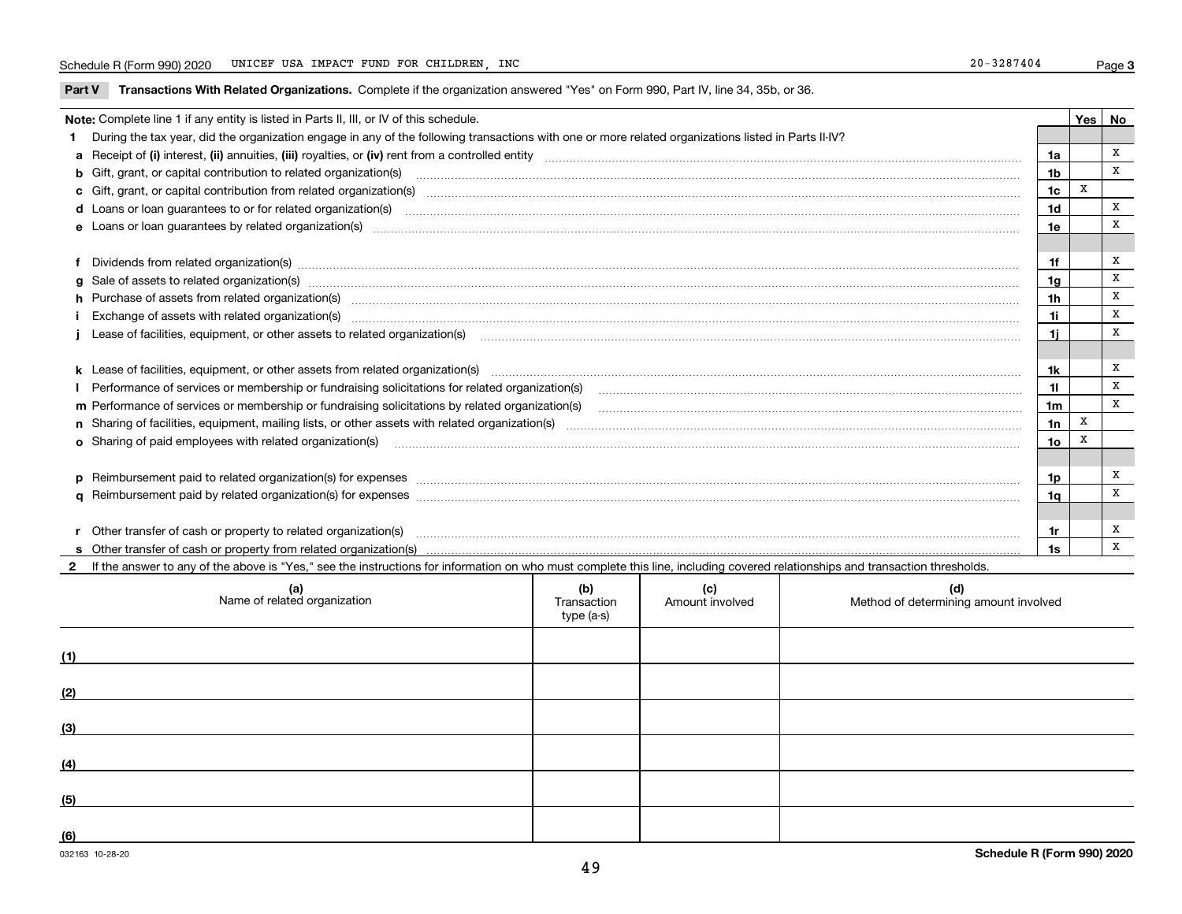**Part V** T**ransactions With Related Organizations.** Complete if the organization answered "Yes" on Form 990, Part IV, line 34, 35b, or 36.

| Note: Complete line 1 if any entity is listed in Parts II, III, or IV of this schedule.                                                                                                                                        |                 | Yes   No |   |
|--------------------------------------------------------------------------------------------------------------------------------------------------------------------------------------------------------------------------------|-----------------|----------|---|
| During the tax year, did the organization engage in any of the following transactions with one or more related organizations listed in Parts II-IV?                                                                            |                 |          |   |
|                                                                                                                                                                                                                                | 1a              |          | x |
| <b>b</b> Gift, grant, or capital contribution to related organization(s)                                                                                                                                                       | 1b              |          | x |
| c Gift, grant, or capital contribution from related organization(s) manufaction(s) and contribution from related organization(s) manufaction contribution from related organization(s) manufaction contribution from related o | 1c              | x        |   |
| d Loans or loan guarantees to or for related organization(s) mature material content to construct the content of the content of the content of the content of the content of the content of the content of the content of the  | 1d              |          | x |
|                                                                                                                                                                                                                                | 1e              |          | X |
|                                                                                                                                                                                                                                |                 |          |   |
| f Dividends from related organization(s) manufactured contains and contained and contained contained and contained and contained and contained and contained and contained and contained and contained and contained and conta | 1f              |          | X |
| g Sale of assets to related organization(s) www.assettion.com/www.assettion.com/www.assettion.com/www.assettion.com/www.assettion.com/www.assettion.com/www.assettion.com/www.assettion.com/www.assettion.com/www.assettion.co | 1a              |          | X |
| h Purchase of assets from related organization(s) manufactured and content to content the content of assets from related organization(s)                                                                                       | 1 <sub>h</sub>  |          | X |
|                                                                                                                                                                                                                                | 1i              |          | X |
| Lease of facilities, equipment, or other assets to related organization(s) Chromomeron content in the set of facilities, equipment, or other assets to related organization(s) Chromomeron content in the set of facilities, e | 11              |          | x |
|                                                                                                                                                                                                                                |                 |          |   |
|                                                                                                                                                                                                                                | 1k              |          | х |
| Performance of services or membership or fundraising solicitations for related organization(s) manufaction.community content and the services or membership or fundraising solicitations for related organization(s) manufacti | 11              |          | X |
| m Performance of services or membership or fundraising solicitations by related organization(s)                                                                                                                                | 1 <sub>m</sub>  |          | X |
|                                                                                                                                                                                                                                | 1n              | X        |   |
| <b>o</b> Sharing of paid employees with related organization(s)                                                                                                                                                                | 10 <sub>o</sub> | X        |   |
|                                                                                                                                                                                                                                |                 |          |   |
|                                                                                                                                                                                                                                | 1p              |          | x |
|                                                                                                                                                                                                                                | 1q              |          | X |
|                                                                                                                                                                                                                                |                 |          |   |
| r Other transfer of cash or property to related organization(s)                                                                                                                                                                | 1r              |          | х |
|                                                                                                                                                                                                                                | 1s              |          | X |
| 2 If the answer to any of the above is "Yes," see the instructions for information on who must complete this line, including covered relationships and transaction thresholds.                                                 |                 |          |   |

| (a)<br>Name of related organization | (b)<br>Transaction<br>type (a-s) | (c)<br>Amount involved | (d)<br>Method of determining amount involved |
|-------------------------------------|----------------------------------|------------------------|----------------------------------------------|
| (1)                                 |                                  |                        |                                              |
| (2)                                 |                                  |                        |                                              |
| (3)                                 |                                  |                        |                                              |
| (4)                                 |                                  |                        |                                              |
| (5)                                 |                                  |                        |                                              |
| (6)                                 |                                  |                        |                                              |

 $\overline{a}$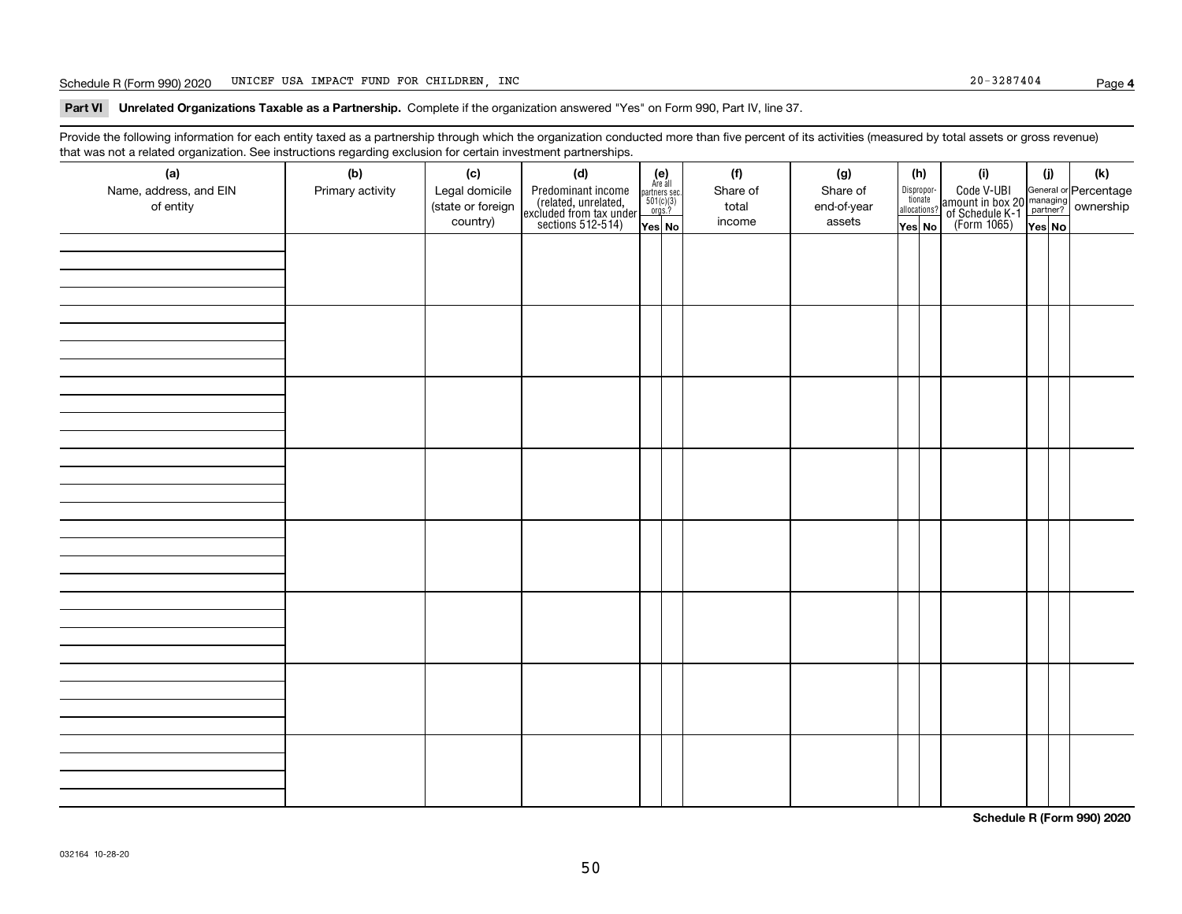### Schedule R (Form 990) 2020 Page UNICEF USA IMPACT FUND FOR CHILDREN, INC 20-3287404

### **Part VI Unrelated Organizations Taxable as a Partnership. Complete if the organization answered "Yes" on Form 990, Part IV, line 37.**

Provide the following information for each entity taxed as a partnership through which the organization conducted more than five percent of its activities (measured by total assets or gross revenue) that was not a related organization. See instructions regarding exclusion for certain investment partnerships.

| ັ<br>(a)<br>Name, address, and EIN<br>of entity | ັ<br>ັ<br>(b)<br>Primary activity | (c)<br>Legal domicile<br>(state or foreign<br>country) | (d)<br>Predominant income<br>(related, unrelated,<br>excluded from tax under<br>sections 512-514) | (e)<br>Are all<br>$\begin{array}{c}\n\text{partners} \sec \\ 501(c)(3) \\ \text{orgs.?}\n\end{array}$<br>Yes No | (f)<br>Share of<br>total<br>income | (g)<br>Share of<br>end-of-year<br>assets | (h)<br>Dispropor-<br>tionate<br>allocations?<br>Yes No | (i)<br>Code V-UBI<br>amount in box 20 managing<br>of Schedule K-1<br>(Form 1065)<br>$\overline{Yes}$ No | (i)<br>Yes No | (k) |
|-------------------------------------------------|-----------------------------------|--------------------------------------------------------|---------------------------------------------------------------------------------------------------|-----------------------------------------------------------------------------------------------------------------|------------------------------------|------------------------------------------|--------------------------------------------------------|---------------------------------------------------------------------------------------------------------|---------------|-----|
|                                                 |                                   |                                                        |                                                                                                   |                                                                                                                 |                                    |                                          |                                                        |                                                                                                         |               |     |
|                                                 |                                   |                                                        |                                                                                                   |                                                                                                                 |                                    |                                          |                                                        |                                                                                                         |               |     |
|                                                 |                                   |                                                        |                                                                                                   |                                                                                                                 |                                    |                                          |                                                        |                                                                                                         |               |     |
|                                                 |                                   |                                                        |                                                                                                   |                                                                                                                 |                                    |                                          |                                                        |                                                                                                         |               |     |
|                                                 |                                   |                                                        |                                                                                                   |                                                                                                                 |                                    |                                          |                                                        |                                                                                                         |               |     |
|                                                 |                                   |                                                        |                                                                                                   |                                                                                                                 |                                    |                                          |                                                        |                                                                                                         |               |     |
|                                                 |                                   |                                                        |                                                                                                   |                                                                                                                 |                                    |                                          |                                                        |                                                                                                         |               |     |
|                                                 |                                   |                                                        |                                                                                                   |                                                                                                                 |                                    |                                          |                                                        |                                                                                                         |               |     |

**Schedule R (Form 990) 2020**